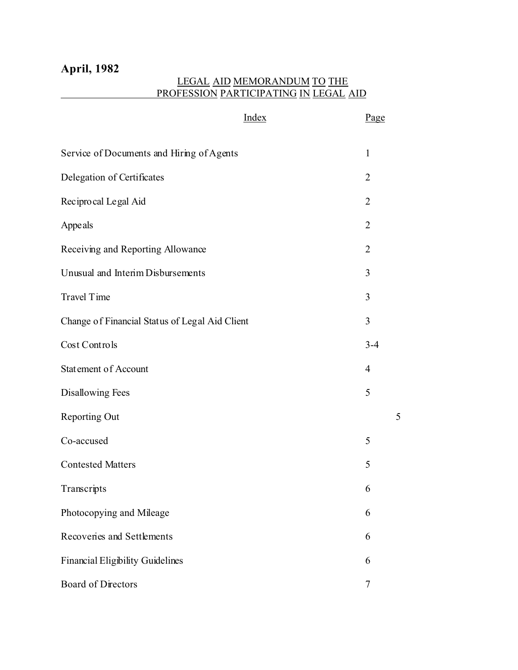# **April, 1982**

## LEGAL AID MEMORANDUM TO THE PROFESSION PARTICIPATING IN LEGAL AID

|                                                | Index | Page           |
|------------------------------------------------|-------|----------------|
| Service of Documents and Hiring of Agents      |       | $\mathbf{1}$   |
| Delegation of Certificates                     |       | $\overline{2}$ |
| Recipro cal Legal Aid                          |       | $\overline{2}$ |
| Appeals                                        |       | $\overline{2}$ |
| Receiving and Reporting Allowance              |       | $\overline{2}$ |
| Unusual and Interim Disbursements              |       | 3              |
| Travel Time                                    |       | 3              |
| Change of Financial Status of Legal Aid Client |       | 3              |
| Cost Controls                                  |       | $3 - 4$        |
| Statement of Account                           |       | $\overline{4}$ |
| <b>Disallowing Fees</b>                        |       | 5              |
| Reporting Out                                  |       | 5              |
| Co-accused                                     |       | 5              |
| <b>Contested Matters</b>                       |       | 5              |
| Transcripts                                    |       | 6              |
| Photocopying and Mileage                       |       | 6              |
| Recoveries and Settlements                     |       | 6              |
| <b>Financial Eligibility Guidelines</b>        |       | 6              |
| Board of Directors                             |       | $\overline{7}$ |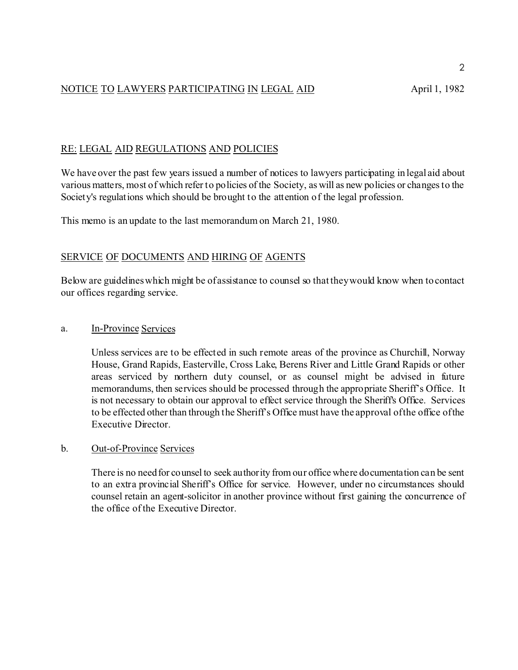## NOTICE TO LAWYERS PARTICIPATING IN LEGAL AID April 1, 1982

## RE: LEGAL AID REGULATIONS AND POLICIES

We have over the past few years issued a number of notices to lawyers participating in legal aid about various matters, most of which refer to policies of the Society, as will as new policies or changes to the Society's regulations which should be brought to the attention of the legal profession.

This memo is an update to the last memorandum on March 21, 1980.

## SERVICE OF DOCUMENTS AND HIRING OF AGENTS

Below are guidelines which might be of assistance to counsel so that they would know when to contact our offices regarding service.

## a. In-Province Services

Unless services are to be effected in such remote areas of the province as Churchill, Norway House, Grand Rapids, Easterville, Cross Lake, Berens River and Little Grand Rapids or other areas serviced by northern duty counsel, or as counsel might be advised in future memorandums, then services should be processed through the appropriate Sheriff's Office. It is not necessary to obtain our approval to effect service through the Sheriff's Office. Services to be effected other than through the Sheriff's Office must have the approval of the office of the Executive Director.

## b. Out-of-Province Services

There is no need for counsel to seek authority from our office where documentation can be sent to an extra provincial Sheriff's Office for service. However, under no circumstances should counsel retain an agent-solicitor in another province without first gaining the concurrence of the office of the Executive Director.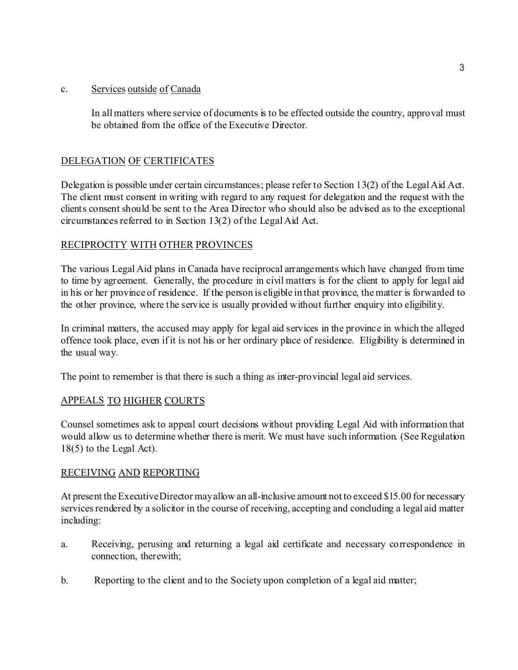## c. Services outside of Canada

In all matters where service of documents is to be effected outside the country, approval must be obtained from the office of the Executive Director.

## DELEGATION OF CERTIFICATES

Delegation is possible under certain circumstances; please refer to Section 13(2) of the Legal Aid Act. The client must consent in writing with regard to any request for delegation and the request with the clients consent should be sent to the Area Director who should also be advised as to the exceptional circumstances referred to in Section 13(2) of the Legal Aid Act.

## RECIPROCITY WITH OTHER PROVINCES

The various Legal Aid plans in Canada have reciprocal arrangements which have changed from time to time by agreement. Generally, the procedure in civil matters is for the client to apply for legal aid in his or her province of residence. If the person is eligible in that province, the matter is forwarded to the other province, where the service is usually provided without further enquiry into eligibility.

In criminal matters, the accused may apply for legal aid services in the province in which the alleged offence took place, even if it is not his or her ordinary place of residence. Eligibility is determined in the usual way.

The point to remember is that there is such a thing as inter-provincial legal aid services.

## APPEALS TO HIGHER COURTS

Counsel sometimes ask to appeal court decisions without providing Legal Aid with information that would allow us to determine whether there is merit. We must have such information. (See Regulation 18(5) to the Legal Act).

## RECEIVING AND REPORTING

At present the Executive Director may allow an all-inclusive amount not to exceed \$15.00 for necessary services rendered by a solicitor in the course of receiving, accepting and concluding a legal aid matter including:

- a. Receiving, perusing and returning a legal aid certificate and necessary correspondence in connection, therewith;
- b. Reporting to the client and to the Society upon completion of a legal aid matter;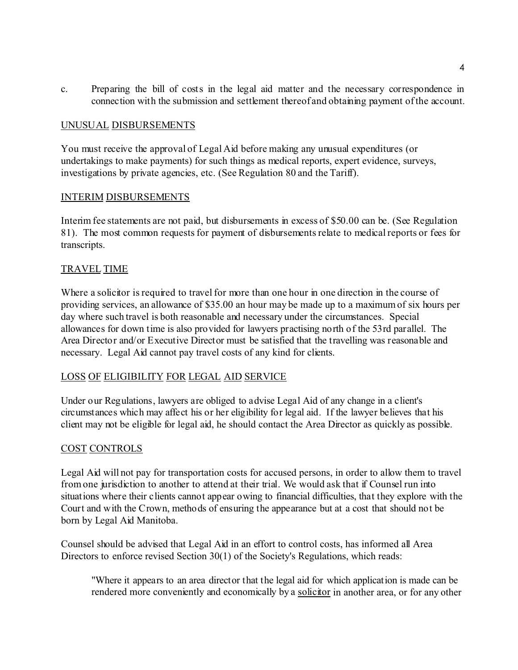c. Preparing the bill of costs in the legal aid matter and the necessary correspondence in connection with the submission and settlement thereof and obtaining payment of the account.

#### UNUSUAL DISBURSEMENTS

You must receive the approval of Legal Aid before making any unusual expenditures (or undertakings to make payments) for such things as medical reports, expert evidence, surveys, investigations by private agencies, etc. (See Regulation 80 and the Tariff).

#### INTERIM DISBURSEMENTS

Interim fee statements are not paid, but disbursements in excess of \$50.00 can be. (See Regulation 81). The most common requests for payment of disbursements relate to medical reports or fees for transcripts.

## TRAVEL TIME

Where a solicitor is required to travel for more than one hour in one direction in the course of providing services, an allowance of \$35.00 an hour may be made up to a maximum of six hours per day where such travel is both reasonable and necessary under the circumstances. Special allowances for down time is also provided for lawyers practising north of the 53rd parallel. The Area Director and/or Executive Director must be satisfied that the travelling was reasonable and necessary. Legal Aid cannot pay travel costs of any kind for clients.

## LOSS OF ELIGIBILITY FOR LEGAL AID SERVICE

Under our Regulations, lawyers are obliged to advise Legal Aid of any change in a client's circumstances which may affect his or her eligibility for legal aid. If the lawyer believes that his client may not be eligible for legal aid, he should contact the Area Director as quickly as possible.

#### COST CONTROLS

Legal Aid will not pay for transportation costs for accused persons, in order to allow them to travel from one jurisdiction to another to attend at their trial. We would ask that if Counsel run into situations where their clients cannot appear owing to financial difficulties, that they explore with the Court and with the Crown, methods of ensuring the appearance but at a cost that should not be born by Legal Aid Manitoba.

Counsel should be advised that Legal Aid in an effort to control costs, has informed all Area Directors to enforce revised Section 30(1) of the Society's Regulations, which reads:

"Where it appears to an area director that the legal aid for which application is made can be rendered more conveniently and economically by a solicitor in another area, or for any other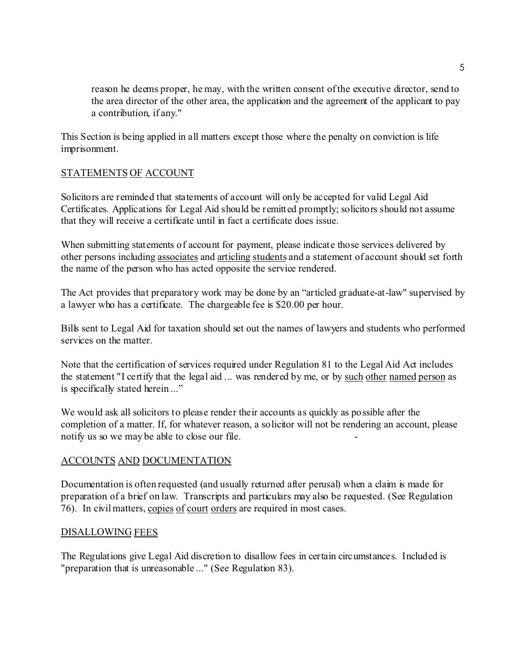reason he deems proper, he may, with the written consent of the executive director, send to the area director of the other area, the application and the agreement of the applicant to pay a contribution, if any."

This Section is being applied in all matters except those where the penalty on conviction is life imprisonment.

## STATEMENTS OF ACCOUNT

Solicitors are reminded that statements of account will only be accepted for valid Legal Aid Certificates. Applications for Legal Aid should be remitted promptly; solicitors should not assume that they will receive a certificate until in fact a certificate does issue.

When submitting statements of account for payment, please indicate those services delivered by other persons including associates and articling students and a statement of account should set forth the name of the person who has acted opposite the service rendered.

The Act provides that preparatory work may be done by an "articled graduate-at-law" supervised by a lawyer who has a certificate. The chargeable fee is \$20.00 per hour.

Bills sent to Legal Aid for taxation should set out the names of lawyers and students who performed services on the matter.

Note that the certification of services required under Regulation 81 to the Legal Aid Act includes the statement "I certify that the legal aid ... was rendered by me, or by such other named person as is specifically stated herein ..."

We would ask all solicitors to please render their accounts as quickly as possible after the completion of a matter. If, for whatever reason, a solicitor will not be rendering an account, please notify us so we may be able to close our file.

## ACCOUNTS AND DOCUMENTATION

Documentation is often requested (and usually returned after perusal) when a claim is made for preparation of a brief on law. Transcripts and particulars may also be requested. (See Regulation 76). In civil matters, copies of court orders are required in most cases.

## DISALLOWING FEES

The Regulations give Legal Aid discretion to disallow fees in certain circumstances. Included is "preparation that is unreasonable ..." (See Regulation 83).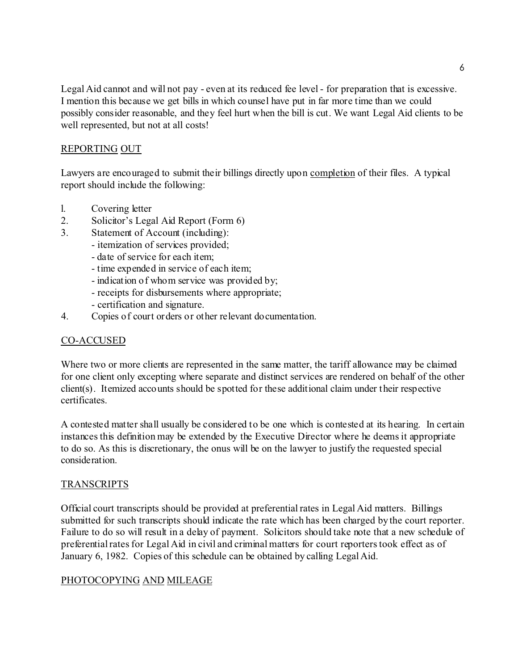Legal Aid cannot and will not pay - even at its reduced fee level - for preparation that is excessive. I mention this because we get bills in which counsel have put in far more time than we could possibly consider reasonable, and they feel hurt when the bill is cut. We want Legal Aid clients to be well represented, but not at all costs!

## REPORTING OUT

Lawyers are encouraged to submit their billings directly upon completion of their files. A typical report should include the following:

- l. Covering letter
- 2. Solicitor's Legal Aid Report (Form 6)
- 3. Statement of Account (including):
	- itemization of services provided;
	- date of service for each item;
	- time expended in service of each item;
	- indication of whom service was provided by;
	- receipts for disbursements where appropriate;
	- certification and signature.
- 4. Copies of court orders or other relevant documentation.

## CO-ACCUSED

Where two or more clients are represented in the same matter, the tariff allowance may be claimed for one client only excepting where separate and distinct services are rendered on behalf of the other client(s). Itemized accounts should be spotted for these additional claim under their respective certificates.

A contested matter shall usually be considered to be one which is contested at its hearing. In certain instances this definition may be extended by the Executive Director where he deems it appropriate to do so. As this is discretionary, the onus will be on the lawyer to justify the requested special consideration.

## **TRANSCRIPTS**

Official court transcripts should be provided at preferential rates in Legal Aid matters. Billings submitted for such transcripts should indicate the rate which has been charged by the court reporter. Failure to do so will result in a delay of payment. Solicitors should take note that a new schedule of preferential rates for Legal Aid in civil and criminal matters for court reporters took effect as of January 6, 1982. Copies of this schedule can be obtained by calling Legal Aid.

## PHOTOCOPYING AND MILEAGE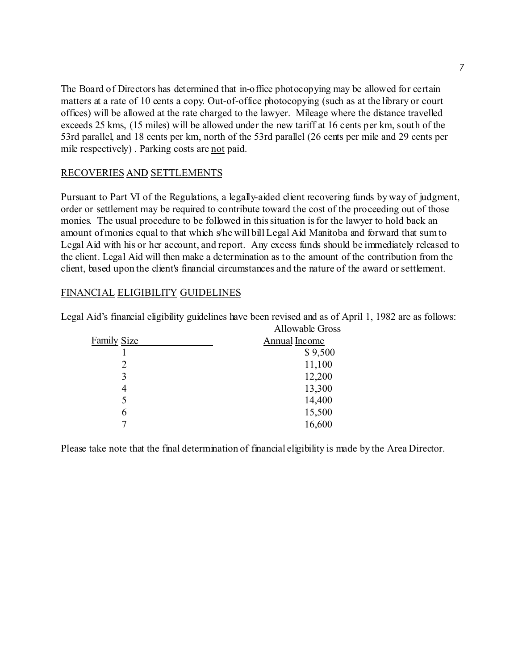The Board of Directors has determined that in-office photocopying may be allowed for certain matters at a rate of 10 cents a copy. Out-of-office photocopying (such as at the library or court offices) will be allowed at the rate charged to the lawyer. Mileage where the distance travelled exceeds 25 kms, (15 miles) will be allowed under the new tariff at 16 cents per km, south of the 53rd parallel, and 18 cents per km, north of the 53rd parallel (26 cents per mile and 29 cents per mile respectively) . Parking costs are not paid.

## RECOVERIES AND SETTLEMENTS

Pursuant to Part VI of the Regulations, a legally-aided client recovering funds by way of judgment, order or settlement may be required to contribute toward the cost of the proceeding out of those monies. The usual procedure to be followed in this situation is for the lawyer to hold back an amount of monies equal to that which s/he will bill Legal Aid Manitoba and forward that sum to Legal Aid with his or her account, and report. Any excess funds should be immediately released to the client. Legal Aid will then make a determination as to the amount of the contribution from the client, based upon the client's financial circumstances and the nature of the award or settlement.

## FINANCIAL ELIGIBILITY GUIDELINES

|                    | Allowavie Closs      |
|--------------------|----------------------|
| <b>Family Size</b> | <b>Annual Income</b> |
|                    | \$9,500              |
| 2                  | 11,100               |
| 3                  | 12,200               |
| 4                  | 13,300               |
| 5                  | 14,400               |
| 6                  | 15,500               |
|                    | 16,600               |
|                    |                      |

Legal Aid's financial eligibility guidelines have been revised and as of April 1, 1982 are as follows: Allowable Gross

Please take note that the final determination of financial eligibility is made by the Area Director.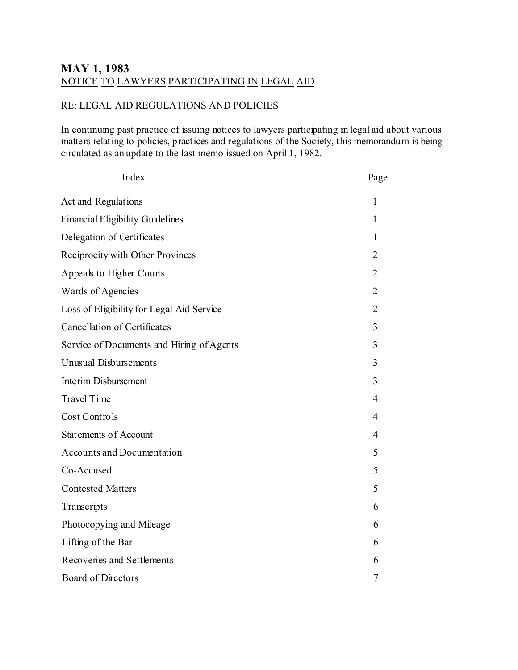# **MAY 1, 1983** NOTICE TO LAWYERS PARTICIPATING IN LEGAL AID

## RE: LEGAL AID REGULATIONS AND POLICIES

In continuing past practice of issuing notices to lawyers participating in legal aid about various matters relating to policies, practices and regulations of the Society, this memorandum is being circulated as an update to the last memo issued on April 1, 1982.

| Index                                     | Page           |
|-------------------------------------------|----------------|
| Act and Regulations                       | 1              |
| <b>Financial Eligibility Guidelines</b>   | 1              |
| Delegation of Certificates                | 1              |
| Reciprocity with Other Provinces          | 2              |
| Appeals to Higher Courts                  | $\overline{2}$ |
| Wards of Agencies                         | $\overline{2}$ |
| Loss of Eligibility for Legal Aid Service | 2              |
| <b>Cancellation of Certificates</b>       | 3              |
| Service of Documents and Hiring of Agents | 3              |
| <b>Unusual Disbursements</b>              | 3              |
| <b>Interim Disbursement</b>               | 3              |
| <b>Travel Time</b>                        | 4              |
| Cost Controls                             | 4              |
| Statements of Account                     | 4              |
| <b>Accounts and Documentation</b>         | 5              |
| Co-Accused                                | 5              |
| <b>Contested Matters</b>                  | 5              |
| Transcripts                               | 6              |
| Photocopying and Mileage                  | 6              |
| Lifting of the Bar                        | 6              |
| Recoveries and Settlements                | 6              |
| <b>Board of Directors</b>                 | 7              |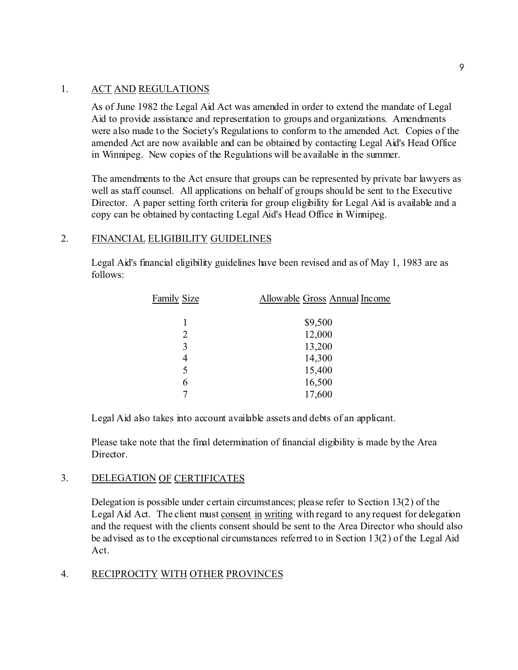## 1. ACT AND REGULATIONS

As of June 1982 the Legal Aid Act was amended in order to extend the mandate of Legal Aid to provide assistance and representation to groups and organizations. Amendments were also made to the Society's Regulations to conform to the amended Act. Copies of the amended Act are now available and can be obtained by contacting Legal Aid's Head Office in Winnipeg. New copies of the Regulations will be available in the summer.

The amendments to the Act ensure that groups can be represented by private bar lawyers as well as staff counsel. All applications on behalf of groups should be sent to the Executive Director. A paper setting forth criteria for group eligibility for Legal Aid is available and a copy can be obtained by contacting Legal Aid's Head Office in Winnipeg.

## 2. FINANCIAL ELIGIBILITY GUIDELINES

Legal Aid's financial eligibility guidelines have been revised and as of May 1, 1983 are as follows:

| <b>Family Size</b> | Allowable Gross Annual Income |  |
|--------------------|-------------------------------|--|
| 1                  | \$9,500                       |  |
| 2                  | 12,000                        |  |
| 3                  | 13,200                        |  |
| 4                  | 14,300                        |  |
| 5                  | 15,400                        |  |
| 6                  | 16,500                        |  |
|                    | 17,600                        |  |

Legal Aid also takes into account available assets and debts of an applicant.

Please take note that the final determination of financial eligibility is made by the Area Director.

## 3. DELEGATION OF CERTIFICATES

Delegation is possible under certain circumstances; please refer to Section 13(2) of the Legal Aid Act. The client must consent in writing with regard to any request for delegation and the request with the clients consent should be sent to the Area Director who should also be advised as to the exceptional circumstances referred to in Section 13(2) of the Legal Aid Act.

## 4. RECIPROCITY WITH OTHER PROVINCES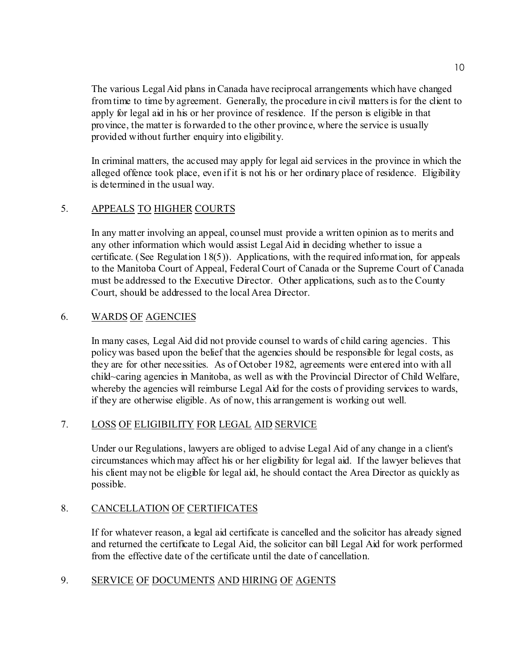The various Legal Aid plans in Canada have reciprocal arrangements which have changed from time to time by agreement. Generally, the procedure in civil matters is for the client to apply for legal aid in his or her province of residence. If the person is eligible in that province, the matter is forwarded to the other province, where the service is usually provided without further enquiry into eligibility.

In criminal matters, the accused may apply for legal aid services in the province in which the alleged offence took place, even if it is not his or her ordinary place of residence. Eligibility is determined in the usual way.

## 5. APPEALS TO HIGHER COURTS

In any matter involving an appeal, counsel must provide a written opinion as to merits and any other information which would assist Legal Aid in deciding whether to issue a certificate. (See Regulation 18(5)). Applications, with the required information, for appeals to the Manitoba Court of Appeal, Federal Court of Canada or the Supreme Court of Canada must be addressed to the Executive Director. Other applications, such as to the County Court, should be addressed to the local Area Director.

## 6. WARDS OF AGENCIES

In many cases, Legal Aid did not provide counsel to wards of child caring agencies. This policy was based upon the belief that the agencies should be responsible for legal costs, as they are for other necessities. As of October 1982, agreements were entered into with all child~caring agencies in Manitoba, as well as with the Provincial Director of Child Welfare, whereby the agencies will reimburse Legal Aid for the costs of providing services to wards, if they are otherwise eligible. As of now, this arrangement is working out well.

## 7. LOSS OF ELIGIBILITY FOR LEGAL AID SERVICE

Under our Regulations, lawyers are obliged to advise Legal Aid of any change in a client's circumstances which may affect his or her eligibility for legal aid. If the lawyer believes that his client may not be eligible for legal aid, he should contact the Area Director as quickly as possible.

## 8. CANCELLATION OF CERTIFICATES

If for whatever reason, a legal aid certificate is cancelled and the solicitor has already signed and returned the certificate to Legal Aid, the solicitor can bill Legal Aid for work performed from the effective date of the certificate until the date of cancellation.

## 9. SERVICE OF DOCUMENTS AND HIRING OF AGENTS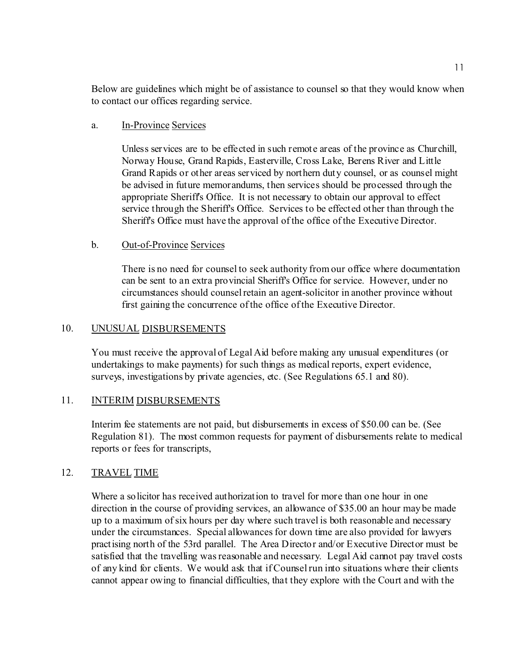Below are guidelines which might be of assistance to counsel so that they would know when to contact our offices regarding service.

## a. In-Province Services

Unless services are to be effected in such remote areas of the province as Churchill, Norway House, Grand Rapids, Easterville, Cross Lake, Berens River and Little Grand Rapids or other areas serviced by northern duty counsel, or as counsel might be advised in future memorandums, then services should be processed through the appropriate Sheriff's Office. It is not necessary to obtain our approval to effect service through the Sheriff's Office. Services to be effected other than through the Sheriff's Office must have the approval of the office of the Executive Director.

## b. Out-of-Province Services

There is no need for counsel to seek authority from our office where documentation can be sent to an extra provincial Sheriff's Office for service. However, under no circumstances should counsel retain an agent-solicitor in another province without first gaining the concurrence of the office of the Executive Director.

## 10. UNUSUAL DISBURSEMENTS

You must receive the approval of Legal Aid before making any unusual expenditures (or undertakings to make payments) for such things as medical reports, expert evidence, surveys, investigations by private agencies, etc. (See Regulations 65.1 and 80).

## 11. INTERIM DISBURSEMENTS

Interim fee statements are not paid, but disbursements in excess of \$50.00 can be. (See Regulation 81). The most common requests for payment of disbursements relate to medical reports or fees for transcripts,

## 12. TRAVEL TIME

Where a solicitor has received authorization to travel for more than one hour in one direction in the course of providing services, an allowance of \$35.00 an hour may be made up to a maximum of six hours per day where such travel is both reasonable and necessary under the circumstances. Special allowances for down time are also provided for lawyers practising north of the 53rd parallel. The Area Director and/or Executive Director must be satisfied that the travelling was reasonable and necessary. Legal Aid cannot pay travel costs of any kind for clients. We would ask that if Counsel run into situations where their clients cannot appear owing to financial difficulties, that they explore with the Court and with the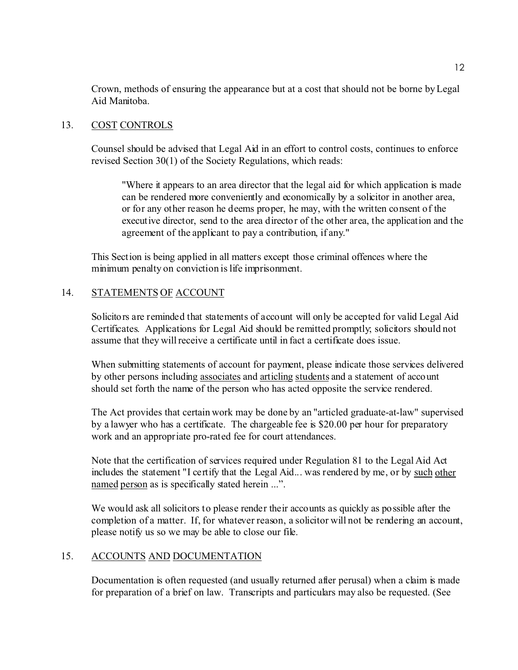Crown, methods of ensuring the appearance but at a cost that should not be borne by Legal Aid Manitoba.

## 13. COST CONTROLS

Counsel should be advised that Legal Aid in an effort to control costs, continues to enforce revised Section 30(1) of the Society Regulations, which reads:

"Where it appears to an area director that the legal aid for which application is made can be rendered more conveniently and economically by a solicitor in another area, or for any other reason he deems proper, he may, with the written consent of the executive director, send to the area director of the other area, the application and the agreement of the applicant to pay a contribution, if any."

This Section is being applied in all matters except those criminal offences where the minimum penalty on conviction is life imprisonment.

## 14. STATEMENTS OF ACCOUNT

Solicitors are reminded that statements of account will only be accepted for valid Legal Aid Certificates. Applications for Legal Aid should be remitted promptly; solicitors should not assume that they will receive a certificate until in fact a certificate does issue.

When submitting statements of account for payment, please indicate those services delivered by other persons including associates and articling students and a statement of account should set forth the name of the person who has acted opposite the service rendered.

The Act provides that certain work may be done by an "articled graduate-at-law" supervised by a lawyer who has a certificate. The chargeable fee is \$20.00 per hour for preparatory work and an appropriate pro-rated fee for court attendances.

Note that the certification of services required under Regulation 81 to the Legal Aid Act includes the statement "I certify that the Legal Aid... was rendered by me, or by such other named person as is specifically stated herein ...".

We would ask all solicitors to please render their accounts as quickly as possible after the completion of a matter. If, for whatever reason, a solicitor will not be rendering an account, please notify us so we may be able to close our file.

## 15. ACCOUNTS AND DOCUMENTATION

Documentation is often requested (and usually returned after perusal) when a claim is made for preparation of a brief on law. Transcripts and particulars may also be requested. (See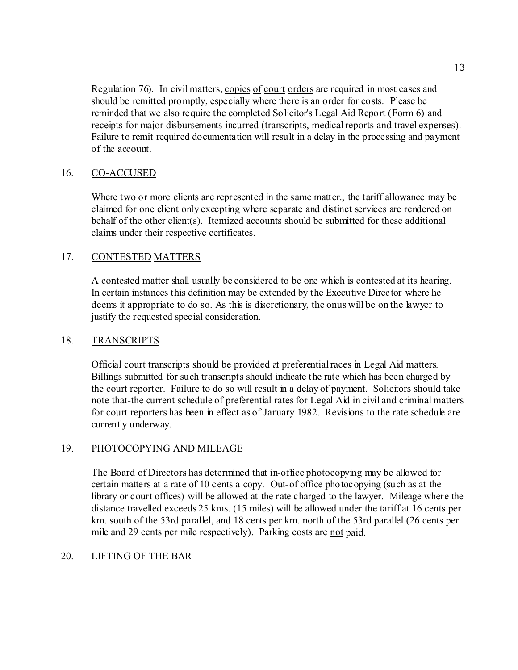Regulation 76). In civil matters, copies of court orders are required in most cases and should be remitted promptly, especially where there is an order for costs. Please be reminded that we also require the completed Solicitor's Legal Aid Report (Form 6) and receipts for major disbursements incurred (transcripts, medical reports and travel expenses). Failure to remit required documentation will result in a delay in the processing and payment of the account.

## 16. CO-ACCUSED

Where two or more clients are represented in the same matter., the tariff allowance may be claimed for one client only excepting where separate and distinct services are rendered on behalf of the other client(s). Itemized accounts should be submitted for these additional claims under their respective certificates.

## 17. CONTESTED MATTERS

A contested matter shall usually be considered to be one which is contested at its hearing. In certain instances this definition may be extended by the Executive Director where he deems it appropriate to do so. As this is discretionary, the onus will be on the lawyer to justify the requested special consideration.

## 18. TRANSCRIPTS

Official court transcripts should be provided at preferential races in Legal Aid matters. Billings submitted for such transcripts should indicate the rate which has been charged by the court reporter. Failure to do so will result in a delay of payment. Solicitors should take note that-the current schedule of preferential rates for Legal Aid in civil and criminal matters for court reporters has been in effect as of January 1982. Revisions to the rate schedule are currently underway.

## 19. PHOTOCOPYING AND MILEAGE

The Board of Directors has determined that in-office photocopying may be allowed for certain matters at a rate of 10 cents a copy. Out-of office photocopying (such as at the library or court offices) will be allowed at the rate charged to the lawyer. Mileage where the distance travelled exceeds 25 kms. (15 miles) will be allowed under the tariff at 16 cents per km. south of the 53rd parallel, and 18 cents per km. north of the 53rd parallel (26 cents per mile and 29 cents per mile respectively). Parking costs are not paid.

## 20. LIFTING OF THE BAR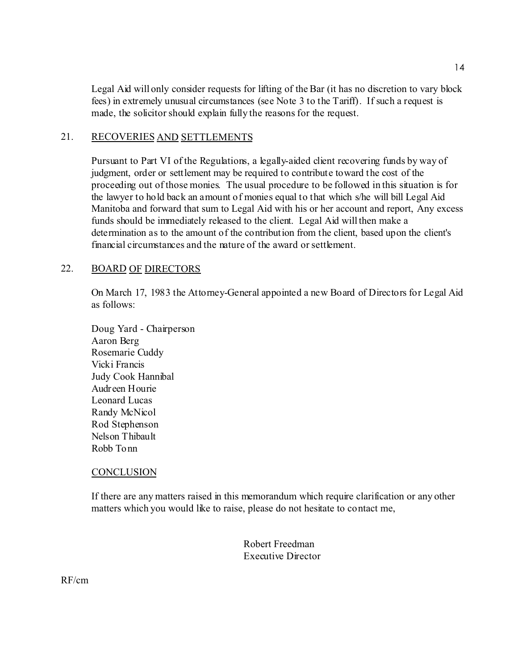Legal Aid will only consider requests for lifting of the Bar (it has no discretion to vary block fees) in extremely unusual circumstances (see Note 3 to the Tariff). If such a request is made, the solicitor should explain fully the reasons for the request.

## 21. RECOVERIES AND SETTLEMENTS

Pursuant to Part VI of the Regulations, a legally-aided client recovering funds by way of judgment, order or settlement may be required to contribute toward the cost of the proceeding out of those monies. The usual procedure to be followed in this situation is for the lawyer to hold back an amount of monies equal to that which s/he will bill Legal Aid Manitoba and forward that sum to Legal Aid with his or her account and report, Any excess funds should be immediately released to the client. Legal Aid will then make a determination as to the amount of the contribution from the client, based upon the client's financial circumstances and the nature of the award or settlement.

#### 22. BOARD OF DIRECTORS

On March 17, 1983 the Attorney-General appointed a new Board of Directors for Legal Aid as follows:

Doug Yard - Chairperson Aaron Berg Rosemarie Cuddy Vicki Francis Judy Cook Hannibal Audreen Hourie Leonard Lucas Randy McNicol Rod Stephenson Nelson Thibault Robb Tonn

#### **CONCLUSION**

If there are any matters raised in this memorandum which require clarification or any other matters which you would like to raise, please do not hesitate to contact me,

> Robert Freedman Executive Director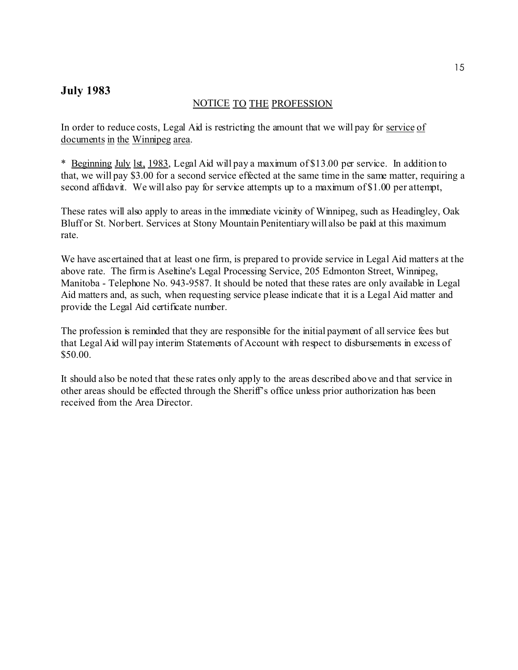## **July 1983**

## NOTICE TO THE PROFESSION

In order to reduce costs, Legal Aid is restricting the amount that we will pay for service of documents in the Winnipeg area.

\* Beginning July lst, 1983, Legal Aid will pay a maximum of \$13.00 per service. In addition to that, we will pay \$3.00 for a second service effected at the same time in the same matter, requiring a second affidavit. We will also pay for service attempts up to a maximum of \$1.00 per attempt,

These rates will also apply to areas in the immediate vicinity of Winnipeg, such as Headingley, Oak Bluff or St. Norbert. Services at Stony Mountain Penitentiary will also be paid at this maximum rate.

We have ascertained that at least one firm, is prepared to provide service in Legal Aid matters at the above rate. The firm is Aseltine's Legal Processing Service, 205 Edmonton Street, Winnipeg, Manitoba - Telephone No. 943-9587. It should be noted that these rates are only available in Legal Aid matters and, as such, when requesting service please indicate that it is a Legal Aid matter and provide the Legal Aid certificate number.

The profession is reminded that they are responsible for the initial payment of all service fees but that Legal Aid will pay interim Statements of Account with respect to disbursements in excess of \$50.00.

It should also be noted that these rates only apply to the areas described above and that service in other areas should be effected through the Sheriff's office unless prior authorization has been received from the Area Director.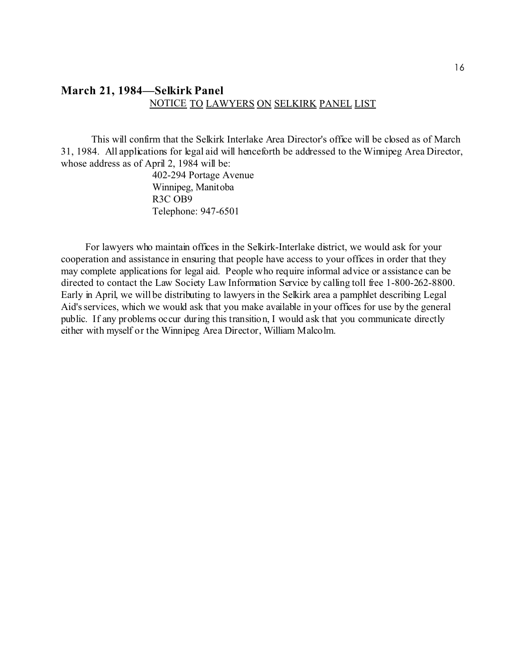## **March 21, 1984—Selkirk Panel** NOTICE TO LAWYERS ON SELKIRK PANEL LIST

This will confirm that the Selkirk Interlake Area Director's office will be closed as of March 31, 1984. All applications for legal aid will henceforth be addressed to the Winnipeg Area Director, whose address as of April 2, 1984 will be:

> 402-294 Portage Avenue Winnipeg, Manitoba R3C OB9 Telephone: 947-6501

For lawyers who maintain offices in the Selkirk-Interlake district, we would ask for your cooperation and assistance in ensuring that people have access to your offices in order that they may complete applications for legal aid. People who require informal advice or assistance can be directed to contact the Law Society Law Information Service by calling toll free 1-800-262-8800. Early in April, we will be distributing to lawyers in the Selkirk area a pamphlet describing Legal Aid's services, which we would ask that you make available in your offices for use by the general public. If any problems occur during this transition, I would ask that you communicate directly either with myself or the Winnipeg Area Director, William Malcolm.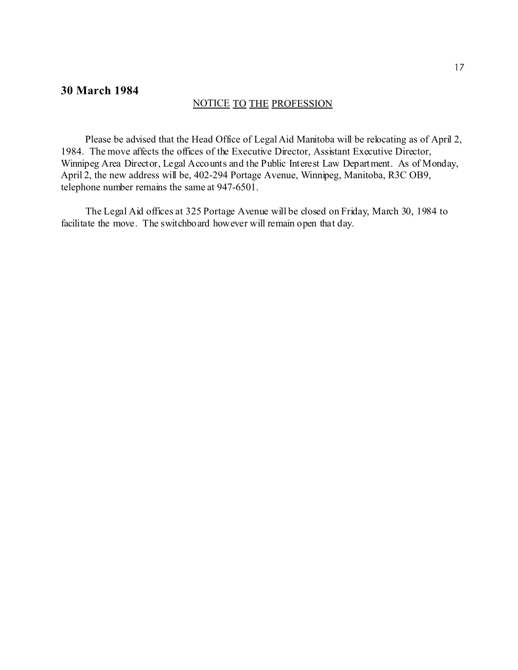## **30 March 1984**

#### NOTICE TO THE PROFESSION

Please be advised that the Head Office of Legal Aid Manitoba will be relocating as of April 2, 1984. The move affects the offices of the Executive Director, Assistant Executive Director, Winnipeg Area Director, Legal Accounts and the Public Interest Law Department. As of Monday, April 2, the new address will be, 402-294 Portage Avenue, Winnipeg, Manitoba, R3C OB9, telephone number remains the same at 947-6501.

The Legal Aid offices at 325 Portage Avenue will be closed on Friday, March 30, 1984 to facilitate the move. The switchboard however will remain open that day.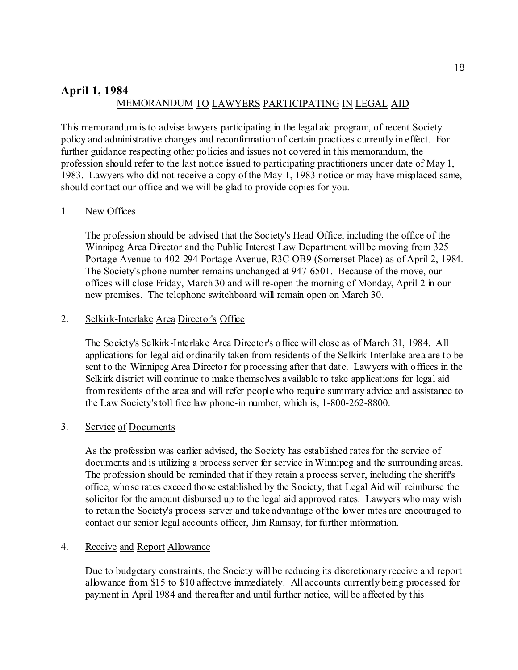# **April 1, 1984** MEMORANDUM TO LAWYERS PARTICIPATING IN LEGAL AID

This memorandum is to advise lawyers participating in the legal aid program, of recent Society policy and administrative changes and reconfirmation of certain practices currently in effect. For further guidance respecting other policies and issues not covered in this memorandum, the profession should refer to the last notice issued to participating practitioners under date of May 1, 1983. Lawyers who did not receive a copy of the May 1, 1983 notice or may have misplaced same, should contact our office and we will be glad to provide copies for you.

## 1. New Offices

The profession should be advised that the Society's Head Office, including the office of the Winnipeg Area Director and the Public Interest Law Department will be moving from 325 Portage Avenue to 402-294 Portage Avenue, R3C OB9 (Somerset Place) as of April 2, 1984. The Society's phone number remains unchanged at 947-6501. Because of the move, our offices will close Friday, March 30 and will re-open the morning of Monday, April 2 in our new premises. The telephone switchboard will remain open on March 30.

#### 2. Selkirk-Interlake Area Director's Office

The Society's Selkirk-Interlake Area Director's office will close as of March 31, 1984. All applications for legal aid ordinarily taken from residents of the Selkirk-Interlake area are to be sent to the Winnipeg Area Director for processing after that date. Lawyers with offices in the Selkirk district will continue to make themselves available to take applications for legal aid from residents of the area and will refer people who require summary advice and assistance to the Law Society's toll free law phone-in number, which is, 1-800-262-8800.

## 3. Service of Documents

As the profession was earlier advised, the Society has established rates for the service of documents and is utilizing a process server for service in Winnipeg and the surrounding areas. The profession should be reminded that if they retain a process server, including the sheriff's office, whose rates exceed those established by the Society, that Legal Aid will reimburse the solicitor for the amount disbursed up to the legal aid approved rates. Lawyers who may wish to retain the Society's process server and take advantage of the lower rates are encouraged to contact our senior legal accounts officer, Jim Ramsay, for further information.

#### 4. Receive and Report Allowance

Due to budgetary constraints, the Society will be reducing its discretionary receive and report allowance from \$15 to \$10 affective immediately. All accounts currently being processed for payment in April 1984 and thereafter and until further notice, will be affected by this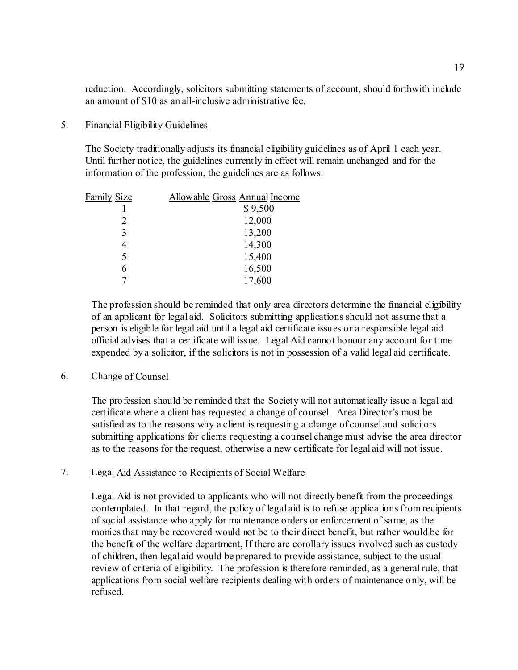reduction. Accordingly, solicitors submitting statements of account, should forthwith include an amount of \$10 as an all-inclusive administrative fee.

#### 5. Financial Eligibility Guidelines

The Society traditionally adjusts its financial eligibility guidelines as of April 1 each year. Until further notice, the guidelines currently in effect will remain unchanged and for the information of the profession, the guidelines are as follows:

| <b>Family Size</b> | Allowable Gross Annual Income |
|--------------------|-------------------------------|
|                    | \$9,500                       |
| 2                  | 12,000                        |
| 3                  | 13,200                        |
|                    | 14,300                        |
| 5                  | 15,400                        |
| 6                  | 16,500                        |
|                    | 17,600                        |

The profession should be reminded that only area directors determine the financial eligibility of an applicant for legal aid. Solicitors submitting applications should not assume that a person is eligible for legal aid until a legal aid certificate issues or a responsible legal aid official advises that a certificate will issue. Legal Aid cannot honour any account for time expended by a solicitor, if the solicitors is not in possession of a valid legal aid certificate.

## 6. Change of Counsel

The profession should be reminded that the Society will not automatically issue a legal aid certificate where a client has requested a change of counsel. Area Director's must be satisfied as to the reasons why a client is requesting a change of counsel and solicitors submitting applications for clients requesting a counsel change must advise the area director as to the reasons for the request, otherwise a new certificate for legal aid will not issue.

## 7. Legal Aid Assistance to Recipients of Social Welfare

Legal Aid is not provided to applicants who will not directly benefit from the proceedings contemplated. In that regard, the policy of legal aid is to refuse applications from recipients of social assistance who apply for maintenance orders or enforcement of same, as the monies that may be recovered would not be to their direct benefit, but rather would be for the benefit of the welfare department, If there are corollary issues involved such as custody of children, then legal aid would be prepared to provide assistance, subject to the usual review of criteria of eligibility. The profession is therefore reminded, as a general rule, that applications from social welfare recipients dealing with orders of maintenance only, will be refused.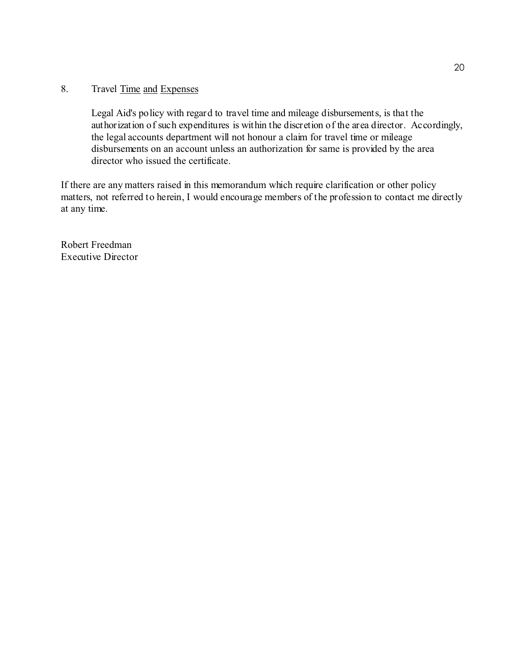## 8. Travel Time and Expenses

Legal Aid's policy with regard to travel time and mileage disbursements, is that the authorization of such expenditures is within the discretion of the area director. Accordingly, the legal accounts department will not honour a claim for travel time or mileage disbursements on an account unless an authorization for same is provided by the area director who issued the certificate.

If there are any matters raised in this memorandum which require clarification or other policy matters, not referred to herein, I would encourage members of the profession to contact me directly at any time.

Robert Freedman Executive Director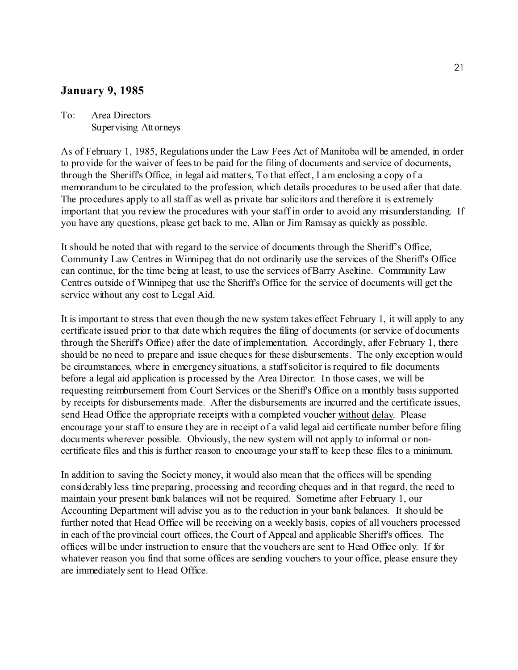## **January 9, 1985**

## To: Area Directors Supervising Attorneys

As of February 1, 1985, Regulations under the Law Fees Act of Manitoba will be amended, in order to provide for the waiver of fees to be paid for the filing of documents and service of documents, through the Sheriff's Office, in legal aid matters, To that effect, I am enclosing a copy of a memorandum to be circulated to the profession, which details procedures to be used after that date. The procedures apply to all staff as well as private bar solicitors and therefore it is extremely important that you review the procedures with your staff in order to avoid any misunderstanding. If you have any questions, please get back to me, Allan or Jim Ramsay as quickly as possible.

It should be noted that with regard to the service of documents through the Sheriff's Office, Community Law Centres in Winnipeg that do not ordinarily use the services of the Sheriff's Office can continue, for the time being at least, to use the services of Barry Aseltine. Community Law Centres outside of Winnipeg that use the Sheriff's Office for the service of documents will get the service without any cost to Legal Aid.

It is important to stress that even though the new system takes effect February 1, it will apply to any certificate issued prior to that date which requires the filing of documents (or service of documents through the Sheriff's Office) after the date of implementation. Accordingly, after February 1, there should be no need to prepare and issue cheques for these disbursements. The only exception would be circumstances, where in emergency situations, a staff solicitor is required to file documents before a legal aid application is processed by the Area Director. In those cases, we will be requesting reimbursement from Court Services or the Sheriff's Office on a monthly basis supported by receipts for disbursements made. After the disbursements are incurred and the certificate issues, send Head Office the appropriate receipts with a completed voucher without delay. Please encourage your staff to ensure they are in receipt of a valid legal aid certificate number before filing documents wherever possible. Obviously, the new system will not apply to informal or noncertificate files and this is further reason to encourage your staff to keep these files to a minimum.

In addition to saving the Society money, it would also mean that the offices will be spending considerably less time preparing, processing and recording cheques and in that regard, the need to maintain your present bank balances will not be required. Sometime after February 1, our Accounting Department will advise you as to the reduction in your bank balances. It should be further noted that Head Office will be receiving on a weekly basis, copies of all vouchers processed in each of the provincial court offices, the Court of Appeal and applicable Sheriff's offices. The offices will be under instruction to ensure that the vouchers are sent to Head Office only. If for whatever reason you find that some offices are sending vouchers to your office, please ensure they are immediately sent to Head Office.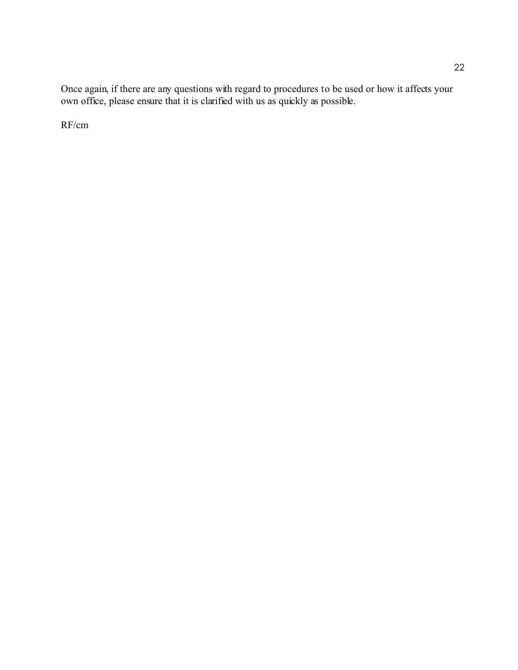Once again, if there are any questions with regard to procedures to be used or how it affects your own office, please ensure that it is clarified with us as quickly as possible.

RF/cm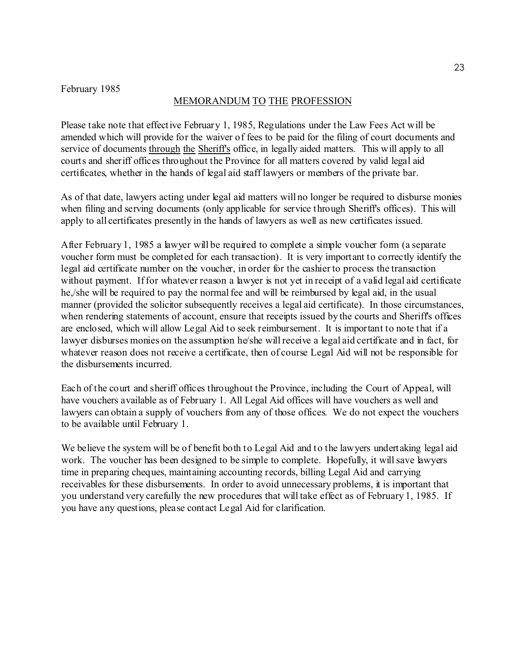#### February 1985

#### MEMORANDUM TO THE PROFESSION

Please take note that effective February 1, 1985, Regulations under the Law Fees Act will be amended which will provide for the waiver of fees to be paid for the filing of court documents and service of documents through the Sheriff's office, in legally aided matters. This will apply to all courts and sheriff offices throughout the Province for all matters covered by valid legal aid certificates, whether in the hands of legal aid staff lawyers or members of the private bar.

As of that date, lawyers acting under legal aid matters will no longer be required to disburse monies when filing and serving documents (only applicable for service through Sheriff's offices). This will apply to all certificates presently in the hands of lawyers as well as new certificates issued.

After February 1, 1985 a lawyer will be required to complete a simple voucher form (a separate voucher form must be completed for each transaction). It is very important to correctly identify the legal aid certificate number on the voucher, in order for the cashier to process the transaction without payment. If for whatever reason a lawyer is not yet in receipt of a valid legal aid certificate he,/she will be required to pay the normal fee and will be reimbursed by legal aid, in the usual manner (provided the solicitor subsequently receives a legal aid certificate). In those circumstances, when rendering statements of account, ensure that receipts issued by the courts and Sheriff's offices are enclosed, which will allow Legal Aid to seek reimbursement. It is important to note that if a lawyer disburses monies on the assumption he/she will receive a legal aid certificate and in fact, for whatever reason does not receive a certificate, then of course Legal Aid will not be responsible for the disbursements incurred.

Each of the court and sheriff offices throughout the Province, including the Court of Appeal, will have vouchers available as of February 1. All Legal Aid offices will have vouchers as well and lawyers can obtain a supply of vouchers from any of those offices. We do not expect the vouchers to be available until February 1.

We believe the system will be of benefit both to Legal Aid and to the lawyers undertaking legal aid work. The voucher has been designed to be simple to complete. Hopefully, it will save lawyers time in preparing cheques, maintaining accounting records, billing Legal Aid and carrying receivables for these disbursements. In order to avoid unnecessary problems, it is important that you understand very carefully the new procedures that will take effect as of February 1, 1985. If you have any questions, please contact Legal Aid for clarification.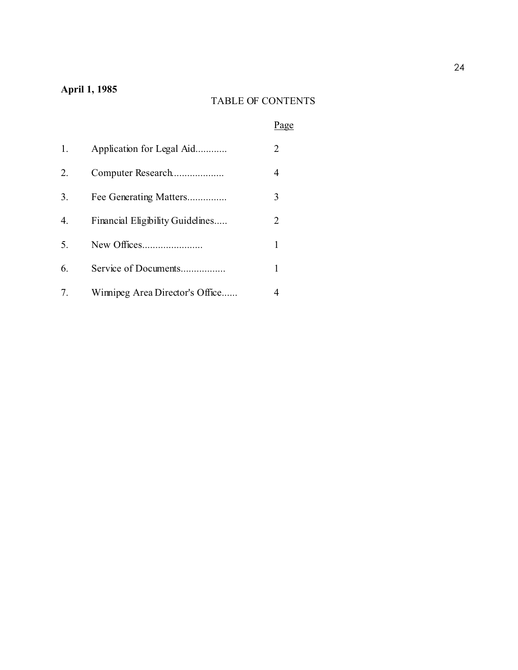## **April 1, 1985**

# TABLE OF CONTENTS

# Page

| 1. | Application for Legal Aid        |                       |
|----|----------------------------------|-----------------------|
| 2. | Computer Research                | 4                     |
| 3. | Fee Generating Matters           | 3                     |
| 4. | Financial Eligibility Guidelines | $\mathcal{D}_{\cdot}$ |
| 5. |                                  |                       |
| 6. | Service of Documents             |                       |
| 7. | Winnipeg Area Director's Office  |                       |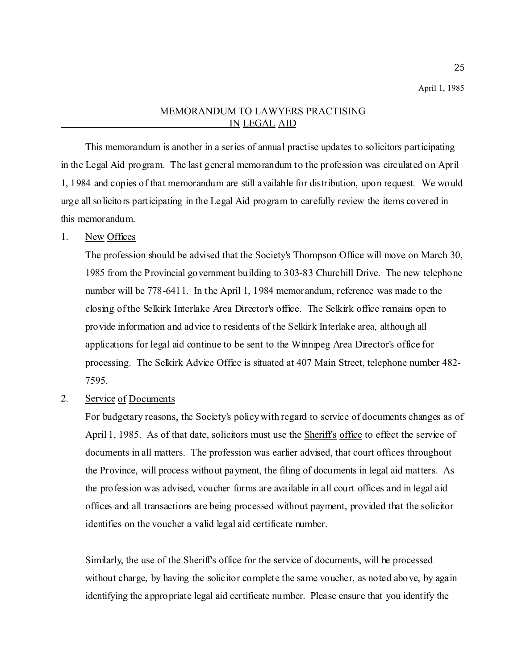#### MEMORANDUM TO LAWYERS PRACTISING IN LEGAL AID

This memorandum is another in a series of annual practise updates to solicitors participating in the Legal Aid program. The last general memorandum to the profession was circulated on April 1, 1984 and copies of that memorandum are still available for distribution, upon request. We would urge all solicitors participating in the Legal Aid program to carefully review the items covered in this memorandum.

## 1. New Offices

The profession should be advised that the Society's Thompson Office will move on March 30, 1985 from the Provincial government building to 303-83 Churchill Drive. The new telephone number will be 778-6411. In the April 1, 1984 memorandum, reference was made to the closing of the Selkirk Interlake Area Director's office. The Selkirk office remains open to provide information and advice to residents of the Selkirk Interlake area, although all applications for legal aid continue to be sent to the Winnipeg Area Director's office for processing. The Selkirk Advice Office is situated at 407 Main Street, telephone number 482- 7595.

2. Service of Documents

For budgetary reasons, the Society's policy with regard to service of documents changes as of April 1, 1985. As of that date, solicitors must use the Sheriff's office to effect the service of documents in all matters. The profession was earlier advised, that court offices throughout the Province, will process without payment, the filing of documents in legal aid matters. As the profession was advised, voucher forms are available in all court offices and in legal aid offices and all transactions are being processed without payment, provided that the solicitor identifies on the voucher a valid legal aid certificate number.

Similarly, the use of the Sheriff's office for the service of documents, will be processed without charge, by having the solicitor complete the same voucher, as noted above, by again identifying the appropriate legal aid certificate number. Please ensure that you identify the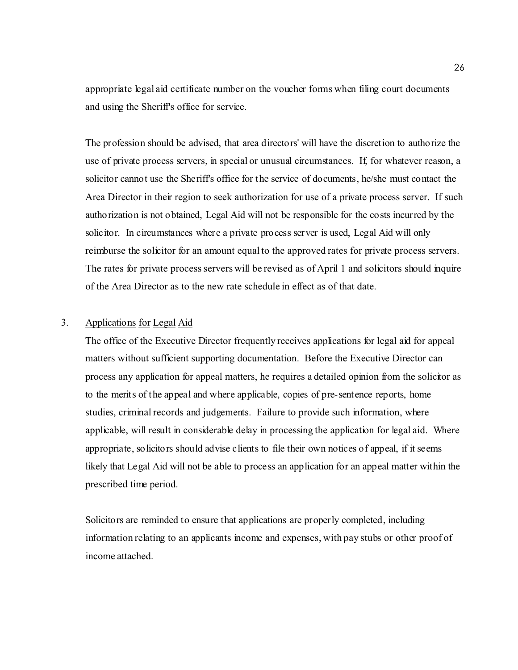appropriate legal aid certificate number on the voucher forms when filing court documents and using the Sheriff's office for service.

The profession should be advised, that area directors' will have the discretion to authorize the use of private process servers, in special or unusual circumstances. If, for whatever reason, a solicitor cannot use the Sheriff's office for the service of documents, he/she must contact the Area Director in their region to seek authorization for use of a private process server. If such authorization is not obtained, Legal Aid will not be responsible for the costs incurred by the solicitor. In circumstances where a private process server is used, Legal Aid will only reimburse the solicitor for an amount equal to the approved rates for private process servers. The rates for private process servers will be revised as of April 1 and solicitors should inquire of the Area Director as to the new rate schedule in effect as of that date.

## 3. Applications for Legal Aid

The office of the Executive Director frequently receives applications for legal aid for appeal matters without sufficient supporting documentation. Before the Executive Director can process any application for appeal matters, he requires a detailed opinion from the solicitor as to the merits of the appeal and where applicable, copies of pre-sentence reports, home studies, criminal records and judgements. Failure to provide such information, where applicable, will result in considerable delay in processing the application for legal aid. Where appropriate, solicitors should advise clients to file their own notices of appeal, if it seems likely that Legal Aid will not be able to process an application for an appeal matter within the prescribed time period.

Solicitors are reminded to ensure that applications are properly completed, including information relating to an applicants income and expenses, with pay stubs or other proof of income attached.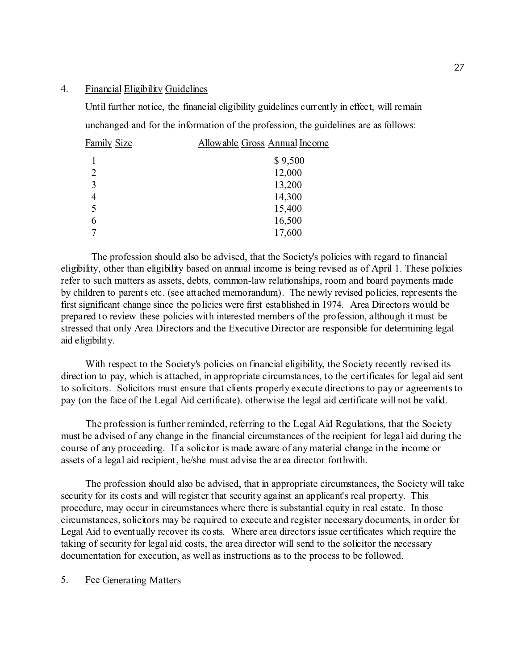#### 4. Financial Eligibility Guidelines

Until further notice, the financial eligibility guidelines currently in effect, will remain unchanged and for the information of the profession, the guidelines are as follows:

| <b>Family Size</b> | Allowable Gross Annual Income |
|--------------------|-------------------------------|
|                    | \$9,500                       |
| $\overline{2}$     | 12,000                        |
| 3                  | 13,200                        |
| 4                  | 14,300                        |
| 5                  | 15,400                        |
| 6                  | 16,500                        |
| 7                  | 17,600                        |
|                    |                               |

The profession should also be advised, that the Society's policies with regard to financial eligibility, other than eligibility based on annual income is being revised as of April 1. These policies refer to such matters as assets, debts, common-law relationships, room and board payments made by children to parents etc. (see attached memorandum). The newly revised policies, represents the first significant change since the policies were first established in 1974. Area Directors would be prepared to review these policies with interested members of the profession, although it must be stressed that only Area Directors and the Executive Director are responsible for determining legal aid eligibility.

With respect to the Society's policies on financial eligibility, the Society recently revised its direction to pay, which is attached, in appropriate circumstances, to the certificates for legal aid sent to solicitors. Solicitors must ensure that clients properly execute directions to pay or agreements to pay (on the face of the Legal Aid certificate). otherwise the legal aid certificate will not be valid.

The profession is further reminded, referring to the Legal Aid Regulations, that the Society must be advised of any change in the financial circumstances of the recipient for legal aid during the course of any proceeding. If a solicitor is made aware of any material change in the income or assets of a legal aid recipient, he/she must advise the area director forthwith.

The profession should also be advised, that in appropriate circumstances, the Society will take security for its costs and will register that security against an applicant's real property. This procedure, may occur in circumstances where there is substantial equity in real estate. In those circumstances, solicitors may be required to execute and register necessary documents, in order for Legal Aid to eventually recover its costs. Where area directors issue certificates which require the taking of security for legal aid costs, the area director will send to the solicitor the necessary documentation for execution, as well as instructions as to the process to be followed.

5. Fee Generating Matters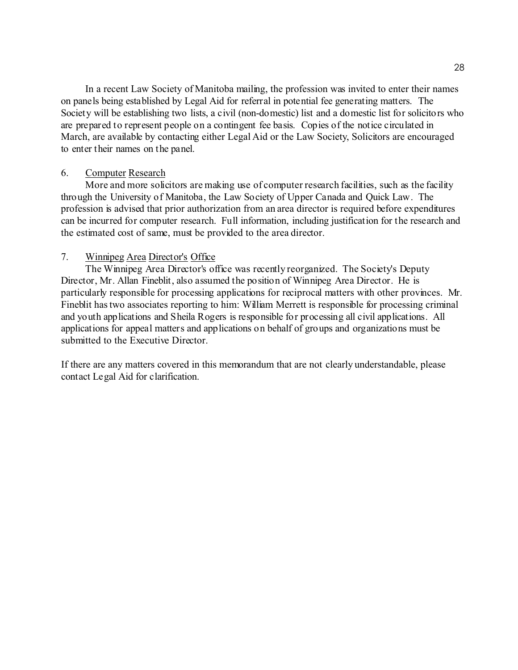In a recent Law Society of Manitoba mailing, the profession was invited to enter their names on panels being established by Legal Aid for referral in potential fee generating matters. The Society will be establishing two lists, a civil (non-domestic) list and a domestic list for solicitors who are prepared to represent people on a contingent fee basis. Copies of the notice circulated in March, are available by contacting either Legal Aid or the Law Society, Solicitors are encouraged to enter their names on the panel.

#### 6. Computer Research

More and more solicitors are making use of computer research facilities, such as the facility through the University of Manitoba, the Law Society of Upper Canada and Quick Law. The profession is advised that prior authorization from an area director is required before expenditures can be incurred for computer research. Full information, including justification for the research and the estimated cost of same, must be provided to the area director.

## 7. Winnipeg Area Director's Office

The Winnipeg Area Director's office was recently reorganized. The Society's Deputy Director, Mr. Allan Fineblit, also assumed the position of Winnipeg Area Director. He is particularly responsible for processing applications for reciprocal matters with other provinces. Mr. Fineblit has two associates reporting to him: William Merrett is responsible for processing criminal and youth applications and Sheila Rogers is responsible for processing all civil applications. All applications for appeal matters and applications on behalf of groups and organizations must be submitted to the Executive Director.

If there are any matters covered in this memorandum that are not clearly understandable, please contact Legal Aid for clarification.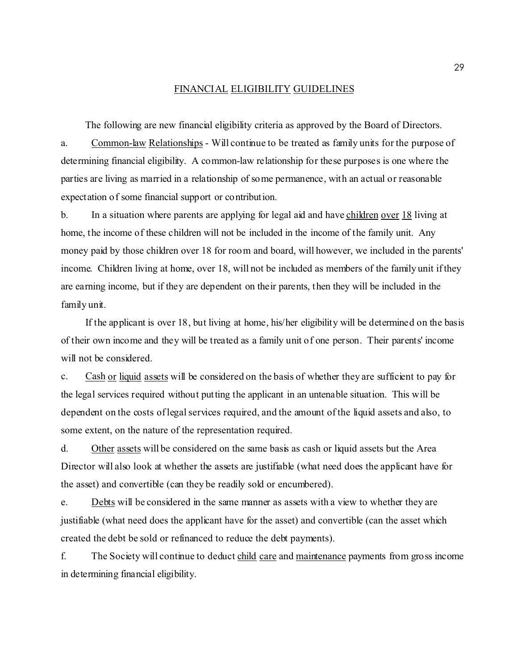#### FINANCIAL ELIGIBILITY GUIDELINES

The following are new financial eligibility criteria as approved by the Board of Directors. a. Common-law Relationships - Will continue to be treated as family units for the purpose of determining financial eligibility. A common-law relationship for these purposes is one where the parties are living as married in a relationship of some permanence, with an actual or reasonable expectation of some financial support or contribution.

b. In a situation where parents are applying for legal aid and have children over 18 living at home, the income of these children will not be included in the income of the family unit. Any money paid by those children over 18 for room and board, will however, we included in the parents' income. Children living at home, over 18, will not be included as members of the family unit if they are earning income, but if they are dependent on their parents, then they will be included in the family unit.

If the applicant is over 18, but living at home, his/her eligibility will be determined on the basis of their own income and they will be treated as a family unit of one person. Their parents' income will not be considered.

c. Cash or liquid assets will be considered on the basis of whether they are sufficient to pay for the legal services required without putting the applicant in an untenable situation. This will be dependent on the costs of legal services required, and the amount of the liquid assets and also, to some extent, on the nature of the representation required.

d. Other assets will be considered on the same basis as cash or liquid assets but the Area Director will also look at whether the assets are justifiable (what need does the applicant have for the asset) and convertible (can they be readily sold or encumbered).

e. Debts will be considered in the same manner as assets with a view to whether they are justifiable (what need does the applicant have for the asset) and convertible (can the asset which created the debt be sold or refinanced to reduce the debt payments).

f. The Society will continue to deduct child care and maintenance payments from gross income in determining financial eligibility.

29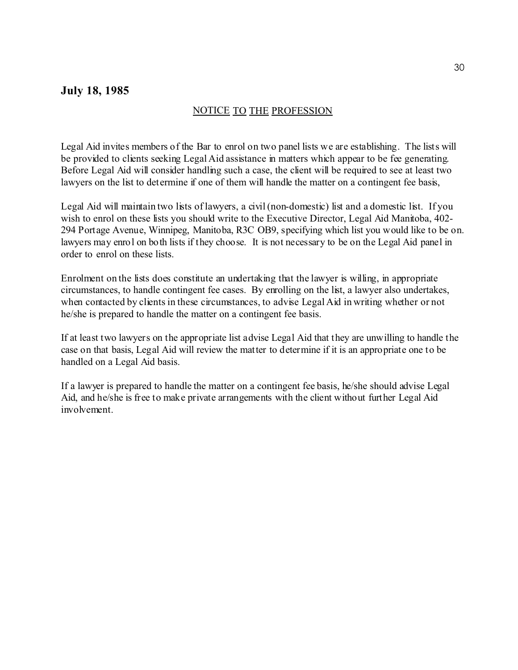## **July 18, 1985**

#### NOTICE TO THE PROFESSION

Legal Aid invites members of the Bar to enrol on two panel lists we are establishing. The lists will be provided to clients seeking Legal Aid assistance in matters which appear to be fee generating. Before Legal Aid will consider handling such a case, the client will be required to see at least two lawyers on the list to determine if one of them will handle the matter on a contingent fee basis,

Legal Aid will maintain two lists of lawyers, a civil (non-domestic) list and a domestic list. If you wish to enrol on these lists you should write to the Executive Director, Legal Aid Manitoba, 402-294 Portage Avenue, Winnipeg, Manitoba, R3C OB9, specifying which list you would like to be on. lawyers may enrol on both lists if they choose. It is not necessary to be on the Legal Aid panel in order to enrol on these lists.

Enrolment on the lists does constitute an undertaking that the lawyer is willing, in appropriate circumstances, to handle contingent fee cases. By enrolling on the list, a lawyer also undertakes, when contacted by clients in these circumstances, to advise Legal Aid in writing whether or not he/she is prepared to handle the matter on a contingent fee basis.

If at least two lawyers on the appropriate list advise Legal Aid that they are unwilling to handle the case on that basis, Legal Aid will review the matter to determine if it is an appropriate one to be handled on a Legal Aid basis.

If a lawyer is prepared to handle the matter on a contingent fee basis, he/she should advise Legal Aid, and he/she is free to make private arrangements with the client without further Legal Aid involvement.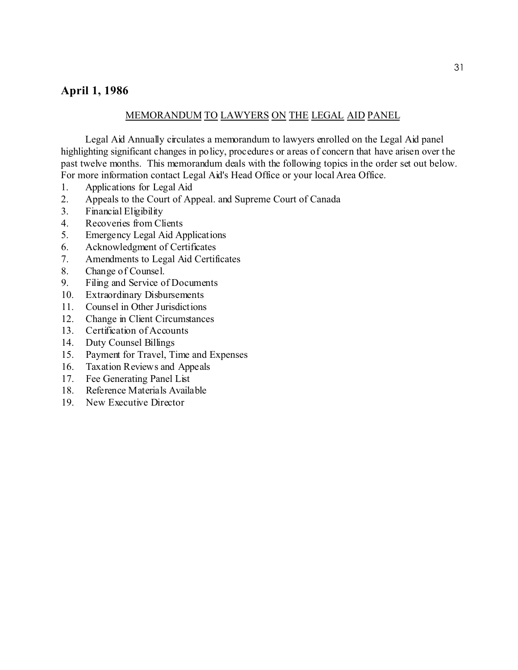## **April 1, 1986**

## MEMORANDUM TO LAWYERS ON THE LEGAL AID PANEL

Legal Aid Annually circulates a memorandum to lawyers enrolled on the Legal Aid panel highlighting significant changes in policy, procedures or areas of concern that have arisen over the past twelve months. This memorandum deals with the following topics in the order set out below. For more information contact Legal Aid's Head Office or your local Area Office.

- 1. Applications for Legal Aid
- 2. Appeals to the Court of Appeal. and Supreme Court of Canada
- 3. Financial Eligibility
- 4. Recoveries from Clients
- 5. Emergency Legal Aid Applications
- 6. Acknowledgment of Certificates
- 7. Amendments to Legal Aid Certificates
- 8. Change of Counsel.
- 9. Filing and Service of Documents
- 10. Extraordinary Disbursements
- 11. Counsel in Other Jurisdictions
- 12. Change in Client Circumstances
- 13. Certification of Accounts
- 14. Duty Counsel Billings
- 15. Payment for Travel, Time and Expenses
- 16. Taxation Reviews and Appeals
- 17. Fee Generating Panel List
- 18. Reference Materials Available
- 19. New Executive Director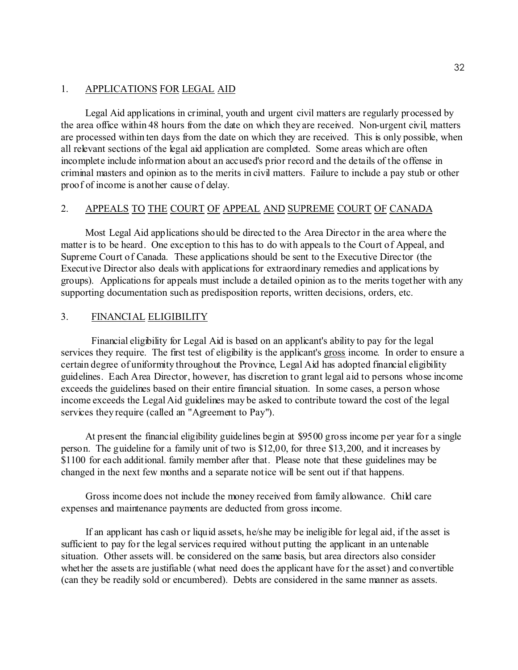#### 1. APPLICATIONS FOR LEGAL AID

Legal Aid applications in criminal, youth and urgent civil matters are regularly processed by the area office within 48 hours from the date on which they are received. Non-urgent civil, matters are processed within ten days from the date on which they are received. This is only possible, when all relevant sections of the legal aid application are completed. Some areas which are often incomplete include information about an accused's prior record and the details of the offense in criminal masters and opinion as to the merits in civil matters. Failure to include a pay stub or other proof of income is another cause of delay.

#### 2. APPEALS TO THE COURT OF APPEAL AND SUPREME COURT OF CANADA

Most Legal Aid applications should be directed to the Area Director in the area where the matter is to be heard. One exception to this has to do with appeals to the Court of Appeal, and Supreme Court of Canada. These applications should be sent to the Executive Director (the Executive Director also deals with applications for extraordinary remedies and applications by groups). Applications for appeals must include a detailed opinion as to the merits together with any supporting documentation such as predisposition reports, written decisions, orders, etc.

#### 3. FINANCIAL ELIGIBILITY

Financial eligibility for Legal Aid is based on an applicant's ability to pay for the legal services they require. The first test of eligibility is the applicant's gross income. In order to ensure a certain degree of uniformity throughout the Province, Legal Aid has adopted financial eligibility guidelines. Each Area Director, however, has discretion to grant legal aid to persons whose income exceeds the guidelines based on their entire financial situation. In some cases, a person whose income exceeds the Legal Aid guidelines may be asked to contribute toward the cost of the legal services they require (called an "Agreement to Pay").

At present the financial eligibility guidelines begin at \$9500 gross income per year for a single person. The guideline for a family unit of two is \$12,00, for three \$13,200, and it increases by \$1100 for each additional. family member after that. Please note that these guidelines may be changed in the next few months and a separate notice will be sent out if that happens.

Gross income does not include the money received from family allowance. Child care expenses and maintenance payments are deducted from gross income.

If an applicant has cash or liquid assets, he/she may be ineligible for legal aid, if the asset is sufficient to pay for the legal services required without putting the applicant in an untenable situation. Other assets will. be considered on the same basis, but area directors also consider whether the assets are justifiable (what need does the applicant have for the asset) and convertible (can they be readily sold or encumbered). Debts are considered in the same manner as assets.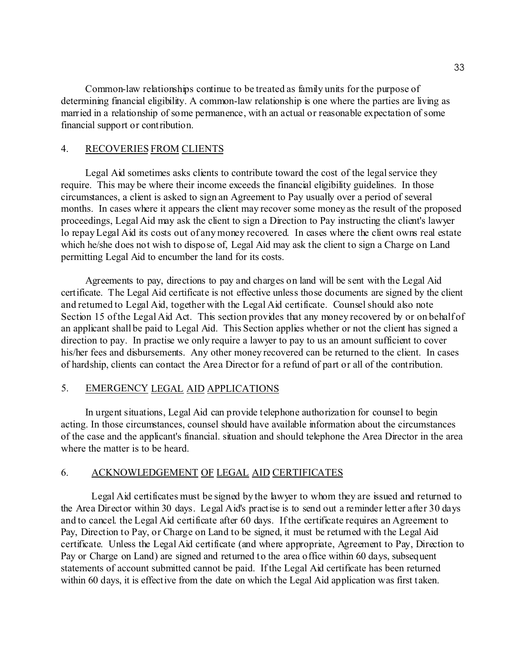Common-law relationships continue to be treated as family units for the purpose of determining financial eligibility. A common-law relationship is one where the parties are living as married in a relationship of some permanence, with an actual or reasonable expectation of some financial support or contribution.

## 4. RECOVERIES FROM CLIENTS

Legal Aid sometimes asks clients to contribute toward the cost of the legal service they require. This may be where their income exceeds the financial eligibility guidelines. In those circumstances, a client is asked to sign an Agreement to Pay usually over a period of several months. In cases where it appears the client may recover some money as the result of the proposed proceedings, Legal Aid may ask the client to sign a Direction to Pay instructing the client's lawyer lo repay Legal Aid its costs out of any money recovered. In cases where the client owns real estate which he/she does not wish to dispose of, Legal Aid may ask the client to sign a Charge on Land permitting Legal Aid to encumber the land for its costs.

Agreements to pay, directions to pay and charges on land will be sent with the Legal Aid certificate. The Legal Aid certificate is not effective unless those documents are signed by the client and returned to Legal Aid, together with the Legal Aid certificate. Counsel should also note Section 15 of the Legal Aid Act. This section provides that any money recovered by or on behalf of an applicant shall be paid to Legal Aid. This Section applies whether or not the client has signed a direction to pay. In practise we only require a lawyer to pay to us an amount sufficient to cover his/her fees and disbursements. Any other money recovered can be returned to the client. In cases of hardship, clients can contact the Area Director for a refund of part or all of the contribution.

## 5. EMERGENCY LEGAL AID APPLICATIONS

In urgent situations, Legal Aid can provide telephone authorization for counsel to begin acting. In those circumstances, counsel should have available information about the circumstances of the case and the applicant's financial. situation and should telephone the Area Director in the area where the matter is to be heard.

#### 6. ACKNOWLEDGEMENT OF LEGAL AID CERTIFICATES

Legal Aid certificates must be signed by the lawyer to whom they are issued and returned to the Area Director within 30 days. Legal Aid's practise is to send out a reminder letter after 30 days and to cancel. the Legal Aid certificate after 60 days. If the certificate requires an Agreement to Pay, Direction to Pay, or Charge on Land to be signed, it must be returned with the Legal Aid certificate. Unless the Legal Aid certificate (and where appropriate, Agreement to Pay, Direction to Pay or Charge on Land) are signed and returned to the area office within 60 days, subsequent statements of account submitted cannot be paid. If the Legal Aid certificate has been returned within 60 days, it is effective from the date on which the Legal Aid application was first taken.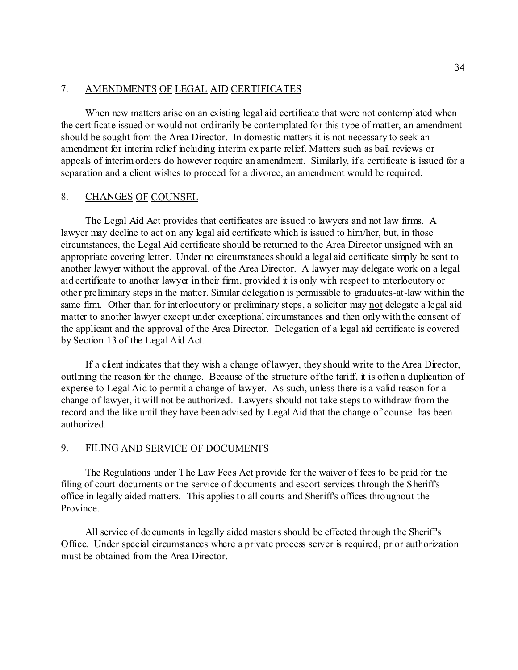## 7. AMENDMENTS OF LEGAL AID CERTIFICATES

When new matters arise on an existing legal aid certificate that were not contemplated when the certificate issued or would not ordinarily be contemplated for this type of matter, an amendment should be sought from the Area Director. In domestic matters it is not necessary to seek an amendment for interim relief including interim ex parte relief. Matters such as bail reviews or appeals of interim orders do however require an amendment. Similarly, if a certificate is issued for a separation and a client wishes to proceed for a divorce, an amendment would be required.

#### 8. CHANGES OF COUNSEL

The Legal Aid Act provides that certificates are issued to lawyers and not law firms. A lawyer may decline to act on any legal aid certificate which is issued to him/her, but, in those circumstances, the Legal Aid certificate should be returned to the Area Director unsigned with an appropriate covering letter. Under no circumstances should a legal aid certificate simply be sent to another lawyer without the approval. of the Area Director. A lawyer may delegate work on a legal aid certificate to another lawyer in their firm, provided it is only with respect to interlocutory or other preliminary steps in the matter. Similar delegation is permissible to graduates-at-law within the same firm. Other than for interlocutory or preliminary steps, a solicitor may not delegate a legal aid matter to another lawyer except under exceptional circumstances and then only with the consent of the applicant and the approval of the Area Director. Delegation of a legal aid certificate is covered by Section 13 of the Legal Aid Act.

If a client indicates that they wish a change of lawyer, they should write to the Area Director, outlining the reason for the change. Because of the structure of the tariff, it is often a duplication of expense to Legal Aid to permit a change of lawyer. As such, unless there is a valid reason for a change of lawyer, it will not be authorized. Lawyers should not take steps to withdraw from the record and the like until they have been advised by Legal Aid that the change of counsel has been authorized.

#### 9. FILING AND SERVICE OF DOCUMENTS

The Regulations under The Law Fees Act provide for the waiver of fees to be paid for the filing of court documents or the service of documents and escort services through the Sheriff's office in legally aided matters. This applies to all courts and Sheriff's offices throughout the Province.

All service of documents in legally aided masters should be effected through the Sheriff's Office. Under special circumstances where a private process server is required, prior authorization must be obtained from the Area Director.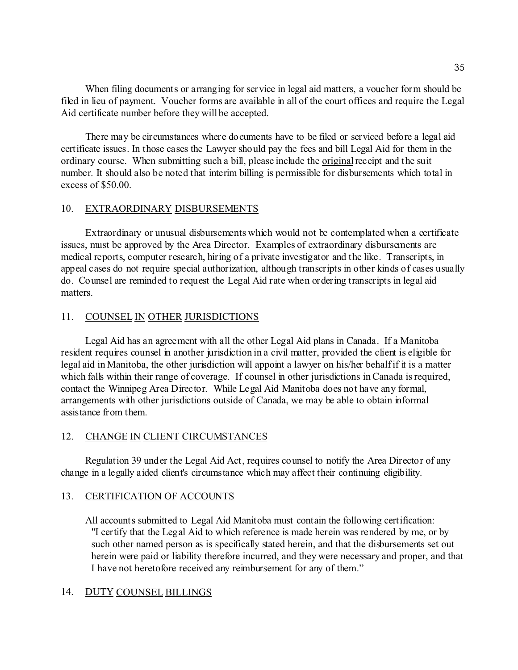When filing documents or arranging for service in legal aid matters, a voucher form should be filed in lieu of payment. Voucher forms are available in all of the court offices and require the Legal Aid certificate number before they will be accepted.

There may be circumstances where documents have to be filed or serviced before a legal aid certificate issues. In those cases the Lawyer should pay the fees and bill Legal Aid for them in the ordinary course. When submitting such a bill, please include the original receipt and the suit number. It should also be noted that interim billing is permissible for disbursements which total in excess of \$50.00.

#### 10. EXTRAORDINARY DISBURSEMENTS

Extraordinary or unusual disbursements which would not be contemplated when a certificate issues, must be approved by the Area Director. Examples of extraordinary disbursements are medical reports, computer research, hiring of a private investigator and the like. Transcripts, in appeal cases do not require special authorization, although transcripts in other kinds of cases usually do. Counsel are reminded to request the Legal Aid rate when ordering transcripts in legal aid matters.

## 11. COUNSEL IN OTHER JURISDICTIONS

Legal Aid has an agreement with all the other Legal Aid plans in Canada. If a Manitoba resident requires counsel in another jurisdiction in a civil matter, provided the client is eligible for legal aid in Manitoba, the other jurisdiction will appoint a lawyer on his/her behalf if it is a matter which falls within their range of coverage. If counsel in other jurisdictions in Canada is required, contact the Winnipeg Area Director. While Legal Aid Manitoba does not have any formal, arrangements with other jurisdictions outside of Canada, we may be able to obtain informal assistance from them.

## 12. CHANGE IN CLIENT CIRCUMSTANCES

Regulation 39 under the Legal Aid Act, requires counsel to notify the Area Director of any change in a legally aided client's circumstance which may affect their continuing eligibility.

## 13. CERTIFICATION OF ACCOUNTS

All accounts submitted to Legal Aid Manitoba must contain the following certification: "I certify that the Legal Aid to which reference is made herein was rendered by me, or by such other named person as is specifically stated herein, and that the disbursements set out herein were paid or liability therefore incurred, and they were necessary and proper, and that I have not heretofore received any reimbursement for any of them."

## 14. DUTY COUNSEL BILLINGS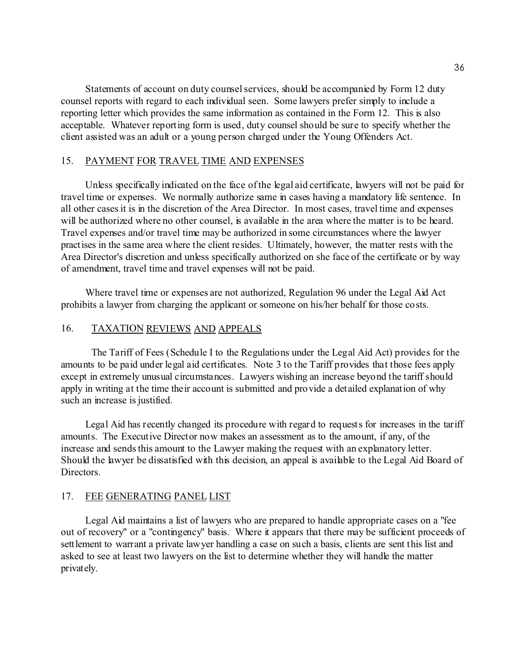Statements of account on duty counsel services, should be accompanied by Form 12 duty counsel reports with regard to each individual seen. Some lawyers prefer simply to include a reporting letter which provides the same information as contained in the Form 12. This is also acceptable. Whatever reporting form is used, duty counsel should be sure to specify whether the client assisted was an adult or a young person charged under the Young Offenders Act.

#### 15. PAYMENT FOR TRAVEL TIME AND EXPENSES

Unless specifically indicated on the face of the legal aid certificate, lawyers will not be paid for travel time or expenses. We normally authorize same in cases having a mandatory life sentence. In all other cases it is in the discretion of the Area Director. In most cases, travel time and expenses will be authorized where no other counsel, is available in the area where the matter is to be heard. Travel expenses and/or travel time may be authorized in some circumstances where the lawyer practises in the same area where the client resides. Ultimately, however, the matter rests with the Area Director's discretion and unless specifically authorized on she face of the certificate or by way of amendment, travel time and travel expenses will not be paid.

Where travel time or expenses are not authorized, Regulation 96 under the Legal Aid Act prohibits a lawyer from charging the applicant or someone on his/her behalf for those costs.

#### 16. TAXATION REVIEWS AND APPEALS

The Tariff of Fees (Schedule I to the Regulations under the Legal Aid Act) provides for the amounts to be paid under legal aid certificates. Note 3 to the Tariff provides that those fees apply except in extremely unusual circumstances. Lawyers wishing an increase beyond the tariff should apply in writing at the time their account is submitted and provide a detailed explanation of why such an increase is justified.

Legal Aid has recently changed its procedure with regard to requests for increases in the tariff amounts. The Executive Director now makes an assessment as to the amount, if any, of the increase and sends this amount to the Lawyer making the request with an explanatory letter. Should the lawyer be dissatisfied with this decision, an appeal is available to the Legal Aid Board of Directors.

#### 17. FEE GENERATING PANEL LIST

Legal Aid maintains a list of lawyers who are prepared to handle appropriate cases on a "fee out of recovery" or a "contingency" basis. Where it appears that there may be sufficient proceeds of settlement to warrant a private lawyer handling a case on such a basis, clients are sent this list and asked to see at least two lawyers on the list to determine whether they will handle the matter privately.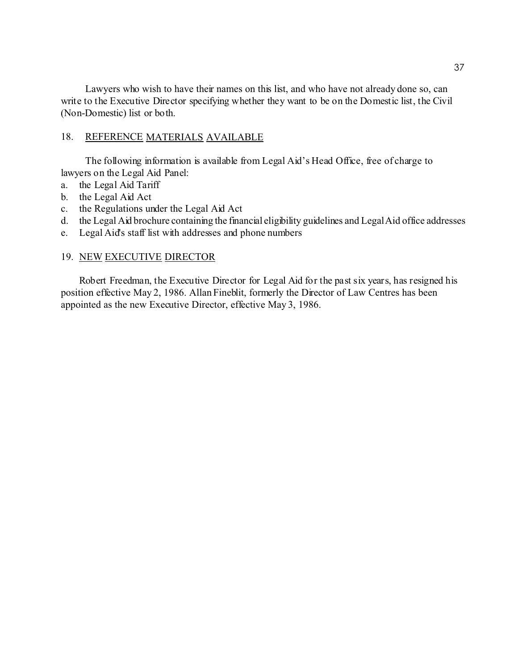Lawyers who wish to have their names on this list, and who have not already done so, can write to the Executive Director specifying whether they want to be on the Domestic list, the Civil (Non-Domestic) list or both.

#### 18. REFERENCE MATERIALS AVAILABLE

The following information is available from Legal Aid's Head Office, free of charge to lawyers on the Legal Aid Panel:

- a. the Legal Aid Tariff
- b. the Legal Aid Act
- c. the Regulations under the Legal Aid Act
- d. the Legal Aid brochure containing the financial eligibility guidelines and Legal Aid office addresses
- e. Legal Aid's staff list with addresses and phone numbers

#### 19. NEW EXECUTIVE DIRECTOR

Robert Freedman, the Executive Director for Legal Aid for the past six years, has resigned his position effective May 2, 1986. Allan Fineblit, formerly the Director of Law Centres has been appointed as the new Executive Director, effective May 3, 1986.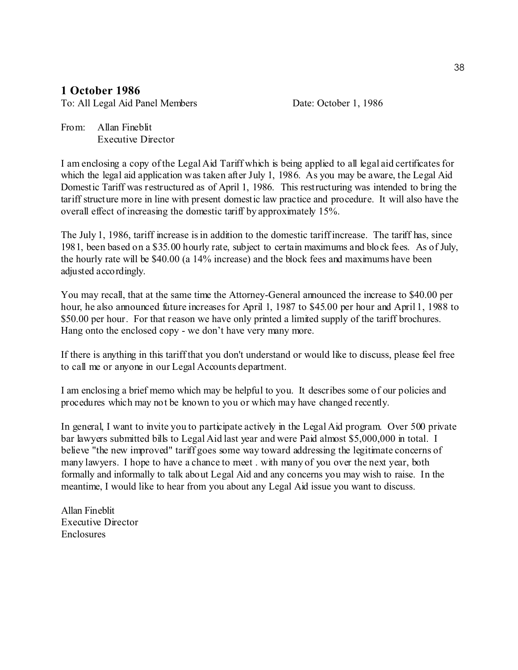# **1 October 1986**

To: All Legal Aid Panel Members Date: October 1, 1986

From: Allan Fineblit Executive Director

I am enclosing a copy of the Legal Aid Tariff which is being applied to all legal aid certificates for which the legal aid application was taken after July 1, 1986. As you may be aware, the Legal Aid Domestic Tariff was restructured as of April 1, 1986. This restructuring was intended to bring the tariff structure more in line with present domestic law practice and procedure. It will also have the overall effect of increasing the domestic tariff by approximately 15%.

The July 1, 1986, tariff increase is in addition to the domestic tariff increase. The tariff has, since 1981, been based on a \$35.00 hourly rate, subject to certain maximums and block fees. As of July, the hourly rate will be \$40.00 (a 14% increase) and the block fees and maximums have been adjusted accordingly.

You may recall, that at the same time the Attorney-General announced the increase to \$40.00 per hour, he also announced future increases for April 1, 1987 to \$45.00 per hour and April 1, 1988 to \$50.00 per hour. For that reason we have only printed a limited supply of the tariff brochures. Hang onto the enclosed copy - we don't have very many more.

If there is anything in this tariff that you don't understand or would like to discuss, please feel free to call me or anyone in our Legal Accounts department.

I am enclosing a brief memo which may be helpful to you. It describes some of our policies and procedures which may not be known to you or which may have changed recently.

In general, I want to invite you to participate actively in the Legal Aid program. Over 500 private bar lawyers submitted bills to Legal Aid last year and were Paid almost \$5,000,000 in total. I believe "the new improved" tariff goes some way toward addressing the legitimate concerns of many lawyers. I hope to have a chance to meet . with many of you over the next year, both formally and informally to talk about Legal Aid and any concerns you may wish to raise. In the meantime, I would like to hear from you about any Legal Aid issue you want to discuss.

Allan Fineblit Executive Director Enclosures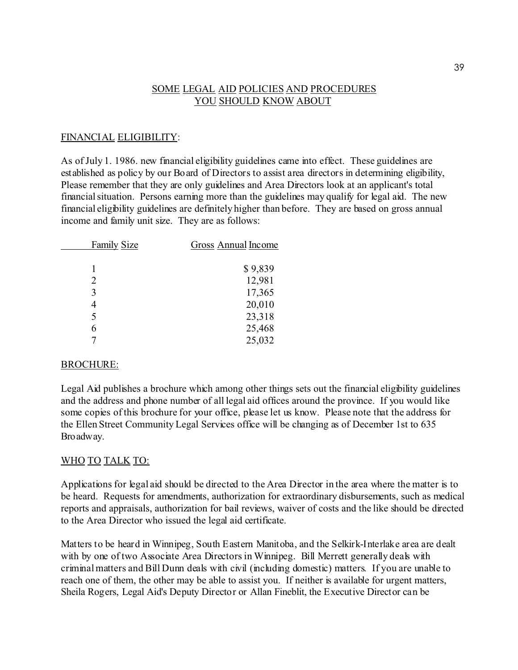# SOME LEGAL AID POLICIES AND PROCEDURES YOU SHOULD KNOW ABOUT

# FINANCIAL ELIGIBILITY:

As of July 1. 1986. new financial eligibility guidelines came into effect. These guidelines are established as policy by our Board of Directors to assist area directors in determining eligibility, Please remember that they are only guidelines and Area Directors look at an applicant's total financial situation. Persons earning more than the guidelines may qualify for legal aid. The new financial eligibility guidelines are definitely higher than before. They are based on gross annual income and family unit size. They are as follows:

| <b>Family Size</b> | <b>Gross Annual Income</b> |
|--------------------|----------------------------|
|                    |                            |
|                    | \$9,839                    |
| 2                  | 12,981                     |
| 3                  | 17,365                     |
|                    | 20,010                     |
| 5                  | 23,318                     |
| 6                  | 25,468                     |
|                    | 25,032                     |

## BROCHURE:

Legal Aid publishes a brochure which among other things sets out the financial eligibility guidelines and the address and phone number of all legal aid offices around the province. If you would like some copies of this brochure for your office, please let us know. Please note that the address for the Ellen Street Community Legal Services office will be changing as of December 1st to 635 Broadway.

## WHO TO TALK TO:

Applications for legal aid should be directed to the Area Director in the area where the matter is to be heard. Requests for amendments, authorization for extraordinary disbursements, such as medical reports and appraisals, authorization for bail reviews, waiver of costs and the like should be directed to the Area Director who issued the legal aid certificate.

Matters to be heard in Winnipeg, South Eastern Manitoba, and the Selkirk-Interlake area are dealt with by one of two Associate Area Directors in Winnipeg. Bill Merrett generally deals with criminal matters and Bill Dunn deals with civil (including domestic) matters. If you are unable to reach one of them, the other may be able to assist you. If neither is available for urgent matters, Sheila Rogers, Legal Aid's Deputy Director or Allan Fineblit, the Executive Director can be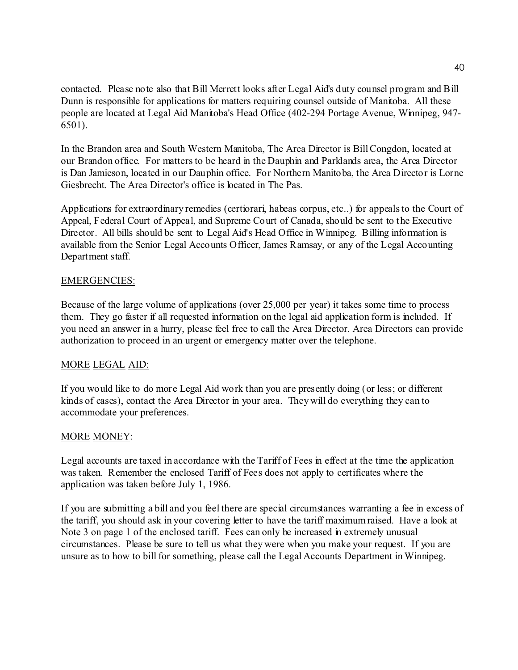contacted. Please note also that Bill Merrett looks after Legal Aid's duty counsel program and Bill Dunn is responsible for applications for matters requiring counsel outside of Manitoba. All these people are located at Legal Aid Manitoba's Head Office (402-294 Portage Avenue, Winnipeg, 947- 6501).

In the Brandon area and South Western Manitoba, The Area Director is Bill Congdon, located at our Brandon office. For matters to be heard in the Dauphin and Parklands area, the Area Director is Dan Jamieson, located in our Dauphin office. For Northern Manitoba, the Area Director is Lorne Giesbrecht. The Area Director's office is located in The Pas.

Applications for extraordinary remedies (certiorari, habeas corpus, etc..) for appeals to the Court of Appeal, Federal Court of Appeal, and Supreme Court of Canada, should be sent to the Executive Director. All bills should be sent to Legal Aid's Head Office in Winnipeg. Billing information is available from the Senior Legal Accounts Officer, James Ramsay, or any of the Legal Accounting Department staff.

# EMERGENCIES:

Because of the large volume of applications (over 25,000 per year) it takes some time to process them. They go faster if all requested information on the legal aid application form is included. If you need an answer in a hurry, please feel free to call the Area Director. Area Directors can provide authorization to proceed in an urgent or emergency matter over the telephone.

# MORE LEGAL AID:

If you would like to do more Legal Aid work than you are presently doing (or less; or different kinds of cases), contact the Area Director in your area. They will do everything they can to accommodate your preferences.

# MORE MONEY:

Legal accounts are taxed in accordance with the Tariff of Fees in effect at the time the application was taken. Remember the enclosed Tariff of Fees does not apply to certificates where the application was taken before July 1, 1986.

If you are submitting a bill and you feel there are special circumstances warranting a fee in excess of the tariff, you should ask in your covering letter to have the tariff maximum raised. Have a look at Note 3 on page 1 of the enclosed tariff. Fees can only be increased in extremely unusual circumstances. Please be sure to tell us what they were when you make your request. If you are unsure as to how to bill for something, please call the Legal Accounts Department in Winnipeg.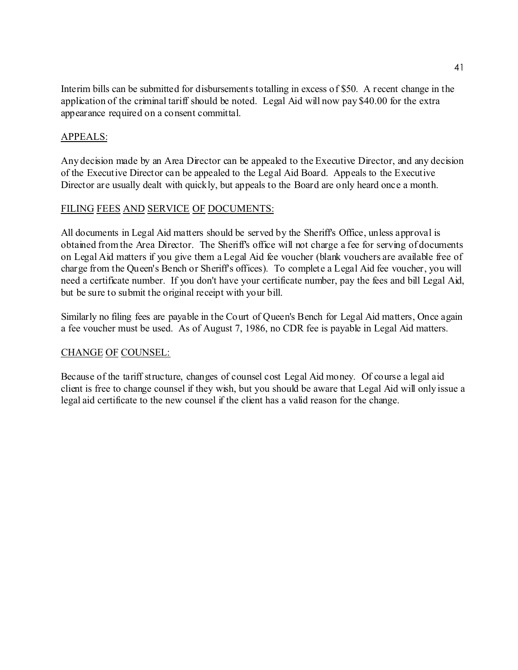Interim bills can be submitted for disbursements totalling in excess of \$50. A recent change in the application of the criminal tariff should be noted. Legal Aid will now pay \$40.00 for the extra appearance required on a consent committal.

## APPEALS:

Any decision made by an Area Director can be appealed to the Executive Director, and any decision of the Executive Director can be appealed to the Legal Aid Board. Appeals to the Executive Director are usually dealt with quickly, but appeals to the Board are only heard once a month.

# FILING FEES AND SERVICE OF DOCUMENTS:

All documents in Legal Aid matters should be served by the Sheriff's Office, unless approval is obtained from the Area Director. The Sheriff's office will not charge a fee for serving of documents on Legal Aid matters if you give them a Legal Aid fee voucher (blank vouchers are available free of charge from the Queen's Bench or Sheriff's offices). To complete a Legal Aid fee voucher, you will need a certificate number. If you don't have your certificate number, pay the fees and bill Legal Aid, but be sure to submit the original receipt with your bill.

Similarly no filing fees are payable in the Court of Queen's Bench for Legal Aid matters, Once again a fee voucher must be used. As of August 7, 1986, no CDR fee is payable in Legal Aid matters.

## CHANGE OF COUNSEL:

Because of the tariff structure, changes of counsel cost Legal Aid money. Of course a legal aid client is free to change counsel if they wish, but you should be aware that Legal Aid will only issue a legal aid certificate to the new counsel if the client has a valid reason for the change.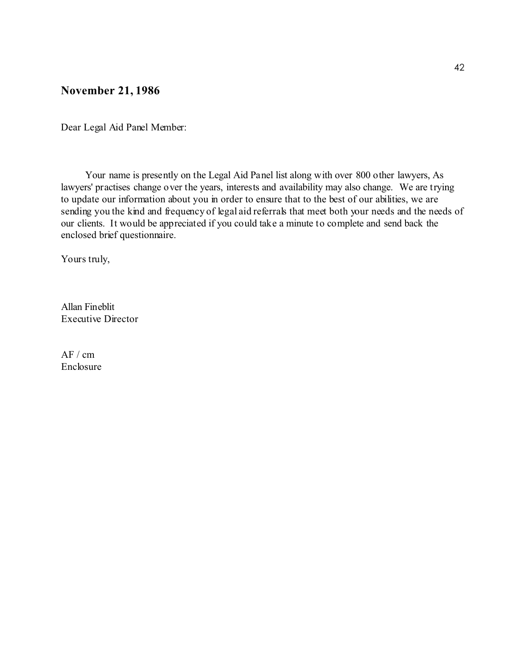# **November 21, 1986**

Dear Legal Aid Panel Member:

Your name is presently on the Legal Aid Panel list along with over 800 other lawyers, As lawyers' practises change over the years, interests and availability may also change. We are trying to update our information about you in order to ensure that to the best of our abilities, we are sending you the kind and frequency of legal aid referrals that meet both your needs and the needs of our clients. It would be appreciated if you could take a minute to complete and send back the enclosed brief questionnaire.

Yours truly,

Allan Fineblit Executive Director

 $AF / cm$ Enclosure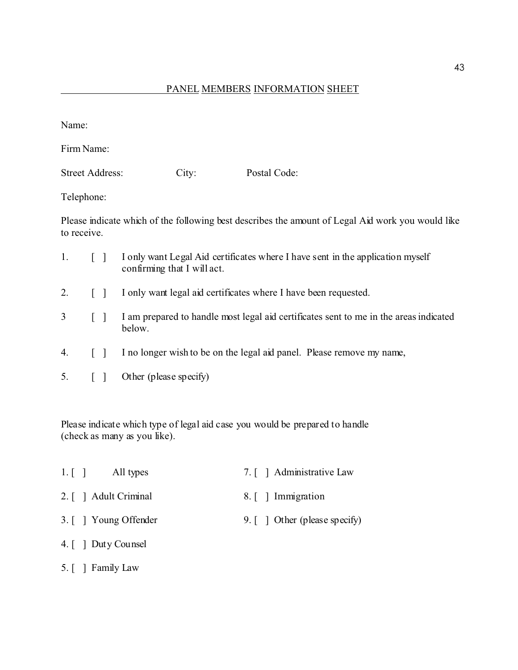Name:

Firm Name:

Street Address: City: Postal Code:

Telephone:

Please indicate which of the following best describes the amount of Legal Aid work you would like to receive.

| $\mathbf{1}$ . | I only want Legal Aid certificates where I have sent in the application myself<br>confirming that I will act. |
|----------------|---------------------------------------------------------------------------------------------------------------|
|                | I only want legal aid certificates where I have been requested.                                               |

- 3 [ ] I am prepared to handle most legal aid certificates sent to me in the areas indicated below.
- 4. [ ] I no longer wish to be on the legal aid panel. Please remove my name,
- 5. [ ] Other (please specify)

Please indicate which type of legal aid case you would be prepared to handle (check as many as you like).

- 1. [ ] All types 7. [ ] Administrative Law 2. [ ] Adult Criminal 8. [ ] Immigration 3. [ ] Young Offender 9. [ ] Other (please specify)
- 4. [ ] Duty Counsel
- 5. [ ] Family Law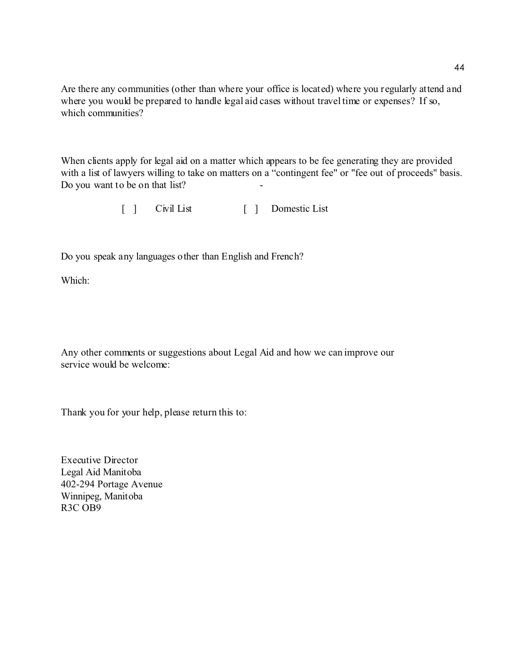Are there any communities (other than where your office is located) where you regularly attend and where you would be prepared to handle legal aid cases without travel time or expenses? If so, which communities?

When clients apply for legal aid on a matter which appears to be fee generating they are provided with a list of lawyers willing to take on matters on a "contingent fee" or "fee out of proceeds" basis. Do you want to be on that list?

[ ] Civil List [ ] Domestic List

Do you speak any languages other than English and French?

Which:

Any other comments or suggestions about Legal Aid and how we can improve our service would be welcome:

Thank you for your help, please return this to:

Executive Director Legal Aid Manitoba 402-294 Portage Avenue Winnipeg, Manitoba R3C OB9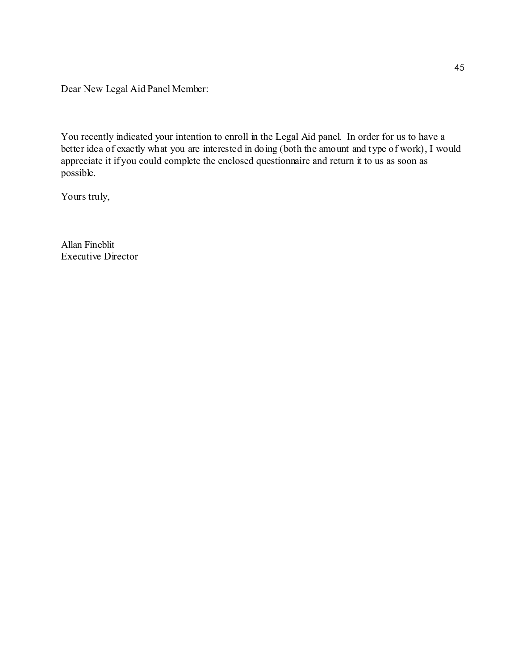Dear New Legal Aid Panel Member:

You recently indicated your intention to enroll in the Legal Aid panel. In order for us to have a better idea of exactly what you are interested in doing (both the amount and type of work), I would appreciate it if you could complete the enclosed questionnaire and return it to us as soon as possible.

Yours truly,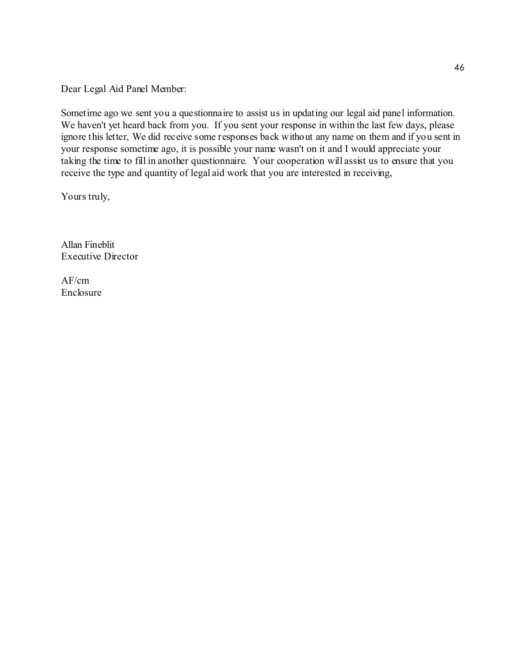Dear Legal Aid Panel Member:

Sometime ago we sent you a questionnaire to assist us in updating our legal aid panel information. We haven't yet heard back from you. If you sent your response in within the last few days, please ignore this letter, We did receive some responses back without any name on them and if you sent in your response sometime ago, it is possible your name wasn't on it and I would appreciate your taking the time to fill in another questionnaire. Your cooperation will assist us to ensure that you receive the type and quantity of legal aid work that you are interested in receiving,

Yours truly,

Allan Fineblit Executive Director

AF/cm Enclosure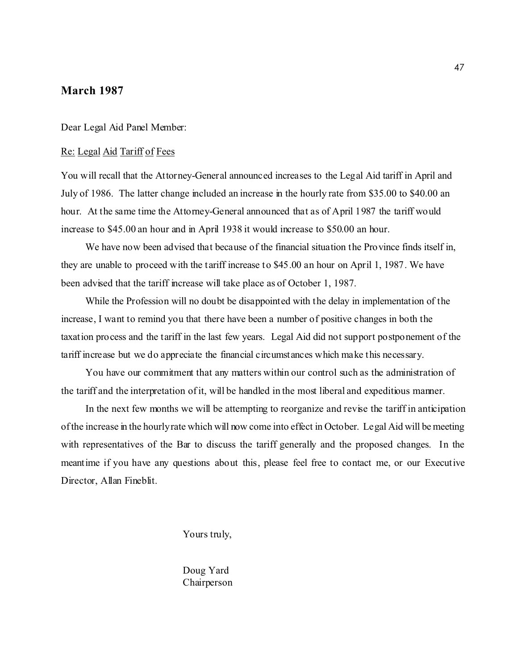# **March 1987**

Dear Legal Aid Panel Member:

#### Re: Legal Aid Tariff of Fees

You will recall that the Attorney-General announced increases to the Legal Aid tariff in April and July of 1986. The latter change included an increase in the hourly rate from \$35.00 to \$40.00 an hour. At the same time the Attorney-General announced that as of April 1987 the tariff would increase to \$45.00 an hour and in April 1938 it would increase to \$50.00 an hour.

We have now been advised that because of the financial situation the Province finds itself in, they are unable to proceed with the tariff increase to \$45.00 an hour on April 1, 1987. We have been advised that the tariff increase will take place as of October 1, 1987.

While the Profession will no doubt be disappointed with the delay in implementation of the increase, I want to remind you that there have been a number of positive changes in both the taxation process and the tariff in the last few years. Legal Aid did not support postponement of the tariff increase but we do appreciate the financial circumstances which make this necessary.

You have our commitment that any matters within our control such as the administration of the tariff and the interpretation of it, will be handled in the most liberal and expeditious manner.

In the next few months we will be attempting to reorganize and revise the tariff in anticipation of the increase in the hourly rate which will now come into effect in October. Legal Aid will be meeting with representatives of the Bar to discuss the tariff generally and the proposed changes. In the meantime if you have any questions about this, please feel free to contact me, or our Executive Director, Allan Fineblit.

Yours truly,

Doug Yard Chairperson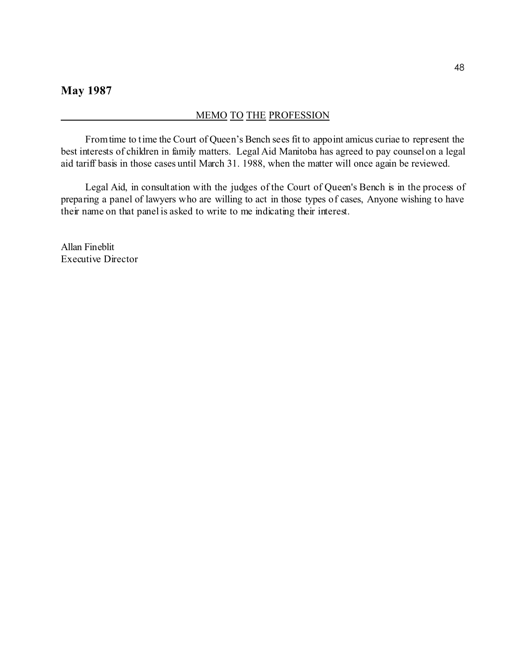#### MEMO TO THE PROFESSION

From time to time the Court of Queen's Bench sees fit to appoint amicus curiae to represent the best interests of children in family matters. Legal Aid Manitoba has agreed to pay counsel on a legal aid tariff basis in those cases until March 31. 1988, when the matter will once again be reviewed.

Legal Aid, in consultation with the judges of the Court of Queen's Bench is in the process of preparing a panel of lawyers who are willing to act in those types of cases, Anyone wishing to have their name on that panel is asked to write to me indicating their interest.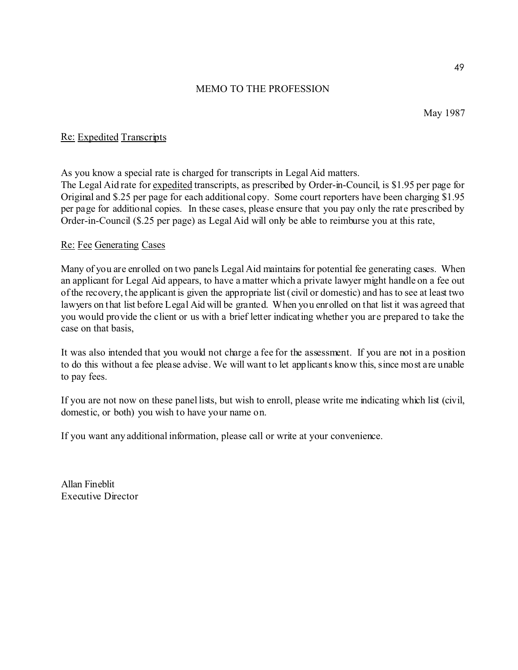May 1987

# Re: Expedited Transcripts

As you know a special rate is charged for transcripts in Legal Aid matters. The Legal Aid rate for expedited transcripts, as prescribed by Order-in-Council, is \$1.95 per page for Original and \$.25 per page for each additional copy. Some court reporters have been charging \$1.95 per page for additional copies. In these cases, please ensure that you pay only the rate prescribed by Order-in-Council (\$.25 per page) as Legal Aid will only be able to reimburse you at this rate,

# Re: Fee Generating Cases

Many of you are enrolled on two panels Legal Aid maintains for potential fee generating cases. When an applicant for Legal Aid appears, to have a matter which a private lawyer might handle on a fee out of the recovery, the applicant is given the appropriate list (civil or domestic) and has to see at least two lawyers on that list before Legal Aid will be granted. When you enrolled on that list it was agreed that you would provide the client or us with a brief letter indicating whether you are prepared to take the case on that basis,

It was also intended that you would not charge a fee for the assessment. If you are not in a position to do this without a fee please advise. We will want to let applicants know this, since most are unable to pay fees.

If you are not now on these panel lists, but wish to enroll, please write me indicating which list (civil, domestic, or both) you wish to have your name on.

If you want any additional information, please call or write at your convenience.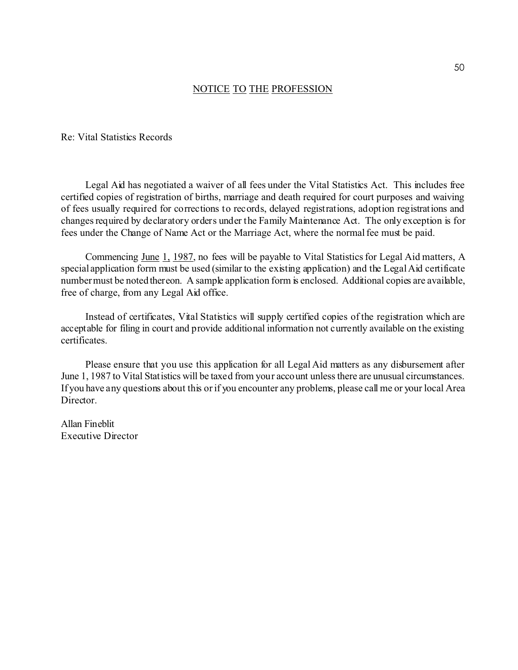Re: Vital Statistics Records

Legal Aid has negotiated a waiver of all fees under the Vital Statistics Act. This includes free certified copies of registration of births, marriage and death required for court purposes and waiving of fees usually required for corrections to records, delayed registrations, adoption registrations and changes required by declaratory orders under the Family Maintenance Act. The only exception is for fees under the Change of Name Act or the Marriage Act, where the normal fee must be paid.

Commencing June 1, 1987, no fees will be payable to Vital Statistics for Legal Aid matters, A special application form must be used (similar to the existing application) and the Legal Aid certificate number must be noted thereon. A sample application form is enclosed. Additional copies are available, free of charge, from any Legal Aid office.

Instead of certificates, Vital Statistics will supply certified copies of the registration which are acceptable for filing in court and provide additional information not currently available on the existing certificates.

Please ensure that you use this application for all Legal Aid matters as any disbursement after June 1, 1987 to Vital Statistics will be taxed from your account unless there are unusual circumstances. If you have any questions about this or if you encounter any problems, please call me or your local Area Director.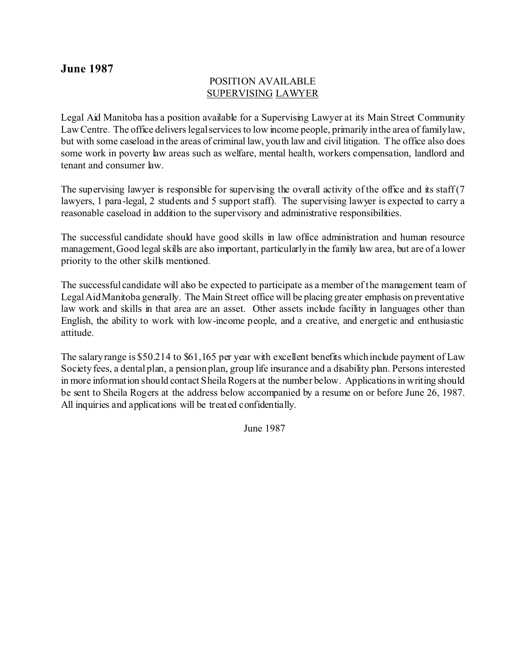# **June 1987**

# POSITION AVAILABLE SUPERVISING LAWYER

Legal Aid Manitoba has a position available for a Supervising Lawyer at its Main Street Community Law Centre. The office delivers legal services to low income people, primarily in the area of family law, but with some caseload in the areas of criminal law, youth law and civil litigation. The office also does some work in poverty law areas such as welfare, mental health, workers compensation, landlord and tenant and consumer law.

The supervising lawyer is responsible for supervising the overall activity of the office and its staff (7) lawyers, 1 para-legal, 2 students and 5 support staff). The supervising lawyer is expected to carry a reasonable caseload in addition to the supervisory and administrative responsibilities.

The successful candidate should have good skills in law office administration and human resource management, Good legal skills are also important, particularly in the family law area, but are of a lower priority to the other skills mentioned.

The successful candidate will also be expected to participate as a member of the management team of Legal Aid Manitoba generally. The Main Street office will be placing greater emphasis on preventative law work and skills in that area are an asset. Other assets include facility in languages other than English, the ability to work with low-income people, and a creative, and energetic and enthusiastic attitude.

The salary range is \$50.214 to \$61,165 per year with excellent benefits which include payment of Law Society fees, a dental plan, a pension plan, group life insurance and a disability plan. Persons interested in more information should contact Sheila Rogers at the number below. Applications in writing should be sent to Sheila Rogers at the address below accompanied by a resume on or before June 26, 1987. All inquiries and applications will be treated confidentially.

June 1987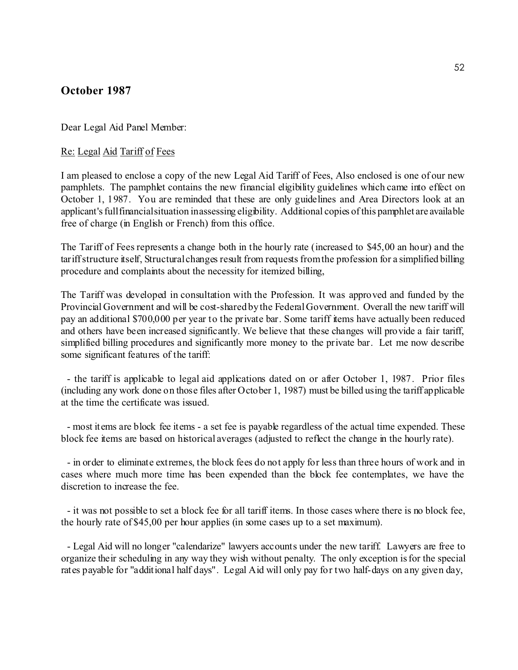# **October 1987**

Dear Legal Aid Panel Member:

#### Re: Legal Aid Tariff of Fees

I am pleased to enclose a copy of the new Legal Aid Tariff of Fees, Also enclosed is one of our new pamphlets. The pamphlet contains the new financial eligibility guidelines which came into effect on October 1, 1987. You are reminded that these are only guidelines and Area Directors look at an applicant's full financial situation in assessing eligibility. Additional copies of this pamphlet are available free of charge (in English or French) from this office.

The Tariff of Fees represents a change both in the hourly rate (increased to \$45,00 an hour) and the tariff structure itself, Structural changes result from requests from the profession for a simplified billing procedure and complaints about the necessity for itemized billing,

The Tariff was developed in consultation with the Profession. It was approved and funded by the Provincial Government and will be cost-shared by the Federal Government. Overall the new tariff will pay an additional \$700,000 per year to the private bar. Some tariff items have actually been reduced and others have been increased significantly. We believe that these changes will provide a fair tariff, simplified billing procedures and significantly more money to the private bar. Let me now describe some significant features of the tariff:

- the tariff is applicable to legal aid applications dated on or after October 1, 1987. Prior files (including any work done on those files after October 1, 1987) must be billed using the tariff applicable at the time the certificate was issued.

- most items are block fee items - a set fee is payable regardless of the actual time expended. These block fee items are based on historical averages (adjusted to reflect the change in the hourly rate).

- in order to eliminate extremes, the block fees do not apply for less than three hours of work and in cases where much more time has been expended than the block fee contemplates, we have the discretion to increase the fee.

- it was not possible to set a block fee for all tariff items. In those cases where there is no block fee, the hourly rate of \$45,00 per hour applies (in some cases up to a set maximum).

- Legal Aid will no longer "calendarize" lawyers accounts under the new tariff. Lawyers are free to organize their scheduling in any way they wish without penalty. The only exception is for the special rates payable for "additional half days". Legal Aid will only pay for two half-days on any given day,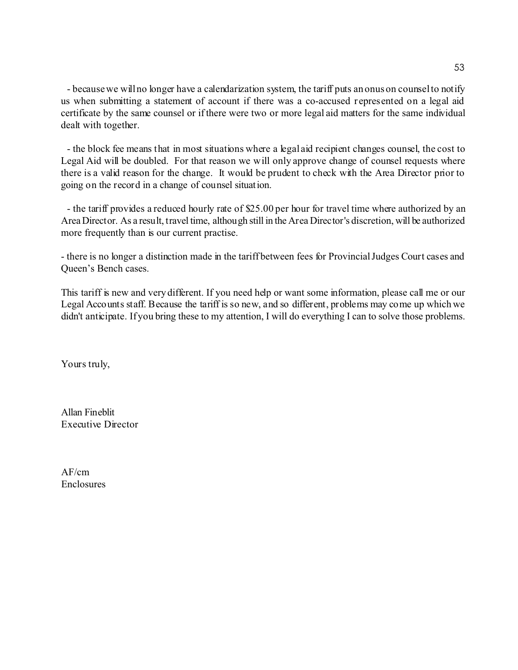- because we will no longer have a calendarization system, the tariff puts an onus on counsel to notify us when submitting a statement of account if there was a co-accused represented on a legal aid certificate by the same counsel or if there were two or more legal aid matters for the same individual dealt with together.

- the block fee means that in most situations where a legal aid recipient changes counsel, the cost to Legal Aid will be doubled. For that reason we will only approve change of counsel requests where there is a valid reason for the change. It would be prudent to check with the Area Director prior to going on the record in a change of counsel situation.

- the tariff provides a reduced hourly rate of \$25.00 per hour for travel time where authorized by an Area Director. As a result, travel time, although still in the Area Director's discretion, will be authorized more frequently than is our current practise.

- there is no longer a distinction made in the tariff between fees for Provincial Judges Court cases and Queen's Bench cases.

This tariff is new and very different. If you need help or want some information, please call me or our Legal Accounts staff. Because the tariff is so new, and so different, problems may come up which we didn't anticipate. If you bring these to my attention, I will do everything I can to solve those problems.

Yours truly,

Allan Fineblit Executive Director

AF/cm Enclosures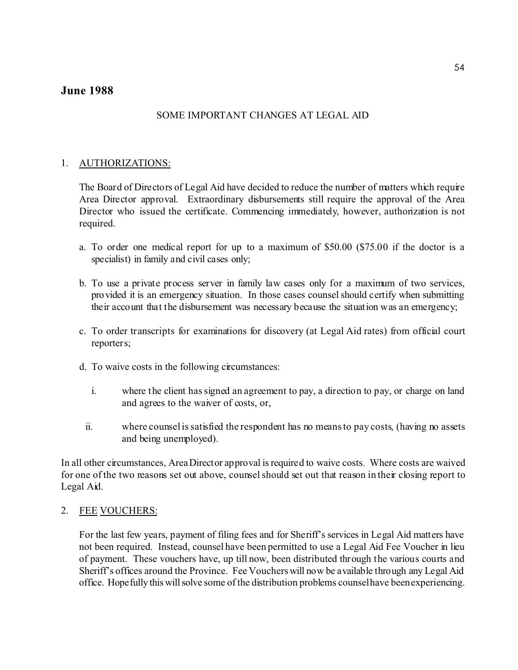# **June 1988**

# SOME IMPORTANT CHANGES AT LEGAL AID

# 1. AUTHORIZATIONS:

The Board of Directors of Legal Aid have decided to reduce the number of matters which require Area Director approval. Extraordinary disbursements still require the approval of the Area Director who issued the certificate. Commencing immediately, however, authorization is not required.

- a. To order one medical report for up to a maximum of \$50.00 (\$75.00 if the doctor is a specialist) in family and civil cases only;
- b. To use a private process server in family law cases only for a maximum of two services, provided it is an emergency situation. In those cases counsel should certify when submitting their account that the disbursement was necessary because the situation was an emergency;
- c. To order transcripts for examinations for discovery (at Legal Aid rates) from official court reporters;
- d. To waive costs in the following circumstances:
	- i. where the client has signed an agreement to pay, a direction to pay, or charge on land and agrees to the waiver of costs, or,
	- ii. where counsel is satisfied the respondent has no means to pay costs, (having no assets and being unemployed).

In all other circumstances, Area Director approval is required to waive costs. Where costs are waived for one of the two reasons set out above, counsel should set out that reason in their closing report to Legal Aid.

## 2. FEE VOUCHERS:

For the last few years, payment of filing fees and for Sheriff's services in Legal Aid matters have not been required. Instead, counsel have been permitted to use a Legal Aid Fee Voucher in lieu of payment. These vouchers have, up till now, been distributed through the various courts and Sheriff's offices around the Province. Fee Vouchers will now be available through any Legal Aid office. Hopefully this will solve some of the distribution problems counsel have been experiencing.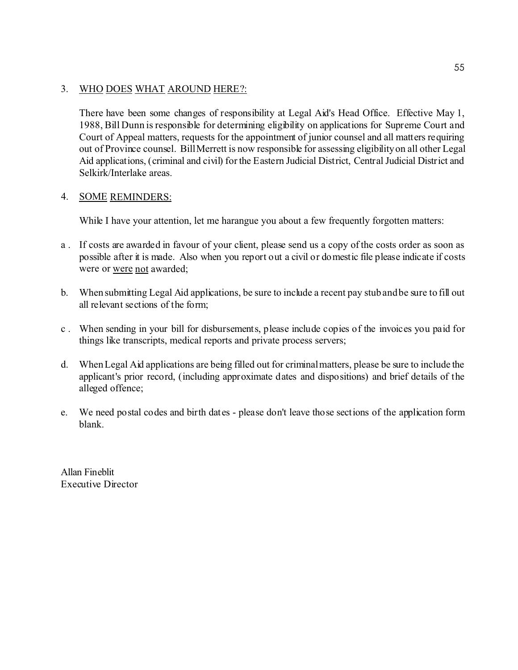# 3. WHO DOES WHAT AROUND HERE?:

There have been some changes of responsibility at Legal Aid's Head Office. Effective May 1, 1988, Bill Dunn is responsible for determining eligibility on applications for Supreme Court and Court of Appeal matters, requests for the appointment of junior counsel and all matters requiring out of Province counsel. Bill Merrett is now responsible for assessing eligibility on all other Legal Aid applications, (criminal and civil) for the Eastern Judicial District, Central Judicial District and Selkirk/Interlake areas.

## 4. SOME REMINDERS:

While I have your attention, let me harangue you about a few frequently forgotten matters:

- a. If costs are awarded in favour of your client, please send us a copy of the costs order as soon as possible after it is made. Also when you report out a civil or domestic file please indicate if costs were or were not awarded;
- b. When submitting Legal Aid applications, be sure to include a recent pay stub and be sure to fill out all relevant sections of the form;
- c . When sending in your bill for disbursements, please include copies of the invoices you paid for things like transcripts, medical reports and private process servers;
- d. When Legal Aid applications are being filled out for criminal matters, please be sure to include the applicant's prior record, (including approximate dates and dispositions) and brief details of the alleged offence;
- e. We need postal codes and birth dates please don't leave those sections of the application form blank.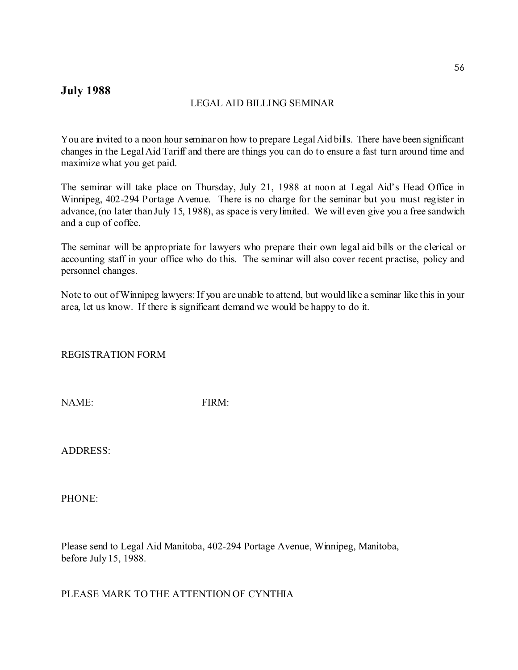# **July 1988**

## LEGAL AID BILLING SEMINAR

You are invited to a noon hour seminar on how to prepare Legal Aid bills. There have been significant changes in the Legal Aid Tariff and there are things you can do to ensure a fast turn around time and maximize what you get paid.

The seminar will take place on Thursday, July 21, 1988 at noon at Legal Aid's Head Office in Winnipeg, 402-294 Portage Avenue. There is no charge for the seminar but you must register in advance, (no later than July 15, 1988), as space is very limited. We will even give you a free sandwich and a cup of coffee.

The seminar will be appropriate for lawyers who prepare their own legal aid bills or the clerical or accounting staff in your office who do this. The seminar will also cover recent practise, policy and personnel changes.

Note to out of Winnipeg lawyers: If you are unable to attend, but would like a seminar like this in your area, let us know. If there is significant demand we would be happy to do it.

REGISTRATION FORM

NAME: FIRM:

ADDRESS:

PHONE:

Please send to Legal Aid Manitoba, 402-294 Portage Avenue, Winnipeg, Manitoba, before July 15, 1988.

PLEASE MARK TO THE ATTENTION OF CYNTHIA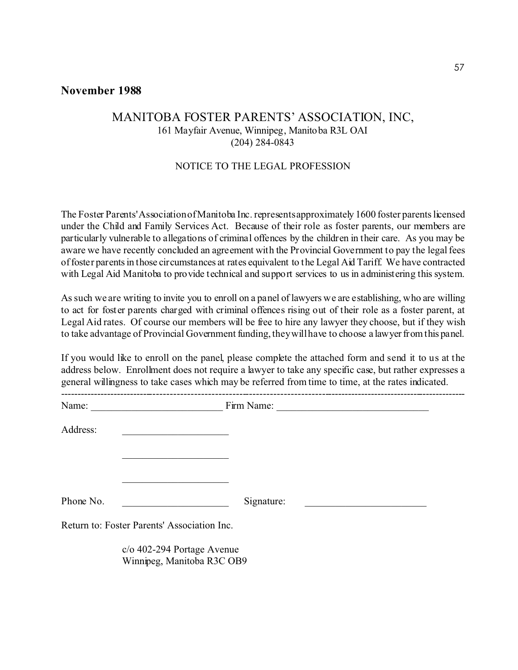# **November 1988**

# MANITOBA FOSTER PARENTS' ASSOCIATION, INC, 161 Mayfair Avenue, Winnipeg, Manitoba R3L OAI (204) 284-0843

#### NOTICE TO THE LEGAL PROFESSION

The Foster Parents' Association of Manitoba Inc. represents approximately 1600 foster parents licensed under the Child and Family Services Act. Because of their role as foster parents, our members are particularly vulnerable to allegations of criminal offences by the children in their care. As you may be aware we have recently concluded an agreement with the Provincial Government to pay the legal fees of foster parents in those circumstances at rates equivalent to the Legal Aid Tariff. We have contracted with Legal Aid Manitoba to provide technical and support services to us in administering this system.

As such we are writing to invite you to enroll on a panel of lawyers we are establishing, who are willing to act for foster parents charged with criminal offences rising out of their role as a foster parent, at Legal Aid rates. Of course our members will be free to hire any lawyer they choose, but if they wish to take advantage of Provincial Government funding, they will have to choose a lawyer from this panel.

If you would like to enroll on the panel, please complete the attached form and send it to us at the address below. Enrollment does not require a lawyer to take any specific case, but rather expresses a general willingness to take cases which may be referred from time to time, at the rates indicated.

| Address:  | the control of the control of the control of the control of |                                                                 |
|-----------|-------------------------------------------------------------|-----------------------------------------------------------------|
|           |                                                             |                                                                 |
|           |                                                             |                                                                 |
| Phone No. | <u> 1990 - Johann Barbara, martin a</u>                     | Signature:<br><u> 1980 - Johann Barnett, fransk politiker (</u> |
|           | Return to: Foster Parents' Association Inc.                 |                                                                 |
|           | c/o 402-294 Portage Avenue                                  |                                                                 |

Winnipeg, Manitoba R3C OB9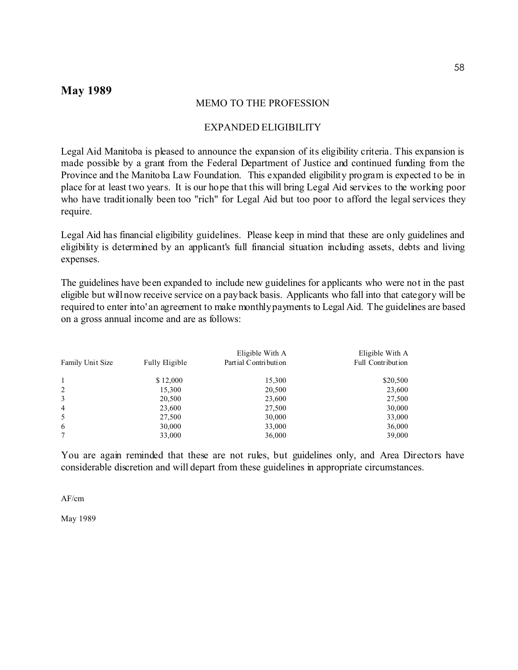# **May 1989**

#### MEMO TO THE PROFESSION

#### EXPANDED ELIGIBILITY

Legal Aid Manitoba is pleased to announce the expansion of its eligibility criteria. This expansion is made possible by a grant from the Federal Department of Justice and continued funding from the Province and the Manitoba Law Foundation. This expanded eligibility program is expected to be in place for at least two years. It is our hope that this will bring Legal Aid services to the working poor who have traditionally been too "rich" for Legal Aid but too poor to afford the legal services they require.

Legal Aid has financial eligibility guidelines. Please keep in mind that these are only guidelines and eligibility is determined by an applicant's full financial situation including assets, debts and living expenses.

The guidelines have been expanded to include new guidelines for applicants who were not in the past eligible but will now receive service on a pay back basis. Applicants who fall into that category will be required to enter into' an agreement to make monthly payments to Legal Aid. The guidelines are based on a gross annual income and are as follows:

| Family Unit Size | Fully Eligible | Eligible With A<br>Partial Contribution | Eligible With A<br>Full Contribution |
|------------------|----------------|-----------------------------------------|--------------------------------------|
| $\mathbf{1}$     | \$12,000       | 15,300                                  | \$20,500                             |
| 2                | 15,300         | 20,500                                  | 23,600                               |
| 3                | 20,500         | 23,600                                  | 27,500                               |
| $\overline{4}$   | 23,600         | 27,500                                  | 30,000                               |
| 5                | 27,500         | 30,000                                  | 33,000                               |
| 6                | 30,000         | 33,000                                  | 36,000                               |
| 7                | 33,000         | 36,000                                  | 39,000                               |

You are again reminded that these are not rules, but guidelines only, and Area Directors have considerable discretion and will depart from these guidelines in appropriate circumstances.

AF/cm

May 1989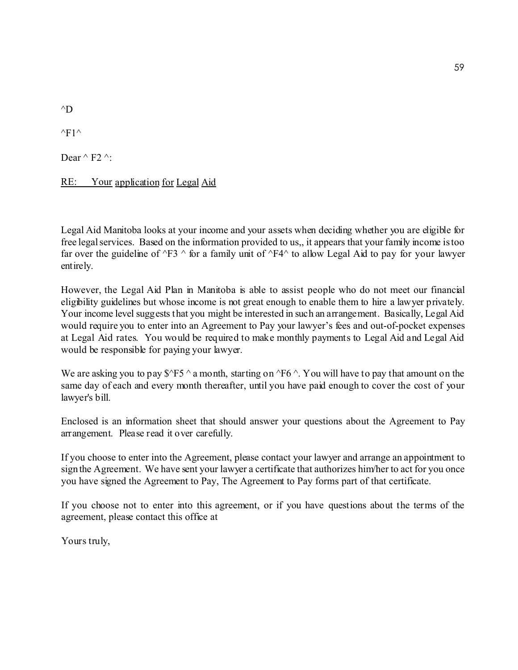$\triangle$ D

 $\triangle$ F1 $\triangle$ 

Dear  $\wedge$  F2  $\wedge$ :

RE: Your application for Legal Aid

Legal Aid Manitoba looks at your income and your assets when deciding whether you are eligible for free legal services. Based on the information provided to us,, it appears that your family income is too far over the guideline of  $\sqrt{F3}$   $\land$  for a family unit of  $\sqrt{F4}$  to allow Legal Aid to pay for your lawyer entirely.

However, the Legal Aid Plan in Manitoba is able to assist people who do not meet our financial eligibility guidelines but whose income is not great enough to enable them to hire a lawyer privately. Your income level suggests that you might be interested in such an arrangement. Basically, Legal Aid would require you to enter into an Agreement to Pay your lawyer's fees and out-of-pocket expenses at Legal Aid rates. You would be required to make monthly payments to Legal Aid and Legal Aid would be responsible for paying your lawyer.

We are asking you to pay  $\frac{8}{5}$  ^ a month, starting on  $\frac{6}{5}$  ^. You will have to pay that amount on the same day of each and every month thereafter, until you have paid enough to cover the cost of your lawyer's bill.

Enclosed is an information sheet that should answer your questions about the Agreement to Pay arrangement. Please read it over carefully.

If you choose to enter into the Agreement, please contact your lawyer and arrange an appointment to sign the Agreement. We have sent your lawyer a certificate that authorizes him/her to act for you once you have signed the Agreement to Pay, The Agreement to Pay forms part of that certificate.

If you choose not to enter into this agreement, or if you have questions about the terms of the agreement, please contact this office at

Yours truly,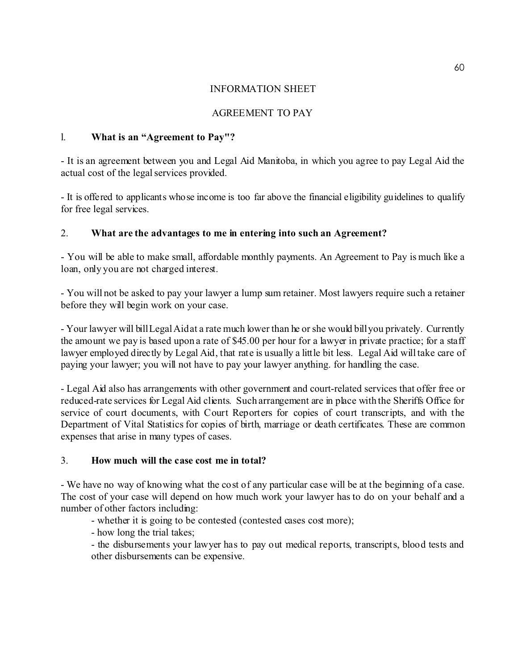# INFORMATION SHEET

# AGREEMENT TO PAY

# l. **What is an "Agreement to Pay"?**

- It is an agreement between you and Legal Aid Manitoba, in which you agree to pay Legal Aid the actual cost of the legal services provided.

- It is offered to applicants whose income is too far above the financial eligibility guidelines to qualify for free legal services.

# 2. **What are the advantages to me in entering into such an Agreement?**

- You will be able to make small, affordable monthly payments. An Agreement to Pay is much like a loan, only you are not charged interest.

- You will not be asked to pay your lawyer a lump sum retainer. Most lawyers require such a retainer before they will begin work on your case.

- Your lawyer will bill Legal Aid at a rate much lower than he or she would bill you privately. Currently the amount we pay is based upon a rate of \$45.00 per hour for a lawyer in private practice; for a staff lawyer employed directly by Legal Aid, that rate is usually a little bit less. Legal Aid will take care of paying your lawyer; you will not have to pay your lawyer anything. for handling the case.

- Legal Aid also has arrangements with other government and court-related services that offer free or reduced-rate services for Legal Aid clients. Such arrangement are in place with the Sheriffs Office for service of court documents, with Court Reporters for copies of court transcripts, and with the Department of Vital Statistics for copies of birth, marriage or death certificates. These are common expenses that arise in many types of cases.

# 3. **How much will the case cost me in total?**

- We have no way of knowing what the cost of any particular case will be at the beginning of a case. The cost of your case will depend on how much work your lawyer has to do on your behalf and a number of other factors including:

- whether it is going to be contested (contested cases cost more);
- how long the trial takes;

- the disbursements your lawyer has to pay out medical reports, transcripts, blood tests and other disbursements can be expensive.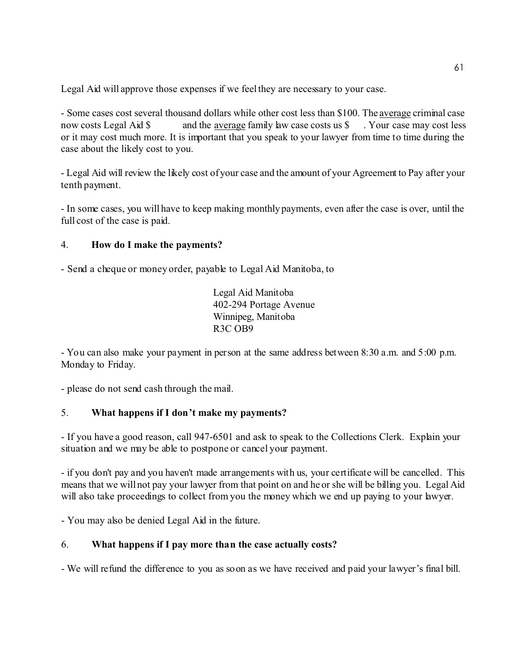Legal Aid will approve those expenses if we feel they are necessary to your case.

- Some cases cost several thousand dollars while other cost less than \$100. The average criminal case now costs Legal Aid \$ and the average family law case costs us \$ . Your case may cost less or it may cost much more. It is important that you speak to your lawyer from time to time during the case about the likely cost to you.

- Legal Aid will review the likely cost of your case and the amount of your Agreement to Pay after your tenth payment.

- In some cases, you will have to keep making monthly payments, even after the case is over, until the full cost of the case is paid.

# 4. **How do I make the payments?**

- Send a cheque or money order, payable to Legal Aid Manitoba, to

Legal Aid Manitoba 402-294 Portage Avenue Winnipeg, Manitoba R3C OB9

- You can also make your payment in person at the same address between 8:30 a.m. and 5:00 p.m. Monday to Friday.

- please do not send cash through the mail.

# 5. **What happens if I don't make my payments?**

- If you have a good reason, call 947-6501 and ask to speak to the Collections Clerk. Explain your situation and we may be able to postpone or cancel your payment.

- if you don't pay and you haven't made arrangements with us, your certificate will be cancelled. This means that we will not pay your lawyer from that point on and he or she will be billing you. Legal Aid will also take proceedings to collect from you the money which we end up paying to your lawyer.

- You may also be denied Legal Aid in the future.

# 6. **What happens if I pay more than the case actually costs?**

- We will refund the difference to you as soon as we have received and paid your lawyer's final bill.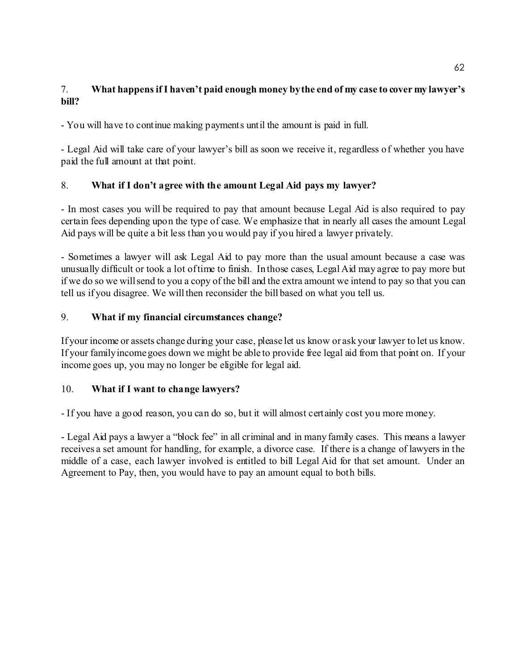# 7. **What happens if I haven't paid enough money by the end of my case to cover my lawyer's bill?**

- You will have to continue making payments until the amount is paid in full.

- Legal Aid will take care of your lawyer's bill as soon we receive it, regardless of whether you have paid the full amount at that point.

# 8. **What if I don't agree with the amount Legal Aid pays my lawyer?**

- In most cases you will be required to pay that amount because Legal Aid is also required to pay certain fees depending upon the type of case. We emphasize that in nearly all cases the amount Legal Aid pays will be quite a bit less than you would pay if you hired a lawyer privately.

- Sometimes a lawyer will ask Legal Aid to pay more than the usual amount because a case was unusually difficult or took a lot of time to finish. In those cases, Legal Aid may agree to pay more but if we do so we will send to you a copy of the bill and the extra amount we intend to pay so that you can tell us if you disagree. We will then reconsider the bill based on what you tell us.

# 9. **What if my financial circumstances change?**

If your income or assets change during your case, please let us know or ask your lawyer to let us know. If your family income goes down we might be able to provide free legal aid from that point on. If your income goes up, you may no longer be eligible for legal aid.

# 10. **What if I want to change lawyers?**

- If you have a good reason, you can do so, but it will almost certainly cost you more money.

- Legal Aid pays a lawyer a "block fee" in all criminal and in many family cases. This means a lawyer receives a set amount for handling, for example, a divorce case. If there is a change of lawyers in the middle of a case, each lawyer involved is entitled to bill Legal Aid for that set amount. Under an Agreement to Pay, then, you would have to pay an amount equal to both bills.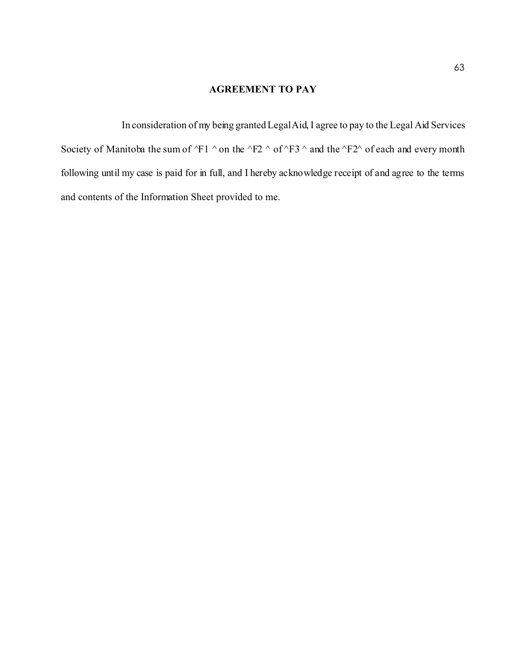## **AGREEMENT TO PAY**

In consideration of my being granted Legal Aid, I agree to pay to the Legal Aid Services Society of Manitoba the sum of  $\overline{Y}1$  ^ on the  $\overline{Y}2$  ^ of  $\overline{Y}3$  ^ and the  $\overline{Y}2$ ^ of each and every month following until my case is paid for in full, and I hereby acknowledge receipt of and agree to the terms and contents of the Information Sheet provided to me.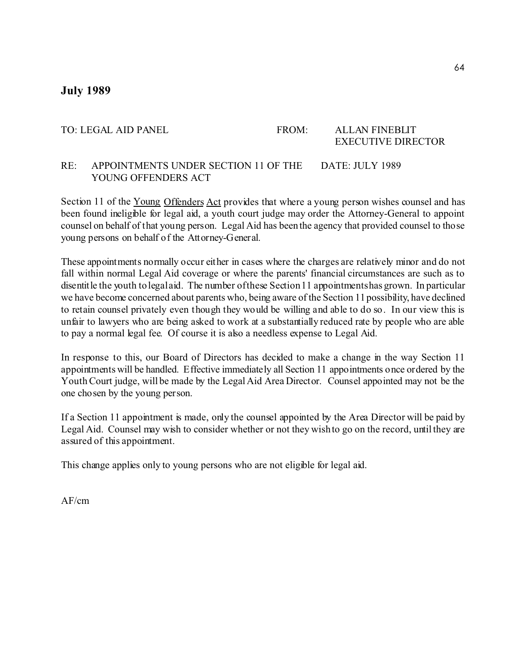# **July 1989**

#### TO: LEGAL AID PANEL FROM: ALLAN FINEBLIT EXECUTIVE DIRECTOR

# RE: APPOINTMENTS UNDER SECTION 11 OF THE DATE: JULY 1989 YOUNG OFFENDERS ACT

Section 11 of the Young Offenders Act provides that where a young person wishes counsel and has been found ineligible for legal aid, a youth court judge may order the Attorney-General to appoint counsel on behalf of that young person. Legal Aid has been the agency that provided counsel to those young persons on behalf of the Attorney-General.

These appointments normally occur either in cases where the charges are relatively minor and do not fall within normal Legal Aid coverage or where the parents' financial circumstances are such as to disentitle the youth to legal aid. The number of these Section 11 appointments has grown. In particular we have become concerned about parents who, being aware of the Section 11 possibility, have declined to retain counsel privately even though they would be willing and able to do so. In our view this is unfair to lawyers who are being asked to work at a substantially reduced rate by people who are able to pay a normal legal fee. Of course it is also a needless expense to Legal Aid.

In response to this, our Board of Directors has decided to make a change in the way Section 11 appointments will be handled. Effective immediately all Section 11 appointments once ordered by the Youth Court judge, will be made by the Legal Aid Area Director. Counsel appointed may not be the one chosen by the young person.

If a Section 11 appointment is made, only the counsel appointed by the Area Director will be paid by Legal Aid. Counsel may wish to consider whether or not they wish to go on the record, until they are assured of this appointment.

This change applies only to young persons who are not eligible for legal aid.

AF/cm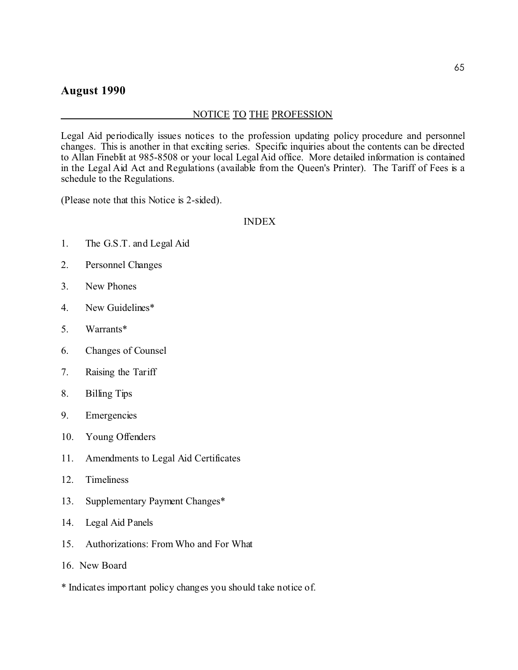# **August 1990**

## NOTICE TO THE PROFESSION

Legal Aid periodically issues notices to the profession updating policy procedure and personnel changes. This is another in that exciting series. Specific inquiries about the contents can be directed to Allan Fineblit at 985-8508 or your local Legal Aid office. More detailed information is contained in the Legal Aid Act and Regulations (available from the Queen's Printer). The Tariff of Fees is a schedule to the Regulations.

(Please note that this Notice is 2-sided).

#### INDEX

- 1. The G.S.T. and Legal Aid
- 2. Personnel Changes
- 3. New Phones
- 4. New Guidelines\*
- 5. Warrants\*
- 6. Changes of Counsel
- 7. Raising the Tariff
- 8. Billing Tips
- 9. Emergencies
- 10. Young Offenders
- 11. Amendments to Legal Aid Certificates
- 12. Timeliness
- 13. Supplementary Payment Changes\*
- 14. Legal Aid Panels
- 15. Authorizations: From Who and For What
- 16. New Board
- \* Indicates important policy changes you should take notice of.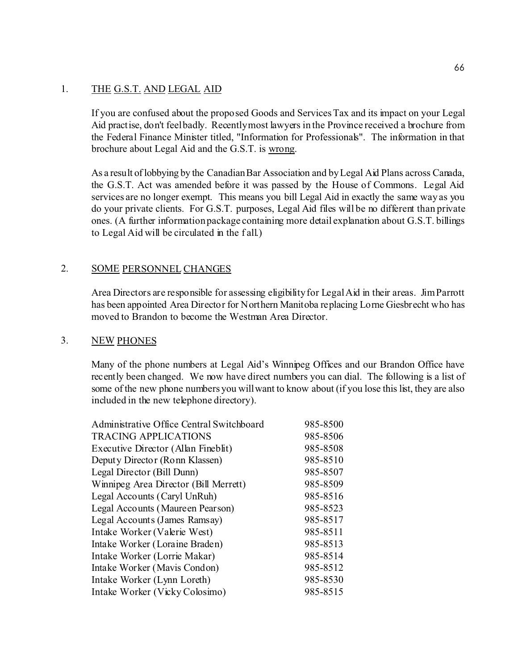# 1. THE G.S.T. AND LEGAL AID

If you are confused about the proposed Goods and Services Tax and its impact on your Legal Aid practise, don't feel badly. Recently most lawyers in the Province received a brochure from the Federal Finance Minister titled, "Information for Professionals". The information in that brochure about Legal Aid and the G.S.T. is wrong.

As a result of lobbying by the Canadian Bar Association and by Legal Aid Plans across Canada, the G.S.T. Act was amended before it was passed by the House of Commons. Legal Aid services are no longer exempt. This means you bill Legal Aid in exactly the same way as you do your private clients. For G.S.T. purposes, Legal Aid files will be no different than private ones. (A further information package containing more detail explanation about G.S.T. billings to Legal Aid will be circulated in the f all.)

# 2. SOME PERSONNEL CHANGES

Area Directors are responsible for assessing eligibility for Legal Aid in their areas. Jim Parrott has been appointed Area Director for Northern Manitoba replacing Lorne Giesbrecht who has moved to Brandon to become the Westman Area Director.

## 3. NEW PHONES

Many of the phone numbers at Legal Aid's Winnipeg Offices and our Brandon Office have recently been changed. We now have direct numbers you can dial. The following is a list of some of the new phone numbers you will want to know about (if you lose this list, they are also included in the new telephone directory).

| <b>Administrative Office Central Switchboard</b> | 985-8500 |
|--------------------------------------------------|----------|
| <b>TRACING APPLICATIONS</b>                      | 985-8506 |
| Executive Director (Allan Fineblit)              | 985-8508 |
| Deputy Director (Ronn Klassen)                   | 985-8510 |
| Legal Director (Bill Dunn)                       | 985-8507 |
| Winnipeg Area Director (Bill Merrett)            | 985-8509 |
| Legal Accounts (Caryl UnRuh)                     | 985-8516 |
| Legal Accounts (Maureen Pearson)                 | 985-8523 |
| Legal Accounts (James Ramsay)                    | 985-8517 |
| Intake Worker (Valerie West)                     | 985-8511 |
| Intake Worker (Loraine Braden)                   | 985-8513 |
| Intake Worker (Lorrie Makar)                     | 985-8514 |
| Intake Worker (Mavis Condon)                     | 985-8512 |
| Intake Worker (Lynn Loreth)                      | 985-8530 |
| Intake Worker (Vicky Colosimo)                   | 985-8515 |
|                                                  |          |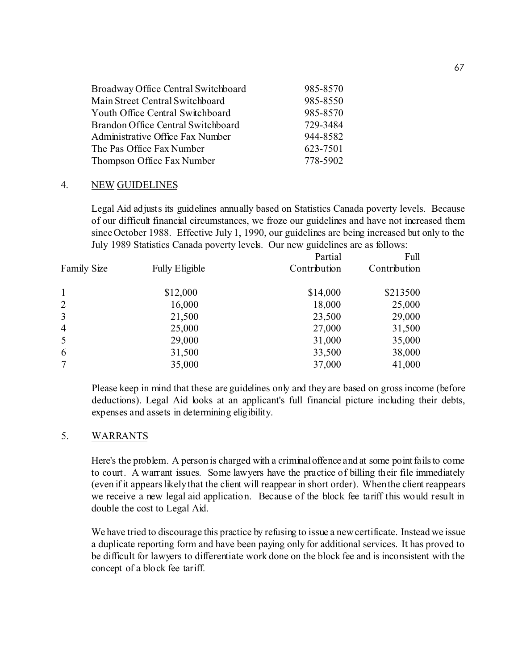| 985-8570 |
|----------|
| 985-8550 |
| 985-8570 |
| 729-3484 |
| 944-8582 |
| 623-7501 |
| 778-5902 |
|          |

#### 4. NEW GUIDELINES

Legal Aid adjusts its guidelines annually based on Statistics Canada poverty levels. Because of our difficult financial circumstances, we froze our guidelines and have not increased them since October 1988. Effective July 1, 1990, our guidelines are being increased but only to the July 1989 Statistics Canada poverty levels. Our new guidelines are as follows:

|                    |                       | Partial      | Full         |
|--------------------|-----------------------|--------------|--------------|
| <b>Family Size</b> | <b>Fully Eligible</b> | Contribution | Contribution |
| $\mathbf{1}$       | \$12,000              | \$14,000     | \$213500     |
| $\overline{2}$     | 16,000                | 18,000       | 25,000       |
| $\overline{3}$     | 21,500                | 23,500       | 29,000       |
| $\overline{4}$     | 25,000                | 27,000       | 31,500       |
| 5                  | 29,000                | 31,000       | 35,000       |
| 6                  | 31,500                | 33,500       | 38,000       |
| 7                  | 35,000                | 37,000       | 41,000       |

Please keep in mind that these are guidelines only and they are based on gross income (before deductions). Legal Aid looks at an applicant's full financial picture including their debts, expenses and assets in determining eligibility.

#### 5. WARRANTS

Here's the problem. A person is charged with a criminal offence and at some point fails to come to court. A warrant issues. Some lawyers have the practice of billing their file immediately (even if it appears likely that the client will reappear in short order). When the client reappears we receive a new legal aid application. Because of the block fee tariff this would result in double the cost to Legal Aid.

We have tried to discourage this practice by refusing to issue a new certificate. Instead we issue a duplicate reporting form and have been paying only for additional services. It has proved to be difficult for lawyers to differentiate work done on the block fee and is inconsistent with the concept of a block fee tariff.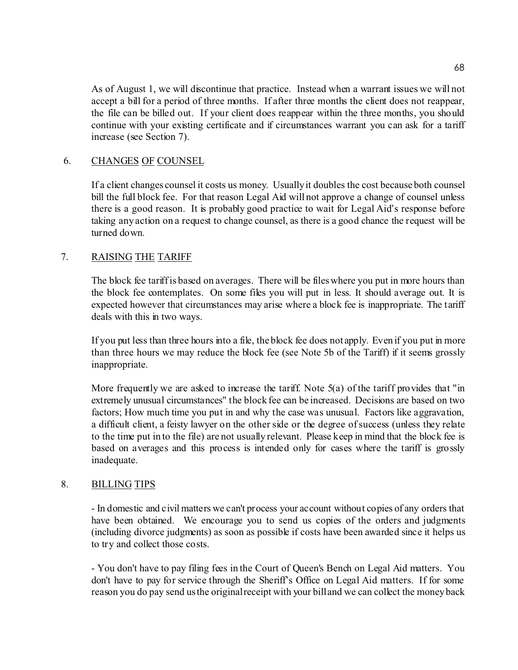As of August 1, we will discontinue that practice. Instead when a warrant issues we will not accept a bill for a period of three months. If after three months the client does not reappear, the file can be billed out. If your client does reappear within the three months, you should continue with your existing certificate and if circumstances warrant you can ask for a tariff increase (see Section 7).

# 6. CHANGES OF COUNSEL

If a client changes counsel it costs us money. Usually it doubles the cost because both counsel bill the full block fee. For that reason Legal Aid will not approve a change of counsel unless there is a good reason. It is probably good practice to wait for Legal Aid's response before taking any action on a request to change counsel, as there is a good chance the request will be turned down.

# 7. RAISING THE TARIFF

The block fee tariff is based on averages. There will be files where you put in more hours than the block fee contemplates. On some files you will put in less. It should average out. It is expected however that circumstances may arise where a block fee is inappropriate. The tariff deals with this in two ways.

If you put less than three hours into a file, the block fee does not apply. Even if you put in more than three hours we may reduce the block fee (see Note 5b of the Tariff) if it seems grossly inappropriate.

More frequently we are asked to increase the tariff. Note 5(a) of the tariff provides that "in extremely unusual circumstances" the block fee can be increased. Decisions are based on two factors; How much time you put in and why the case was unusual. Factors like aggravation, a difficult client, a feisty lawyer on the other side or the degree of success (unless they relate to the time put in to the file) are not usually relevant. Please keep in mind that the block fee is based on averages and this process is intended only for cases where the tariff is grossly inadequate.

## 8. BILLING TIPS

- In domestic and civil matters we can't process your account without copies of any orders that have been obtained. We encourage you to send us copies of the orders and judgments (including divorce judgments) as soon as possible if costs have been awarded since it helps us to try and collect those costs.

- You don't have to pay filing fees in the Court of Queen's Bench on Legal Aid matters. You don't have to pay for service through the Sheriff's Office on Legal Aid matters. If for some reason you do pay send us the original receipt with your bill and we can collect the money back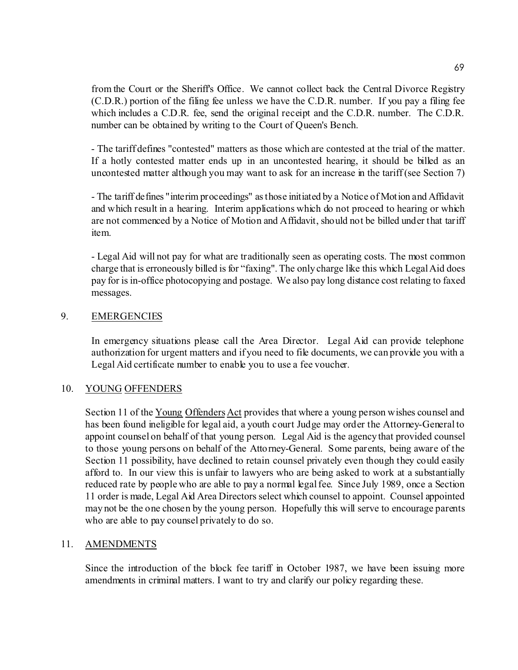from the Court or the Sheriff's Office. We cannot collect back the Central Divorce Registry (C.D.R.) portion of the filing fee unless we have the C.D.R. number. If you pay a filing fee which includes a C.D.R. fee, send the original receipt and the C.D.R. number. The C.D.R. number can be obtained by writing to the Court of Queen's Bench.

- The tariff defines "contested" matters as those which are contested at the trial of the matter. If a hotly contested matter ends up in an uncontested hearing, it should be billed as an uncontested matter although you may want to ask for an increase in the tariff (see Section 7)

- The tariff defines "interim proceedings" as those initiated by a Notice of Motion and Affidavit and which result in a hearing. Interim applications which do not proceed to hearing or which are not commenced by a Notice of Motion and Affidavit, should not be billed under that tariff item.

- Legal Aid will not pay for what are traditionally seen as operating costs. The most common charge that is erroneously billed is for "faxing". The only charge like this which Legal Aid does pay for is in-office photocopying and postage. We also pay long distance cost relating to faxed messages.

## 9. EMERGENCIES

In emergency situations please call the Area Director. Legal Aid can provide telephone authorization for urgent matters and if you need to file documents, we can provide you with a Legal Aid certificate number to enable you to use a fee voucher.

#### 10. YOUNG OFFENDERS

Section 11 of the Young Offenders Act provides that where a young person wishes counsel and has been found ineligible for legal aid, a youth court Judge may order the Attorney-General to appoint counsel on behalf of that young person. Legal Aid is the agency that provided counsel to those young persons on behalf of the Attorney-General. Some parents, being aware of the Section 11 possibility, have declined to retain counsel privately even though they could easily afford to. In our view this is unfair to lawyers who are being asked to work at a substantially reduced rate by people who are able to pay a normal legal fee. Since July 1989, once a Section 11 order is made, Legal Aid Area Directors select which counsel to appoint. Counsel appointed may not be the one chosen by the young person. Hopefully this will serve to encourage parents who are able to pay counsel privately to do so.

#### 11. AMENDMENTS

Since the introduction of the block fee tariff in October 1987, we have been issuing more amendments in criminal matters. I want to try and clarify our policy regarding these.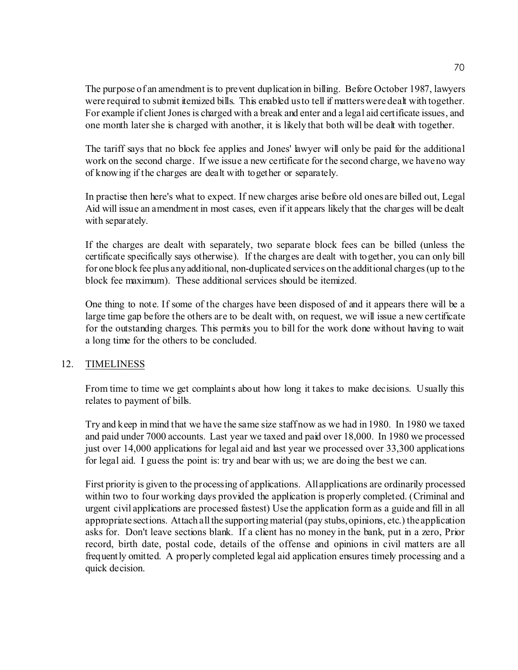The purpose of an amendment is to prevent duplication in billing. Before October 1987, lawyers were required to submit itemized bills. This enabled us to tell if matters were dealt with together. For example if client Jones is charged with a break and enter and a legal aid certificate issues, and one month later she is charged with another, it is likely that both will be dealt with together.

The tariff says that no block fee applies and Jones' lawyer will only be paid for the additional work on the second charge. If we issue a new certificate for the second charge, we have no way of knowing if the charges are dealt with together or separately.

In practise then here's what to expect. If new charges arise before old ones are billed out, Legal Aid will issue an amendment in most cases, even if it appears likely that the charges will be dealt with separately.

If the charges are dealt with separately, two separate block fees can be billed (unless the certificate specifically says otherwise). If the charges are dealt with together, you can only bill for one block fee plus any additional, non-duplicated services on the additional charges (up to the block fee maximum). These additional services should be itemized.

One thing to note. If some of the charges have been disposed of and it appears there will be a large time gap before the others are to be dealt with, on request, we will issue a new certificate for the outstanding charges. This permits you to bill for the work done without having to wait a long time for the others to be concluded.

## 12. TIMELINESS

From time to time we get complaints about how long it takes to make decisions. Usually this relates to payment of bills.

Try and keep in mind that we have the same size staff now as we had in 1980. In 1980 we taxed and paid under 7000 accounts. Last year we taxed and paid over 18,000. In 1980 we processed just over 14,000 applications for legal aid and last year we processed over 33,300 applications for legal aid. I guess the point is: try and bear with us; we are doing the best we can.

First priority is given to the processing of applications. All applications are ordinarily processed within two to four working days provided the application is properly completed. (Criminal and urgent civil applications are processed fastest) Use the application form as a guide and fill in all appropriate sections. Attach all the supporting material (pay stubs, opinions, etc.) the application asks for. Don't leave sections blank. If a client has no money in the bank, put in a zero, Prior record, birth date, postal code, details of the offense and opinions in civil matters are all frequently omitted. A properly completed legal aid application ensures timely processing and a quick decision.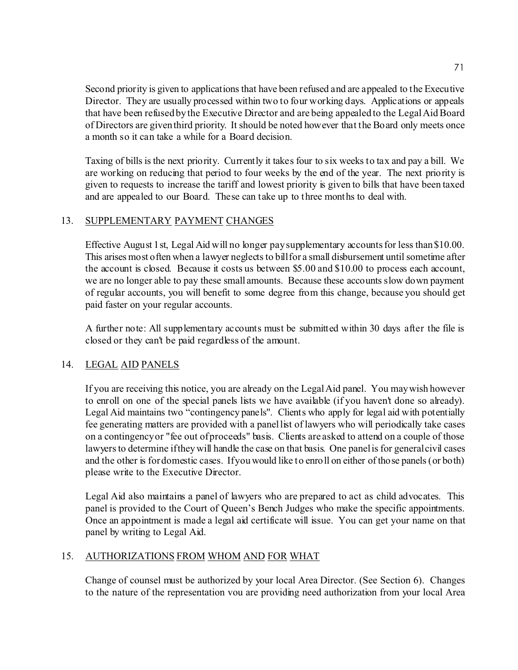Second priority is given to applications that have been refused and are appealed to the Executive Director. They are usually processed within two to four working days. Applications or appeals that have been refused by the Executive Director and are being appealed to the Legal Aid Board of Directors are given third priority. It should be noted however that the Board only meets once a month so it can take a while for a Board decision.

Taxing of bills is the next priority. Currently it takes four to six weeks to tax and pay a bill. We are working on reducing that period to four weeks by the end of the year. The next priority is given to requests to increase the tariff and lowest priority is given to bills that have been taxed and are appealed to our Board. These can take up to three months to deal with.

# 13. SUPPLEMENTARY PAYMENT CHANGES

Effective August 1st, Legal Aid will no longer pay supplementary accounts for less than \$10.00. This arises most often when a lawyer neglects to bill for a small disbursement until sometime after the account is closed. Because it costs us between \$5.00 and \$10.00 to process each account, we are no longer able to pay these small amounts. Because these accounts slow down payment of regular accounts, you will benefit to some degree from this change, because you should get paid faster on your regular accounts.

A further note: All supplementary accounts must be submitted within 30 days after the file is closed or they can't be paid regardless of the amount.

# 14. LEGAL AID PANELS

If you are receiving this notice, you are already on the Legal Aid panel. You may wish however to enroll on one of the special panels lists we have available (if you haven't done so already). Legal Aid maintains two "contingency panels". Clients who apply for legal aid with potentially fee generating matters are provided with a panel list of lawyers who will periodically take cases on a contingency or "fee out of proceeds" basis. Clients are asked to attend on a couple of those lawyers to determine if they will handle the case on that basis. One panel is for general civil cases and the other is for domestic cases. If you would like to enroll on either of those panels (or both) please write to the Executive Director.

Legal Aid also maintains a panel of lawyers who are prepared to act as child advocates. This panel is provided to the Court of Queen's Bench Judges who make the specific appointments. Once an appointment is made a legal aid certificate will issue. You can get your name on that panel by writing to Legal Aid.

## 15. AUTHORIZATIONS FROM WHOM AND FOR WHAT

Change of counsel must be authorized by your local Area Director. (See Section 6). Changes to the nature of the representation vou are providing need authorization from your local Area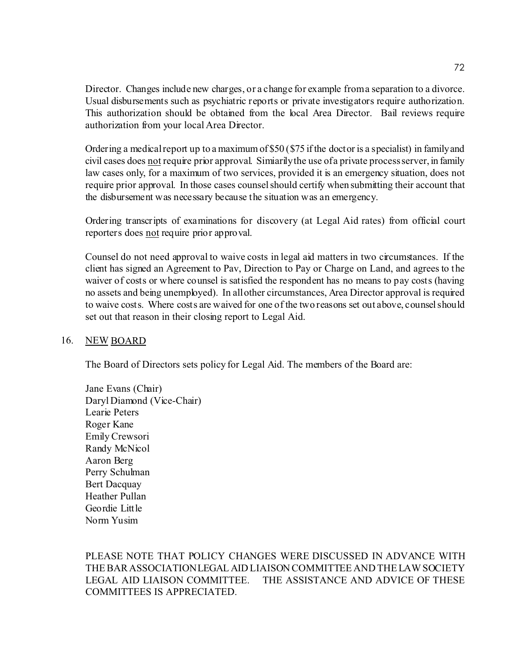Director. Changes include new charges, or a change for example from a separation to a divorce. Usual disbursements such as psychiatric reports or private investigators require authorization. This authorization should be obtained from the local Area Director. Bail reviews require authorization from your local Area Director.

Ordering a medical report up to a maximum of \$50 (\$75 if the doctor is a specialist) in family and civil cases does not require prior approval. Simiarily the use of a private process server, in family law cases only, for a maximum of two services, provided it is an emergency situation, does not require prior approval. In those cases counsel should certify when submitting their account that the disbursement was necessary because the situation was an emergency.

Ordering transcripts of examinations for discovery (at Legal Aid rates) from official court reporters does not require prior approval.

Counsel do not need approval to waive costs in legal aid matters in two circumstances. If the client has signed an Agreement to Pav, Direction to Pay or Charge on Land, and agrees to the waiver of costs or where counsel is satisfied the respondent has no means to pay costs (having no assets and being unemployed). In all other circumstances, Area Director approval is required to waive costs. Where costs are waived for one of the two reasons set out above, counsel should set out that reason in their closing report to Legal Aid.

## 16. NEW BOARD

The Board of Directors sets policy for Legal Aid. The members of the Board are:

Jane Evans (Chair) Daryl Diamond (Vice-Chair) Learie Peters Roger Kane Emily Crewsori Randy McNicol Aaron Berg Perry Schulman Bert Dacquay Heather Pullan Geordie Little Norm Yusim

PLEASE NOTE THAT POLICY CHANGES WERE DISCUSSED IN ADVANCE WITH THE BAR ASSOCIATION LEGAL AID LIAISON COMMITTEE AND THE LAW SOCIETY LEGAL AID LIAISON COMMITTEE. THE ASSISTANCE AND ADVICE OF THESE COMMITTEES IS APPRECIATED.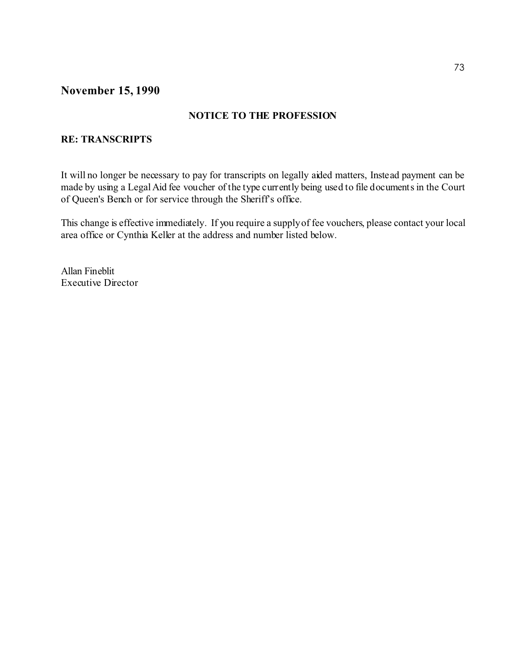# **November 15, 1990**

## **NOTICE TO THE PROFESSION**

## **RE: TRANSCRIPTS**

It will no longer be necessary to pay for transcripts on legally aided matters, Instead payment can be made by using a Legal Aid fee voucher of the type currently being used to file documents in the Court of Queen's Bench or for service through the Sheriff's office.

This change is effective immediately. If you require a supply of fee vouchers, please contact your local area office or Cynthia Keller at the address and number listed below.

Allan Fineblit Executive Director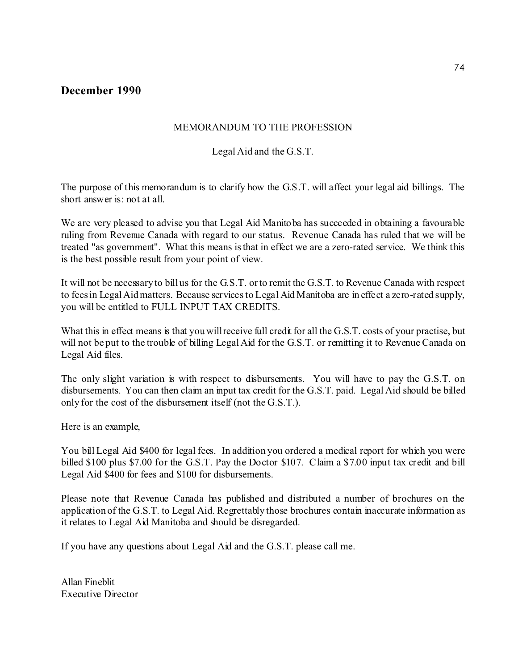## **December 1990**

## MEMORANDUM TO THE PROFESSION

## Legal Aid and the G.S.T.

The purpose of this memorandum is to clarify how the G.S.T. will affect your legal aid billings. The short answer is: not at all.

We are very pleased to advise you that Legal Aid Manitoba has succeeded in obtaining a favourable ruling from Revenue Canada with regard to our status. Revenue Canada has ruled that we will be treated "as government". What this means is that in effect we are a zero-rated service. We think this is the best possible result from your point of view.

It will not be necessary to bill us for the G.S.T. or to remit the G.S.T. to Revenue Canada with respect to fees in Legal Aid matters. Because services to Legal Aid Manitoba are in effect a zero-rated supply, you will be entitled to FULL INPUT TAX CREDITS.

What this in effect means is that you will receive full credit for all the G.S.T. costs of your practise, but will not be put to the trouble of billing Legal Aid for the G.S.T. or remitting it to Revenue Canada on Legal Aid files.

The only slight variation is with respect to disbursements. You will have to pay the G.S.T. on disbursements. You can then claim an input tax credit for the G.S.T. paid. Legal Aid should be billed only for the cost of the disbursement itself (not the G.S.T.).

Here is an example,

You bill Legal Aid \$400 for legal fees. In addition you ordered a medical report for which you were billed \$100 plus \$7.00 for the G.S.T. Pay the Doctor \$107. Claim a \$7.00 input tax credit and bill Legal Aid \$400 for fees and \$100 for disbursements.

Please note that Revenue Canada has published and distributed a number of brochures on the application of the G.S.T. to Legal Aid. Regrettably those brochures contain inaccurate information as it relates to Legal Aid Manitoba and should be disregarded.

If you have any questions about Legal Aid and the G.S.T. please call me.

Allan Fineblit Executive Director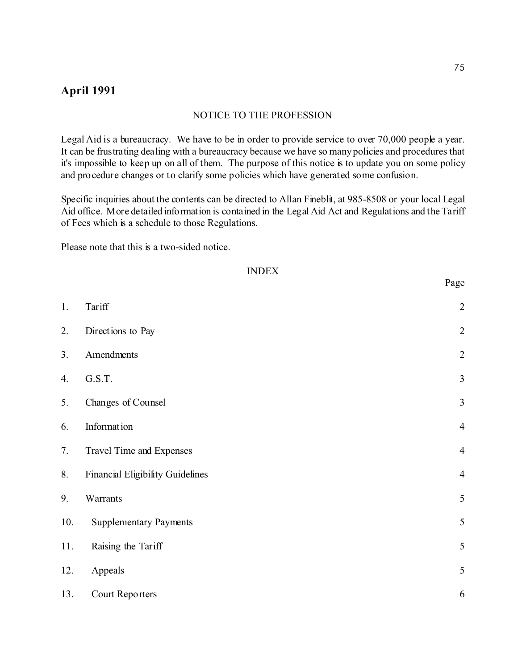## **April 1991**

#### NOTICE TO THE PROFESSION

Legal Aid is a bureaucracy. We have to be in order to provide service to over 70,000 people a year. It can be frustrating dealing with a bureaucracy because we have so many policies and procedures that it's impossible to keep up on all of them. The purpose of this notice is to update you on some policy and procedure changes or to clarify some policies which have generated some confusion.

Specific inquiries about the contents can be directed to Allan Fineblit, at 985-8508 or your local Legal Aid office. More detailed information is contained in the Legal Aid Act and Regulations and the Tariff of Fees which is a schedule to those Regulations.

Please note that this is a two-sided notice.

#### INDEX

| 1.  | Tariff                           | $\overline{c}$          |
|-----|----------------------------------|-------------------------|
| 2.  | Directions to Pay                | $\overline{c}$          |
| 3.  | Amendments                       | $\overline{c}$          |
| 4.  | G.S.T.                           | $\overline{\mathbf{3}}$ |
| 5.  | Changes of Counsel               | $\overline{\mathbf{3}}$ |
| 6.  | Information                      | $\overline{4}$          |
| 7.  | Travel Time and Expenses         | $\overline{4}$          |
| 8.  | Financial Eligibility Guidelines | $\overline{4}$          |
| 9.  | Warrants                         | 5                       |
| 10. | <b>Supplementary Payments</b>    | 5                       |
| 11. | Raising the Tariff               | 5                       |
| 12. | Appeals                          | 5                       |
| 13. | Court Reporters                  | 6                       |

Page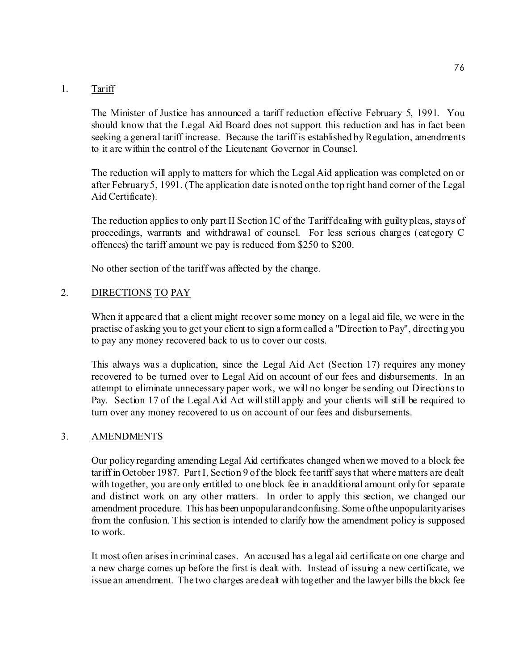#### 1. Tariff

The Minister of Justice has announced a tariff reduction effective February 5, 1991. You should know that the Legal Aid Board does not support this reduction and has in fact been seeking a general tariff increase. Because the tariff is established by Regulation, amendments to it are within the control of the Lieutenant Governor in Counsel.

The reduction will apply to matters for which the Legal Aid application was completed on or after February 5, 1991. (The application date is noted on the top right hand corner of the Legal Aid Certificate).

The reduction applies to only part II Section IC of the Tariff dealing with guilty pleas, stays of proceedings, warrants and withdrawal of counsel. For less serious charges (category C offences) the tariff amount we pay is reduced from \$250 to \$200.

No other section of the tariff was affected by the change.

#### 2. DIRECTIONS TO PAY

When it appeared that a client might recover some money on a legal aid file, we were in the practise of asking you to get your client to sign a form called a "Direction to Pay", directing you to pay any money recovered back to us to cover our costs.

This always was a duplication, since the Legal Aid Act (Section 17) requires any money recovered to be turned over to Legal Aid on account of our fees and disbursements. In an attempt to eliminate unnecessary paper work, we will no longer be sending out Directions to Pay. Section 17 of the Legal Aid Act will still apply and your clients will still be required to turn over any money recovered to us on account of our fees and disbursements.

#### 3. AMENDMENTS

Our policy regarding amending Legal Aid certificates changed when we moved to a block fee tariff in October 1987. Part I, Section 9 of the block fee tariff says that where matters are dealt with together, you are only entitled to one block fee in an additional amount only for separate and distinct work on any other matters. In order to apply this section, we changed our amendment procedure. This has been unpopular and confusing. Some of the unpopularity arises from the confusion. This section is intended to clarify how the amendment policy is supposed to work.

It most often arises in criminal cases. An accused has a legal aid certificate on one charge and a new charge comes up before the first is dealt with. Instead of issuing a new certificate, we issue an amendment. The two charges are dealt with together and the lawyer bills the block fee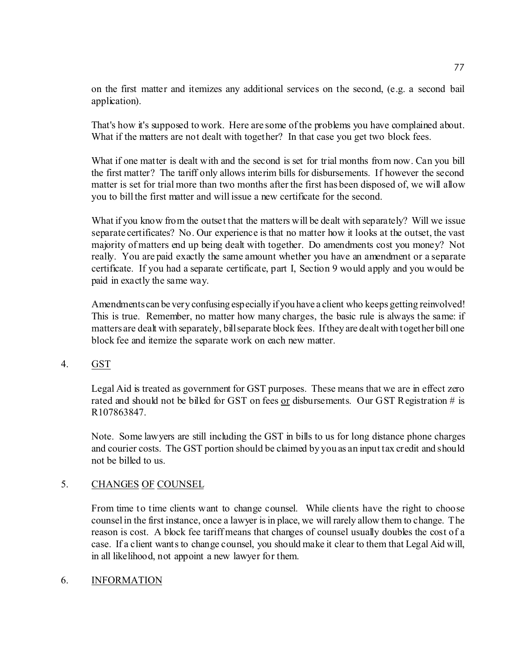on the first matter and itemizes any additional services on the second, (e.g. a second bail application).

That's how it's supposed to work. Here are some of the problems you have complained about. What if the matters are not dealt with together? In that case you get two block fees.

What if one matter is dealt with and the second is set for trial months from now. Can you bill the first matter? The tariff only allows interim bills for disbursements. If however the second matter is set for trial more than two months after the first has been disposed of, we will allow you to bill the first matter and will issue a new certificate for the second.

What if you know from the outset that the matters will be dealt with separately? Will we issue separate certificates? No. Our experience is that no matter how it looks at the outset, the vast majority of matters end up being dealt with together. Do amendments cost you money? Not really. You are paid exactly the same amount whether you have an amendment or a separate certificate. If you had a separate certificate, part I, Section 9 would apply and you would be paid in exactly the same way.

Amendments can be very confusing especially if you have a client who keeps getting reinvolved! This is true. Remember, no matter how many charges, the basic rule is always the same: if matters are dealt with separately, bill separate block fees. If they are dealt with together bill one block fee and itemize the separate work on each new matter.

## 4. GST

Legal Aid is treated as government for GST purposes. These means that we are in effect zero rated and should not be billed for GST on fees or disbursements. Our GST Registration # is R107863847.

Note. Some lawyers are still including the GST in bills to us for long distance phone charges and courier costs. The GST portion should be claimed by you as an input tax credit and should not be billed to us.

#### 5. CHANGES OF COUNSEL

From time to time clients want to change counsel. While clients have the right to choose counsel in the first instance, once a lawyer is in place, we will rarely allow them to change. The reason is cost. A block fee tariff means that changes of counsel usually doubles the cost of a case. If a client wants to change counsel, you should make it clear to them that Legal Aid will, in all likelihood, not appoint a new lawyer for them.

## 6. INFORMATION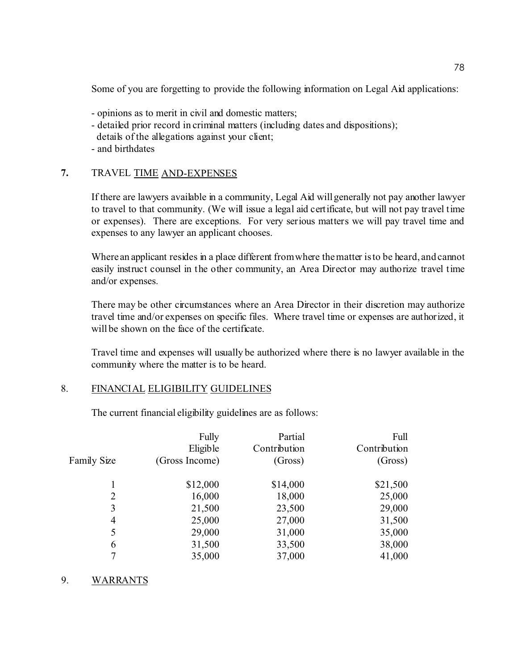Some of you are forgetting to provide the following information on Legal Aid applications:

- opinions as to merit in civil and domestic matters;
- detailed prior record in criminal matters (including dates and dispositions); details of the allegations against your client;
- and birthdates

## **7.** TRAVEL TIME AND-EXPENSES

If there are lawyers available in a community, Legal Aid will generally not pay another lawyer to travel to that community. (We will issue a legal aid certificate, but will not pay travel time or expenses). There are exceptions. For very serious matters we will pay travel time and expenses to any lawyer an applicant chooses.

Where an applicant resides in a place different from where the matter is to be heard, and cannot easily instruct counsel in the other community, an Area Director may authorize travel time and/or expenses.

There may be other circumstances where an Area Director in their discretion may authorize travel time and/or expenses on specific files. Where travel time or expenses are authorized, it will be shown on the face of the certificate.

Travel time and expenses will usually be authorized where there is no lawyer available in the community where the matter is to be heard.

## 8. FINANCIAL ELIGIBILITY GUIDELINES

The current financial eligibility guidelines are as follows:

| <b>Family Size</b> | Fully<br>Eligible<br>(Gross Income) | Partial<br>Contribution<br>(Gross) | Full<br>Contribution<br>(Gross) |
|--------------------|-------------------------------------|------------------------------------|---------------------------------|
|                    |                                     |                                    |                                 |
|                    | \$12,000                            | \$14,000                           | \$21,500                        |
| 2                  | 16,000                              | 18,000                             | 25,000                          |
| 3                  | 21,500                              | 23,500                             | 29,000                          |
| 4                  | 25,000                              | 27,000                             | 31,500                          |
| 5                  | 29,000                              | 31,000                             | 35,000                          |
| 6                  | 31,500                              | 33,500                             | 38,000                          |
| 7                  | 35,000                              | 37,000                             | 41,000                          |

## 9. WARRANTS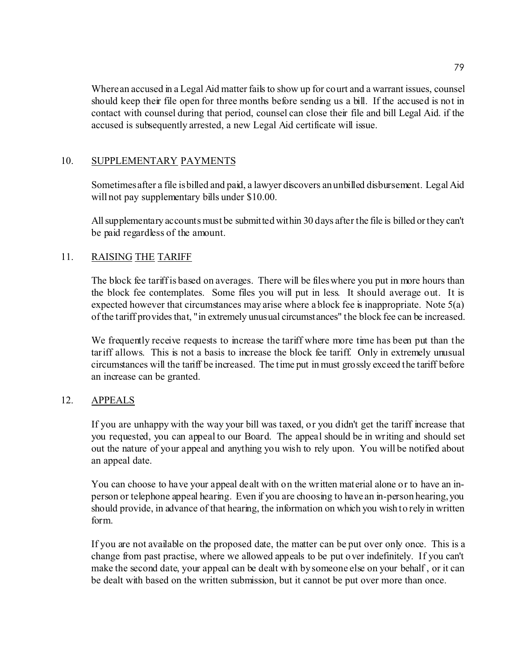Where an accused in a Legal Aid matter fails to show up for court and a warrant issues, counsel should keep their file open for three months before sending us a bill. If the accused is not in contact with counsel during that period, counsel can close their file and bill Legal Aid. if the accused is subsequently arrested, a new Legal Aid certificate will issue.

## 10. SUPPLEMENTARY PAYMENTS

Sometimes after a file is billed and paid, a lawyer discovers an unbilled disbursement. Legal Aid will not pay supplementary bills under \$10.00.

All supplementary accounts must be submitted within 30 days after the file is billed or they can't be paid regardless of the amount.

## 11. RAISING THE TARIFF

The block fee tariff is based on averages. There will be files where you put in more hours than the block fee contemplates. Some files you will put in less. It should average out. It is expected however that circumstances may arise where a block fee is inappropriate. Note  $5(a)$ of the tariff provides that, "in extremely unusual circumstances" the block fee can be increased.

We frequently receive requests to increase the tariff where more time has been put than the tariff allows. This is not a basis to increase the block fee tariff. Only in extremely unusual circumstances will the tariff be increased. The time put in must grossly exceed the tariff before an increase can be granted.

## 12. APPEALS

If you are unhappy with the way your bill was taxed, or you didn't get the tariff increase that you requested, you can appeal to our Board. The appeal should be in writing and should set out the nature of your appeal and anything you wish to rely upon. You will be notified about an appeal date.

You can choose to have your appeal dealt with on the written material alone or to have an inperson or telephone appeal hearing. Even if you are choosing to have an in-person hearing, you should provide, in advance of that hearing, the information on which you wish to rely in written form.

If you are not available on the proposed date, the matter can be put over only once. This is a change from past practise, where we allowed appeals to be put over indefinitely. If you can't make the second date, your appeal can be dealt with by someone else on your behalf , or it can be dealt with based on the written submission, but it cannot be put over more than once.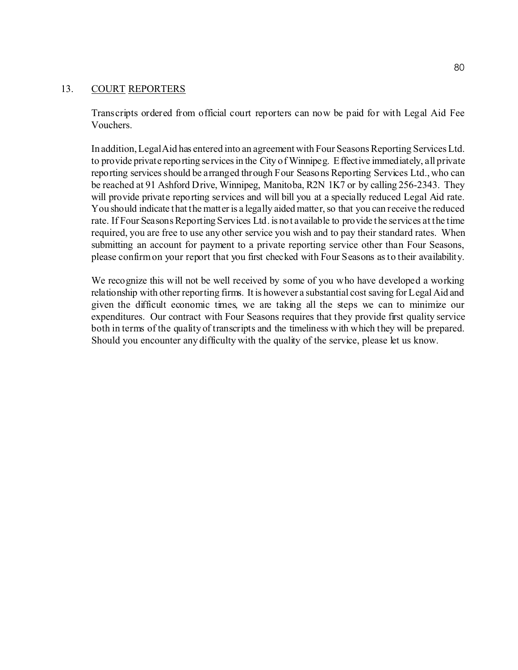#### 13. COURT REPORTERS

Transcripts ordered from official court reporters can now be paid for with Legal Aid Fee Vouchers.

In addition, Legal Aid has entered into an agreement with Four Seasons Reporting Services Ltd. to provide private reporting services in the City of Winnipeg. Effective immediately, all private reporting services should be arranged through Four Seasons Reporting Services Ltd., who can be reached at 91 Ashford Drive, Winnipeg, Manitoba, R2N 1K7 or by calling 256-2343. They will provide private reporting services and will bill you at a specially reduced Legal Aid rate. You should indicate that the matter is a legally aided matter, so that you can receive the reduced rate. If Four Seasons Reporting Services Ltd. is not available to provide the services at the time required, you are free to use any other service you wish and to pay their standard rates. When submitting an account for payment to a private reporting service other than Four Seasons, please confirm on your report that you first checked with Four Seasons as to their availability.

We recognize this will not be well received by some of you who have developed a working relationship with other reporting firms. It is however a substantial cost saving for Legal Aid and given the difficult economic times, we are taking all the steps we can to minimize our expenditures. Our contract with Four Seasons requires that they provide first quality service both in terms of the quality of transcripts and the timeliness with which they will be prepared. Should you encounter any difficulty with the quality of the service, please let us know.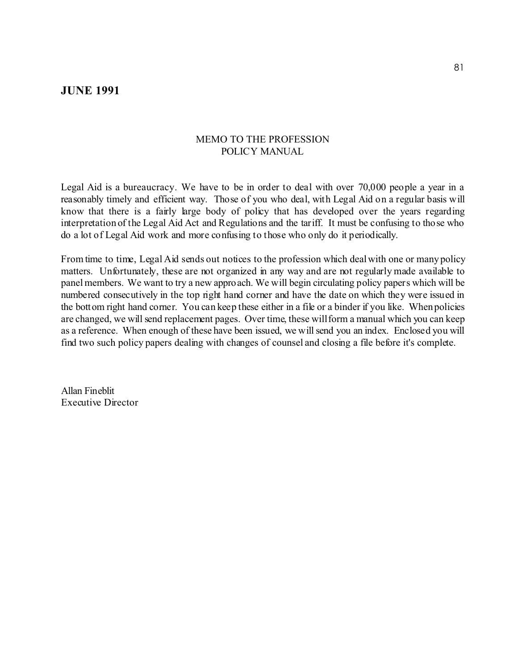## **JUNE 1991**

## MEMO TO THE PROFESSION POLICY MANUAL

Legal Aid is a bureaucracy. We have to be in order to deal with over 70,000 people a year in a reasonably timely and efficient way. Those of you who deal, with Legal Aid on a regular basis will know that there is a fairly large body of policy that has developed over the years regarding interpretation of the Legal Aid Act and Regulations and the tariff. It must be confusing to those who do a lot of Legal Aid work and more confusing to those who only do it periodically.

From time to time, Legal Aid sends out notices to the profession which deal with one or many policy matters. Unfortunately, these are not organized in any way and are not regularly made available to panel members. We want to try a new approach. We will begin circulating policy papers which will be numbered consecutively in the top right hand corner and have the date on which they were issued in the bottom right hand corner. You can keep these either in a file or a binder if you like. When policies are changed, we will send replacement pages. Over time, these will form a manual which you can keep as a reference. When enough of these have been issued, we will send you an index. Enclosed you will find two such policy papers dealing with changes of counsel and closing a file before it's complete.

Allan Fineblit Executive Director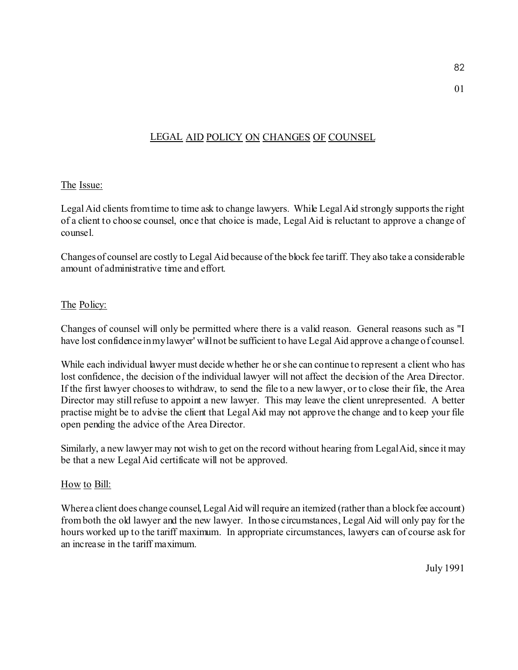# LEGAL AID POLICY ON CHANGES OF COUNSEL

## The Issue:

Legal Aid clients from time to time ask to change lawyers. While Legal Aid strongly supports the right of a client to choose counsel, once that choice is made, Legal Aid is reluctant to approve a change of counsel.

Changes of counsel are costly to Legal Aid because of the block fee tariff. They also take a considerable amount of administrative time and effort.

## The Policy:

Changes of counsel will only be permitted where there is a valid reason. General reasons such as "I have lost confidence in my lawyer' will not be sufficient to have Legal Aid approve a change of counsel.

While each individual lawyer must decide whether he or she can continue to represent a client who has lost confidence, the decision of the individual lawyer will not affect the decision of the Area Director. If the first lawyer chooses to withdraw, to send the file to a new lawyer, or to close their file, the Area Director may still refuse to appoint a new lawyer. This may leave the client unrepresented. A better practise might be to advise the client that Legal Aid may not approve the change and to keep your file open pending the advice of the Area Director.

Similarly, a new lawyer may not wish to get on the record without hearing from Legal Aid, since it may be that a new Legal Aid certificate will not be approved.

## How to Bill:

Where a client does change counsel, Legal Aid will require an itemized (rather than a block fee account) from both the old lawyer and the new lawyer. In those circumstances, Legal Aid will only pay for the hours worked up to the tariff maximum. In appropriate circumstances, lawyers can of course ask for an increase in the tariff maximum.

July 1991

01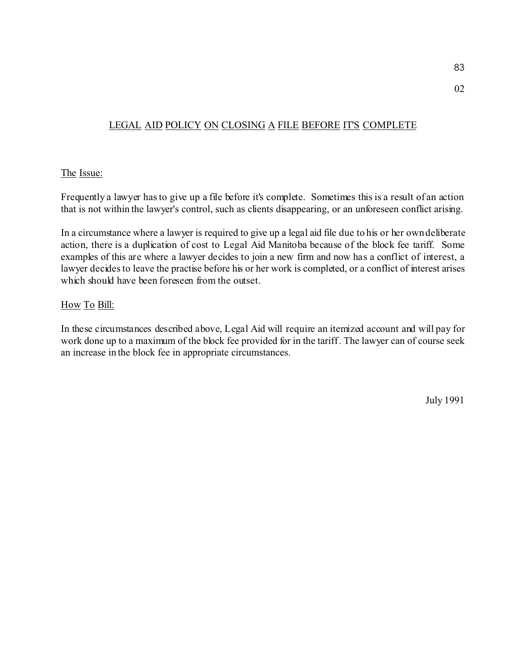# LEGAL AID POLICY ON CLOSING A FILE BEFORE IT'S COMPLETE

## The Issue:

Frequently a lawyer has to give up a file before it's complete. Sometimes this is a result of an action that is not within the lawyer's control, such as clients disappearing, or an unforeseen conflict arising.

In a circumstance where a lawyer is required to give up a legal aid file due to his or her own deliberate action, there is a duplication of cost to Legal Aid Manitoba because of the block fee tariff. Some examples of this are where a lawyer decides to join a new firm and now has a conflict of interest, a lawyer decides to leave the practise before his or her work is completed, or a conflict of interest arises which should have been foreseen from the outset.

## How To Bill:

In these circumstances described above, Legal Aid will require an itemized account and will pay for work done up to a maximum of the block fee provided for in the tariff . The lawyer can of course seek an increase in the block fee in appropriate circumstances.

July 1991

02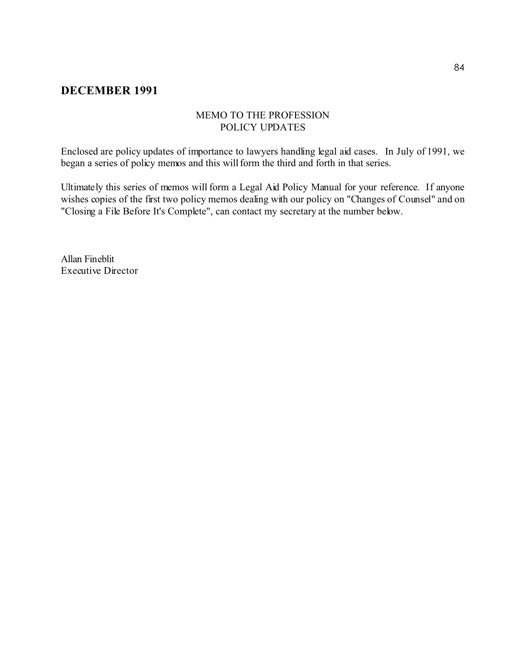## **DECEMBER 1991**

## MEMO TO THE PROFESSION POLICY UPDATES

Enclosed are policy updates of importance to lawyers handling legal aid cases. In July of 1991, we began a series of policy memos and this will form the third and forth in that series.

Ultimately this series of memos will form a Legal Aid Policy Manual for your reference. If anyone wishes copies of the first two policy memos dealing with our policy on "Changes of Counsel" and on "Closing a File Before It's Complete", can contact my secretary at the number below.

Allan Fineblit Executive Director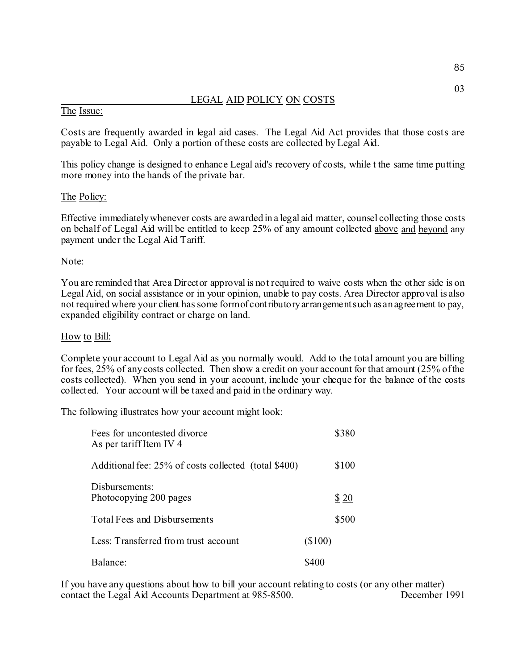## LEGAL AID POLICY ON COSTS

#### The Issue:

Costs are frequently awarded in legal aid cases. The Legal Aid Act provides that those costs are payable to Legal Aid. Only a portion of these costs are collected by Legal Aid.

This policy change is designed to enhance Legal aid's recovery of costs, while t the same time putting more money into the hands of the private bar.

#### The Policy:

Effective immediately whenever costs are awarded in a legal aid matter, counsel collecting those costs on behalf of Legal Aid will be entitled to keep 25% of any amount collected above and beyond any payment under the Legal Aid Tariff.

#### Note:

You are reminded that Area Director approval is not required to waive costs when the other side is on Legal Aid, on social assistance or in your opinion, unable to pay costs. Area Director approval is also not required where your client has some form of contributory arrangement such as an agreement to pay, expanded eligibility contract or charge on land.

#### How to Bill:

Complete your account to Legal Aid as you normally would. Add to the total amount you are billing for fees, 25% of any costs collected. Then show a credit on your account for that amount (25% of the costs collected). When you send in your account, include your cheque for the balance of the costs collected. Your account will be taxed and paid in the ordinary way.

The following illustrates how your account might look:

| Fees for uncontested divorce<br>As per tariff Item IV 4 |           | \$380 |
|---------------------------------------------------------|-----------|-------|
| Additional fee: 25% of costs collected (total \$400)    |           | \$100 |
| Disbursements:<br>Photocopying 200 pages                |           | \$20  |
| Total Fees and Disbursements                            |           | \$500 |
| Less: Transferred from trust account                    | $(\$100)$ |       |
| Balance:                                                | \$400     |       |

If you have any questions about how to bill your account relating to costs (or any other matter)<br>contact the Legal Aid Accounts Department at 985-8500. December 1991 contact the Legal Aid Accounts Department at 985-8500.

03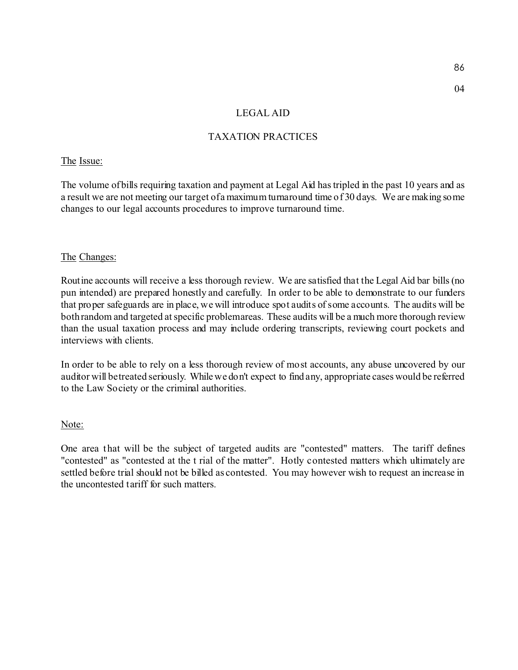04

## LEGAL AID

## TAXATION PRACTICES

## The Issue:

The volume of bills requiring taxation and payment at Legal Aid has tripled in the past 10 years and as a result we are not meeting our target of a maximum turnaround time of 30 days. We are making some changes to our legal accounts procedures to improve turnaround time.

## The Changes:

Routine accounts will receive a less thorough review. We are satisfied that the Legal Aid bar bills (no pun intended) are prepared honestly and carefully. In order to be able to demonstrate to our funders that proper safeguards are in place, we will introduce spot audits of some accounts. The audits will be both random and targeted at specific problem areas. These audits will be a much more thorough review than the usual taxation process and may include ordering transcripts, reviewing court pockets and interviews with clients.

In order to be able to rely on a less thorough review of most accounts, any abuse uncovered by our auditor will be treated seriously. While we don't expect to find any, appropriate cases would be referred to the Law Society or the criminal authorities.

## Note:

One area that will be the subject of targeted audits are "contested" matters. The tariff defines "contested" as "contested at the t rial of the matter". Hotly contested matters which ultimately are settled before trial should not be billed as contested. You may however wish to request an increase in the uncontested tariff for such matters.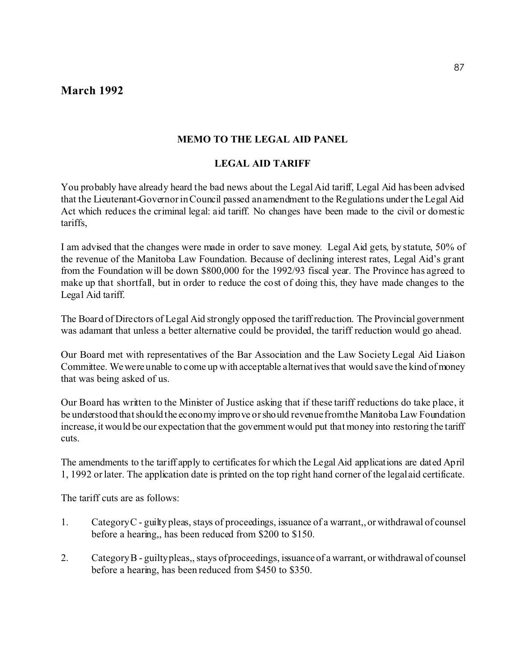## **March 1992**

## **MEMO TO THE LEGAL AID PANEL**

## **LEGAL AID TARIFF**

You probably have already heard the bad news about the Legal Aid tariff, Legal Aid has been advised that the Lieutenant-Governor in Council passed an amendment to the Regulations under the Legal Aid Act which reduces the criminal legal: aid tariff. No changes have been made to the civil or domestic tariffs,

I am advised that the changes were made in order to save money. Legal Aid gets, by statute, 50% of the revenue of the Manitoba Law Foundation. Because of declining interest rates, Legal Aid's grant from the Foundation will be down \$800,000 for the 1992/93 fiscal year. The Province has agreed to make up that shortfall, but in order to reduce the cost of doing this, they have made changes to the Legal Aid tariff.

The Board of Directors of Legal Aid strongly opposed the tariff reduction. The Provincial government was adamant that unless a better alternative could be provided, the tariff reduction would go ahead.

Our Board met with representatives of the Bar Association and the Law Society Legal Aid Liaison Committee. We were unable to come up with acceptable alternatives that would save the kind of money that was being asked of us.

Our Board has written to the Minister of Justice asking that if these tariff reductions do take place, it be understood that should the economy improve or should revenue from the Manitoba Law Foundation increase, it would be our expectation that the government would put that money into restoring the tariff cuts.

The amendments to the tariff apply to certificates for which the Legal Aid applications are dated April 1, 1992 or later. The application date is printed on the top right hand corner of the legal aid certificate.

The tariff cuts are as follows:

- 1. Category C guilty pleas, stays of proceedings, issuance of a warrant,, or withdrawal of counsel before a hearing,, has been reduced from \$200 to \$150.
- 2. Category B guilty pleas,, stays of proceedings, issuance of a warrant, or withdrawal of counsel before a hearing, has been reduced from \$450 to \$350.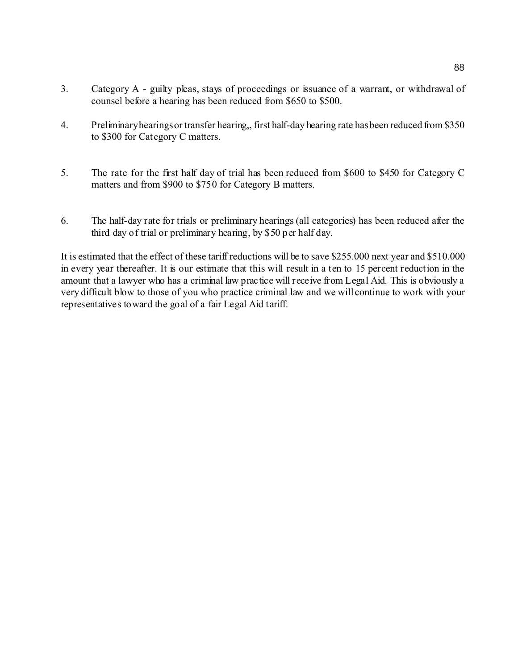- 3. Category A guilty pleas, stays of proceedings or issuance of a warrant, or withdrawal of counsel before a hearing has been reduced from \$650 to \$500.
- 4. Preliminary hearings or transfer hearing,, first half-day hearing rate has been reduced from \$350 to \$300 for Category C matters.
- 5. The rate for the first half day of trial has been reduced from \$600 to \$450 for Category C matters and from \$900 to \$750 for Category B matters.
- 6. The half-day rate for trials or preliminary hearings (all categories) has been reduced after the third day of trial or preliminary hearing, by \$50 per half day.

It is estimated that the effect of these tariff reductions will be to save \$255.000 next year and \$510.000 in every year thereafter. It is our estimate that this will result in a ten to 15 percent reduction in the amount that a lawyer who has a criminal law practice will receive from Legal Aid. This is obviously a very difficult blow to those of you who practice criminal law and we will continue to work with your representatives toward the goal of a fair Legal Aid tariff.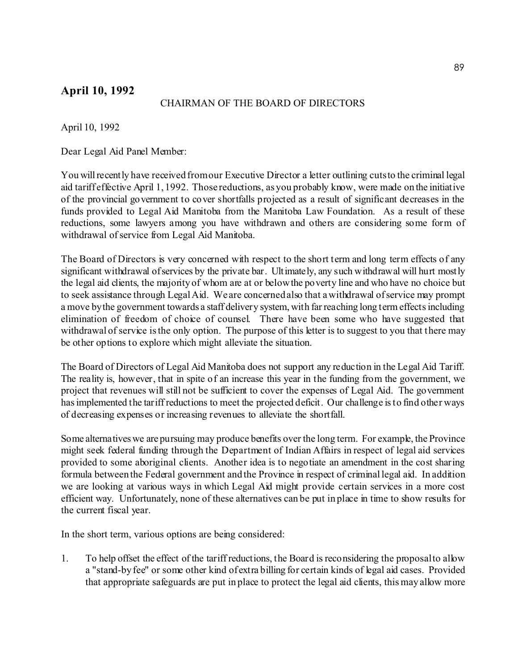# **April 10, 1992**

## CHAIRMAN OF THE BOARD OF DIRECTORS

April 10, 1992

Dear Legal Aid Panel Member:

You will recently have received from our Executive Director a letter outlining cuts to the criminal legal aid tariff effective April 1, 1992. Those reductions, as you probably know, were made on the initiative of the provincial government to cover shortfalls projected as a result of significant decreases in the funds provided to Legal Aid Manitoba from the Manitoba Law Foundation. As a result of these reductions, some lawyers among you have withdrawn and others are considering some form of withdrawal of service from Legal Aid Manitoba.

The Board of Directors is very concerned with respect to the short term and long term effects of any significant withdrawal of services by the private bar. Ultimately, any such withdrawal will hurt mostly the legal aid clients, the majority of whom are at or below the poverty line and who have no choice but to seek assistance through Legal Aid. We are concerned also that a withdrawal of service may prompt a move by the government towards a staff delivery system, with far reaching long term effects including elimination of freedom of choice of counsel. There have been some who have suggested that withdrawal of service is the only option. The purpose of this letter is to suggest to you that there may be other options to explore which might alleviate the situation.

The Board of Directors of Legal Aid Manitoba does not support any reduction in the Legal Aid Tariff. The reality is, however, that in spite of an increase this year in the funding from the government, we project that revenues will still not be sufficient to cover the expenses of Legal Aid. The government has implemented the tariff reductions to meet the projected deficit. Our challenge is to find other ways of decreasing expenses or increasing revenues to alleviate the shortfall.

Some alternatives we are pursuing may produce benefits over the long term. For example, the Province might seek federal funding through the Department of Indian Affairs in respect of legal aid services provided to some aboriginal clients. Another idea is to negotiate an amendment in the cost sharing formula between the Federal government and the Province in respect of criminal legal aid. In addition we are looking at various ways in which Legal Aid might provide certain services in a more cost efficient way. Unfortunately, none of these alternatives can be put in place in time to show results for the current fiscal year.

In the short term, various options are being considered:

1. To help offset the effect of the tariff reductions, the Board is reconsidering the proposal to allow a "stand-by fee" or some other kind of extra billing for certain kinds of legal aid cases. Provided that appropriate safeguards are put in place to protect the legal aid clients, this may allow more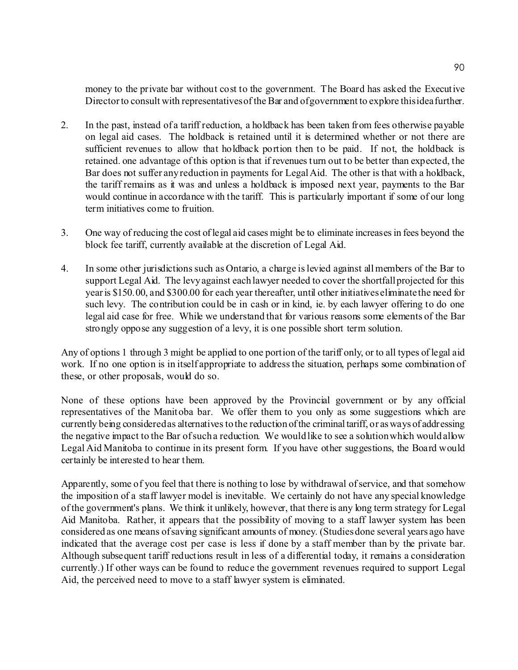money to the private bar without cost to the government. The Board has asked the Executive Director to consult with representatives of the Bar and of government to explore this idea further.

- 2. In the past, instead of a tariff reduction, a holdback has been taken from fees otherwise payable on legal aid cases. The holdback is retained until it is determined whether or not there are sufficient revenues to allow that holdback portion then to be paid. If not, the holdback is retained. one advantage of this option is that if revenues turn out to be better than expected, the Bar does not suffer any reduction in payments for Legal Aid. The other is that with a holdback, the tariff remains as it was and unless a holdback is imposed next year, payments to the Bar would continue in accordance with the tariff. This is particularly important if some of our long term initiatives come to fruition.
- 3. One way of reducing the cost of legal aid cases might be to eliminate increases in fees beyond the block fee tariff, currently available at the discretion of Legal Aid.
- 4. In some other jurisdictions such as Ontario, a charge is levied against all members of the Bar to support Legal Aid. The levy against each lawyer needed to cover the shortfall projected for this year is \$150.00, and \$300.00 for each year thereafter, until other initiatives eliminate the need for such levy. The contribution could be in cash or in kind, ie. by each lawyer offering to do one legal aid case for free. While we understand that for various reasons some elements of the Bar strongly oppose any suggestion of a levy, it is one possible short term solution.

Any of options 1 through 3 might be applied to one portion of the tariff only, or to all types of legal aid work. If no one option is in itself appropriate to address the situation, perhaps some combination of these, or other proposals, would do so.

None of these options have been approved by the Provincial government or by any official representatives of the Manitoba bar. We offer them to you only as some suggestions which are currently being considered as alternatives to the reduction of the criminal tariff, or as ways of addressing the negative impact to the Bar of such a reduction. We would like to see a solution which would allow Legal Aid Manitoba to continue in its present form. If you have other suggestions, the Board would certainly be interested to hear them.

Apparently, some of you feel that there is nothing to lose by withdrawal of service, and that somehow the imposition of a staff lawyer model is inevitable. We certainly do not have any special knowledge of the government's plans. We think it unlikely, however, that there is any long term strategy for Legal Aid Manitoba. Rather, it appears that the possibility of moving to a staff lawyer system has been considered as one means of saving significant amounts of money. (Studies done several years ago have indicated that the average cost per case is less if done by a staff member than by the private bar. Although subsequent tariff reductions result in less of a differential today, it remains a consideration currently.) If other ways can be found to reduce the government revenues required to support Legal Aid, the perceived need to move to a staff lawyer system is eliminated.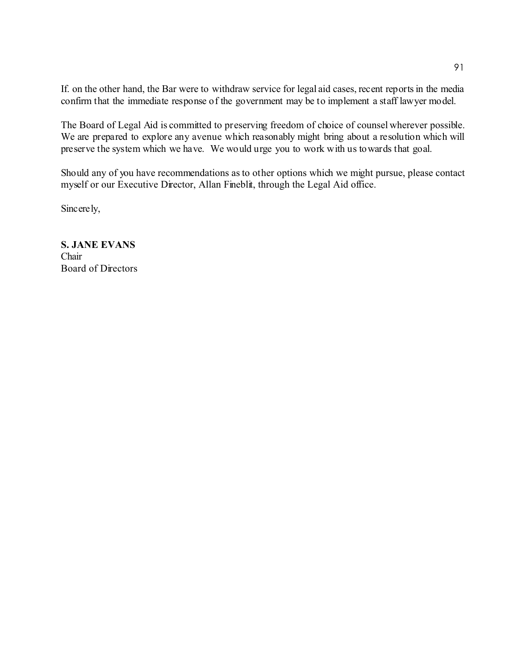If. on the other hand, the Bar were to withdraw service for legal aid cases, recent reports in the media confirm that the immediate response of the government may be to implement a staff lawyer model.

The Board of Legal Aid is committed to preserving freedom of choice of counsel wherever possible. We are prepared to explore any avenue which reasonably might bring about a resolution which will preserve the system which we have. We would urge you to work with us towards that goal.

Should any of you have recommendations as to other options which we might pursue, please contact myself or our Executive Director, Allan Fineblit, through the Legal Aid office.

Sincerely,

**S. JANE EVANS** Chair Board of Directors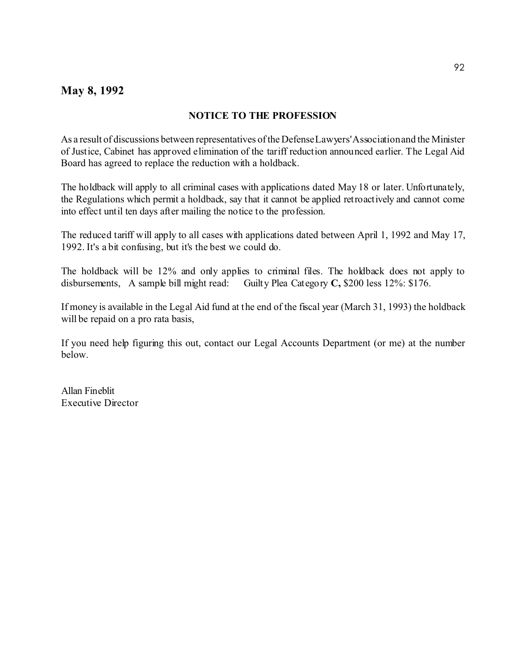## **May 8, 1992**

## **NOTICE TO THE PROFESSION**

As a result of discussions between representatives of the Defense Lawyers' Association and the Minister of Justice, Cabinet has approved elimination of the tariff reduction announced earlier. The Legal Aid Board has agreed to replace the reduction with a holdback.

The holdback will apply to all criminal cases with applications dated May 18 or later. Unfortunately, the Regulations which permit a holdback, say that it cannot be applied retroactively and cannot come into effect until ten days after mailing the notice to the profession.

The reduced tariff will apply to all cases with applications dated between April 1, 1992 and May 17, 1992. It's a bit confusing, but it's the best we could do.

The holdback will be 12% and only applies to criminal files. The holdback does not apply to disbursements, A sample bill might read: Guilty Plea Category **C,** \$200 less 12%: \$176.

If money is available in the Legal Aid fund at the end of the fiscal year (March 31, 1993) the holdback will be repaid on a pro rata basis,

If you need help figuring this out, contact our Legal Accounts Department (or me) at the number below.

Allan Fineblit Executive Director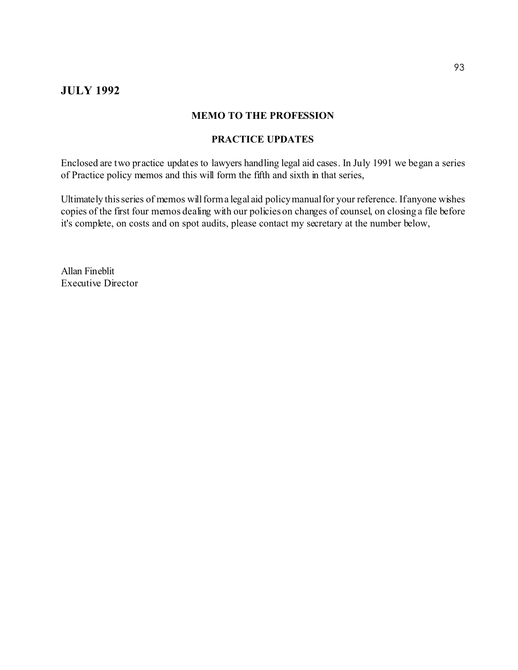## **JULY 1992**

#### **MEMO TO THE PROFESSION**

## **PRACTICE UPDATES**

Enclosed are two practice updates to lawyers handling legal aid cases. In July 1991 we began a series of Practice policy memos and this will form the fifth and sixth in that series,

Ultimately this series of memos will form a legal aid policy manual for your reference. If anyone wishes copies of the first four memos dealing with our policies on changes of counsel, on closing a file before it's complete, on costs and on spot audits, please contact my secretary at the number below,

Allan Fineblit Executive Director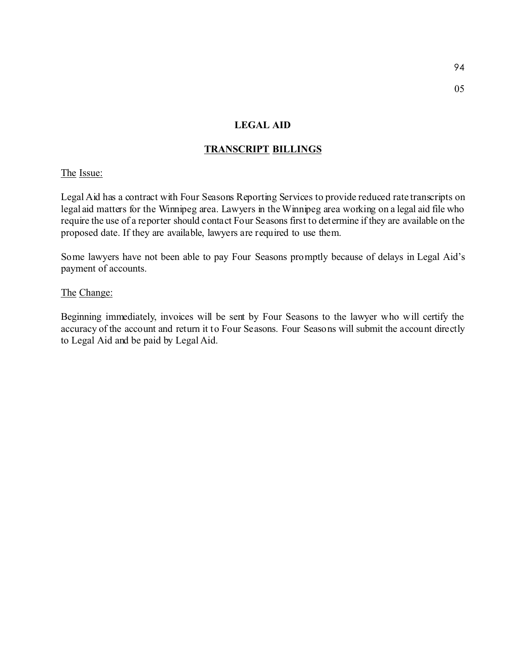#### **LEGAL AID**

## **TRANSCRIPT BILLINGS**

## The Issue:

Legal Aid has a contract with Four Seasons Reporting Services to provide reduced rate transcripts on legal aid matters for the Winnipeg area. Lawyers in the Winnipeg area working on a legal aid file who require the use of a reporter should contact Four Seasons first to determine if they are available on the proposed date. If they are available, lawyers are required to use them.

Some lawyers have not been able to pay Four Seasons promptly because of delays in Legal Aid's payment of accounts.

#### The Change:

Beginning immediately, invoices will be sent by Four Seasons to the lawyer who will certify the accuracy of the account and return it to Four Seasons. Four Seasons will submit the account directly to Legal Aid and be paid by Legal Aid.

05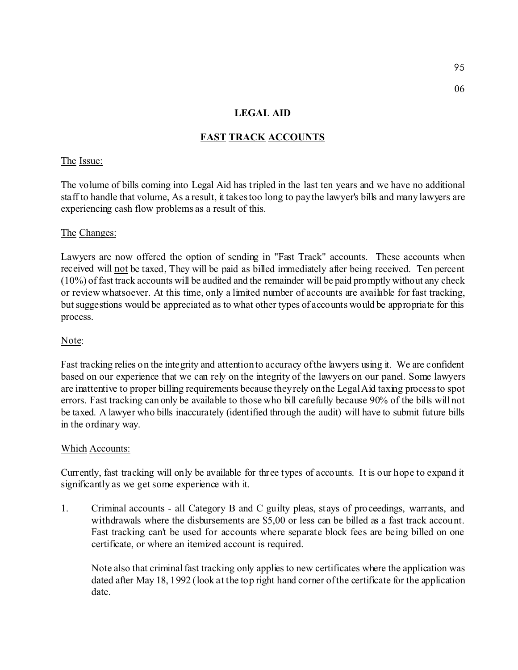06

## **LEGAL AID**

## **FAST TRACK ACCOUNTS**

## The Issue:

The volume of bills coming into Legal Aid has tripled in the last ten years and we have no additional staff to handle that volume, As a result, it takes too long to pay the lawyer's bills and many lawyers are experiencing cash flow problems as a result of this.

#### The Changes:

Lawyers are now offered the option of sending in "Fast Track" accounts. These accounts when received will not be taxed, They will be paid as billed immediately after being received. Ten percent (10%) of fast track accounts will be audited and the remainder will be paid promptly without any check or review whatsoever. At this time, only a limited number of accounts are available for fast tracking, but suggestions would be appreciated as to what other types of accounts would be appropriate for this process.

## Note:

Fast tracking relies on the integrity and attention to accuracy of the lawyers using it. We are confident based on our experience that we can rely on the integrity of the lawyers on our panel. Some lawyers are inattentive to proper billing requirements because they rely on the Legal Aid taxing process to spot errors. Fast tracking can only be available to those who bill carefully because 90% of the bills will not be taxed. A lawyer who bills inaccurately (identified through the audit) will have to submit future bills in the ordinary way.

#### Which Accounts:

Currently, fast tracking will only be available for three types of accounts. It is our hope to expand it significantly as we get some experience with it.

1. Criminal accounts - all Category B and C guilty pleas, stays of proceedings, warrants, and withdrawals where the disbursements are \$5,00 or less can be billed as a fast track account. Fast tracking can't be used for accounts where separate block fees are being billed on one certificate, or where an itemized account is required.

Note also that criminal fast tracking only applies to new certificates where the application was dated after May 18, 1992 (look at the top right hand corner of the certificate for the application date.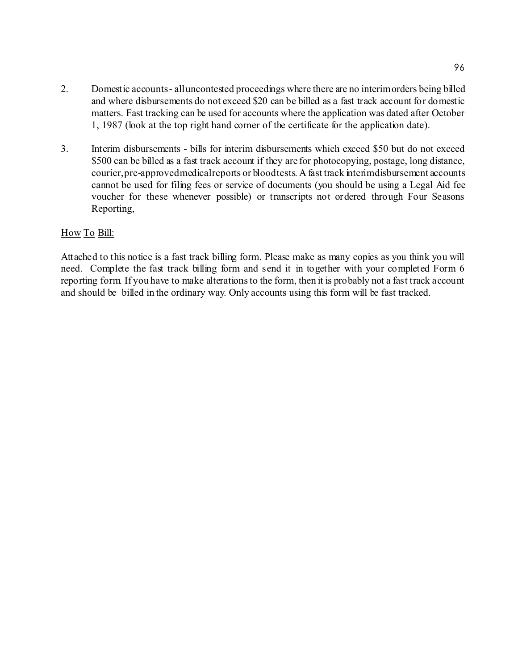- 2. Domestic accounts all uncontested proceedings where there are no interim orders being billed and where disbursements do not exceed \$20 can be billed as a fast track account for domestic matters. Fast tracking can be used for accounts where the application was dated after October 1, 1987 (look at the top right hand corner of the certificate for the application date).
- 3. Interim disbursements bills for interim disbursements which exceed \$50 but do not exceed \$500 can be billed as a fast track account if they are for photocopying, postage, long distance, courier, pre-approved medical reports or blood tests. A fast track interim disbursement accounts cannot be used for filing fees or service of documents (you should be using a Legal Aid fee voucher for these whenever possible) or transcripts not ordered through Four Seasons Reporting,

## How To Bill:

Attached to this notice is a fast track billing form. Please make as many copies as you think you will need. Complete the fast track billing form and send it in together with your completed Form 6 reporting form. If you have to make alterations to the form, then it is probably not a fast track account and should be billed in the ordinary way. Only accounts using this form will be fast tracked.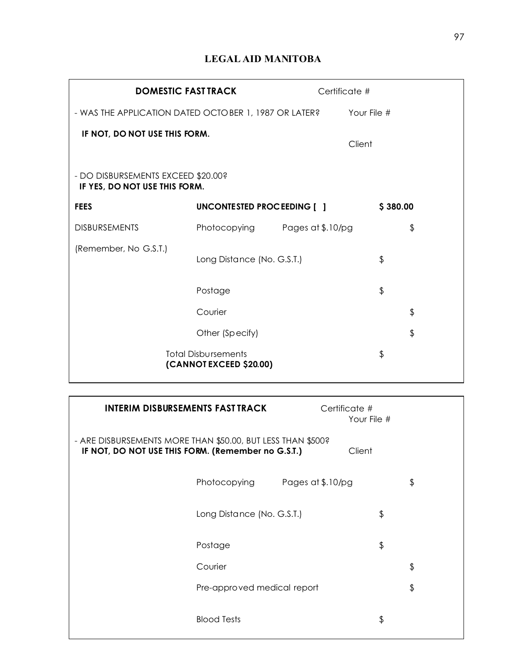# **LEGAL AID MANITOBA**

| <b>DOMESTIC FAST TRACK</b>                                          |                                | Certificate # |             |    |
|---------------------------------------------------------------------|--------------------------------|---------------|-------------|----|
| - WAS THE APPLICATION DATED OCTOBER 1, 1987 OR LATER?               |                                |               | Your File # |    |
| IF NOT, DO NOT USE THIS FORM.                                       |                                |               | Client      |    |
| - DO DISBURSEMENTS EXCEED \$20.00?<br>IF YES, DO NOT USE THIS FORM. |                                |               |             |    |
| <b>FEES</b>                                                         | UNCONTESTED PROCEEDING [ ]     |               | \$380.00    |    |
| <b>DISBURSEMENTS</b>                                                | Photocopying Pages at \$.10/pg |               |             | \$ |
| (Remember, No G.S.T.)                                               | Long Distance (No. G.S.T.)     |               | \$          |    |
|                                                                     | Postage                        |               | \$          |    |
|                                                                     | Courier                        |               |             | \$ |
|                                                                     | Other (Specify)                |               |             | \$ |
| <b>Total Disbursements</b><br>(CANNOT EXCEED \$20.00)               |                                |               | \$          |    |

| <b>INTERIM DISBURSEMENTS FAST TRACK</b>                                                                                     | Certificate #<br>Your File #      |  |  |
|-----------------------------------------------------------------------------------------------------------------------------|-----------------------------------|--|--|
| - ARE DISBURSEMENTS MORE THAN \$50.00, BUT LESS THAN \$500?<br>IF NOT, DO NOT USE THIS FORM. (Remember no G.S.T.)<br>Client |                                   |  |  |
| Photocopying                                                                                                                | Pages at \$.10/pg<br>\$           |  |  |
| Long Distance (No. G.S.T.)                                                                                                  | \$                                |  |  |
| Postage                                                                                                                     | \$                                |  |  |
| Courier                                                                                                                     | \$                                |  |  |
|                                                                                                                             | \$<br>Pre-approved medical report |  |  |
| <b>Blood Tests</b>                                                                                                          | \$                                |  |  |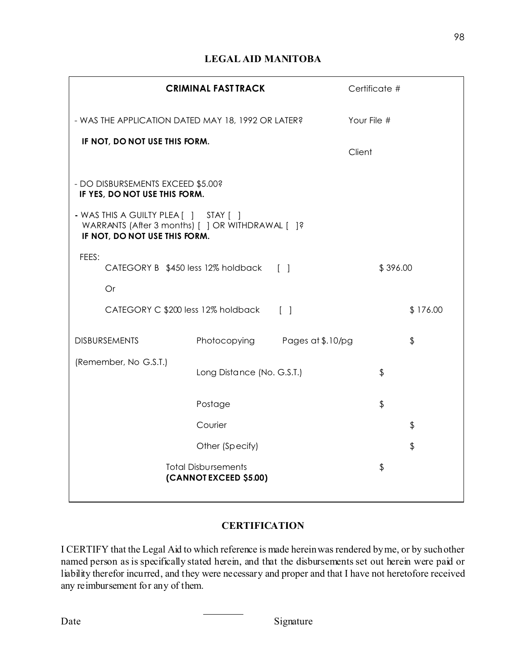# **LEGAL AID MANITOBA**

|                                                                                                                            | <b>CRIMINAL FAST TRACK</b>                           |                 | Certificate # |               |
|----------------------------------------------------------------------------------------------------------------------------|------------------------------------------------------|-----------------|---------------|---------------|
| - WAS THE APPLICATION DATED MAY 18, 1992 OR LATER?                                                                         |                                                      |                 | Your File #   |               |
| IF NOT, DO NOT USE THIS FORM.                                                                                              |                                                      |                 | Client        |               |
| - DO DISBURSEMENTS EXCEED \$5.00?<br>IF YES, DO NOT USE THIS FORM.                                                         |                                                      |                 |               |               |
| - WAS THIS A GUILTY PLEA [ ] STAY [ ]<br>WARRANTS (After 3 months) [ ] OR WITHDRAWAL [ ]?<br>IF NOT, DO NOT USE THIS FORM. |                                                      |                 |               |               |
| FEES:<br>CATEGORY B \$450 less 12% holdback [ ]                                                                            |                                                      |                 | \$396.00      |               |
| Or                                                                                                                         |                                                      |                 |               |               |
| CATEGORY C \$200 less 12% holdback                                                                                         |                                                      | $\lceil \rceil$ |               | \$176.00      |
| <b>DISBURSEMENTS</b>                                                                                                       | Photocopying Pages at \$.10/pg                       |                 |               | \$            |
| (Remember, No G.S.T.)                                                                                                      | Long Distance (No. G.S.T.)                           |                 | $\frac{1}{2}$ |               |
|                                                                                                                            | Postage                                              |                 | $\frac{1}{2}$ |               |
|                                                                                                                            | Courier                                              |                 |               | \$            |
|                                                                                                                            | Other (Specify)                                      |                 |               | $\frac{1}{2}$ |
|                                                                                                                            | <b>Total Disbursements</b><br>(CANNOT EXCEED \$5.00) |                 | $\frac{1}{2}$ |               |

## **CERTIFICATION**

I CERTIFY that the Legal Aid to which reference is made herein was rendered by me, or by such other named person as is specifically stated herein, and that the disbursements set out herein were paid or liability therefor incurred, and they were necessary and proper and that I have not heretofore received any reimbursement for any of them.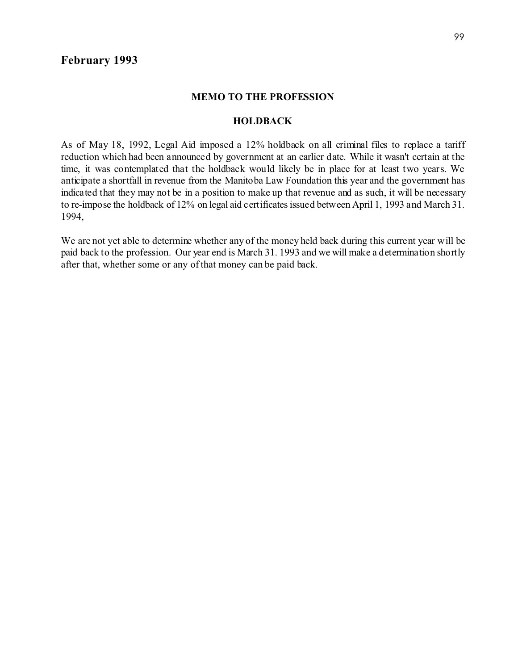## **February 1993**

#### **MEMO TO THE PROFESSION**

#### **HOLDBACK**

As of May 18, 1992, Legal Aid imposed a 12% holdback on all criminal files to replace a tariff reduction which had been announced by government at an earlier date. While it wasn't certain at the time, it was contemplated that the holdback would likely be in place for at least two years. We anticipate a shortfall in revenue from the Manitoba Law Foundation this year and the government has indicated that they may not be in a position to make up that revenue and as such, it will be necessary to re-impose the holdback of 12% on legal aid certificates issued between April 1, 1993 and March 31. 1994,

We are not yet able to determine whether any of the money held back during this current year will be paid back to the profession. Our year end is March 31. 1993 and we will make a determination shortly after that, whether some or any of that money can be paid back.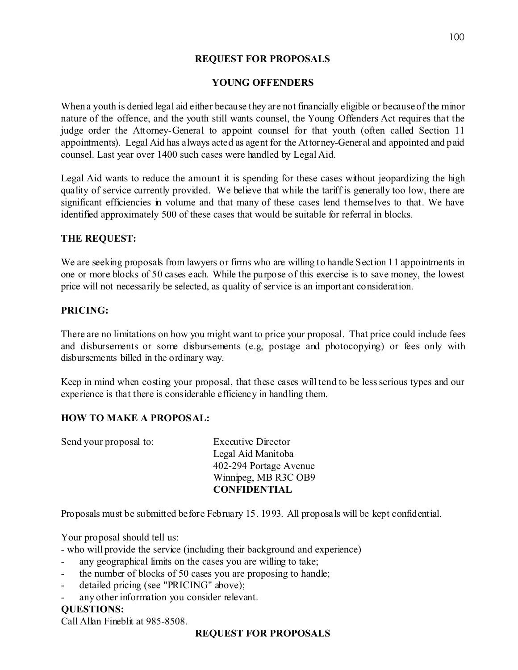## **REQUEST FOR PROPOSALS**

## **YOUNG OFFENDERS**

When a youth is denied legal aid either because they are not financially eligible or because of the minor nature of the offence, and the youth still wants counsel, the Young Offenders Act requires that the judge order the Attorney-General to appoint counsel for that youth (often called Section 11 appointments). Legal Aid has always acted as agent for the Attorney-General and appointed and paid counsel. Last year over 1400 such cases were handled by Legal Aid.

Legal Aid wants to reduce the amount it is spending for these cases without jeopardizing the high quality of service currently provided. We believe that while the tariff is generally too low, there are significant efficiencies in volume and that many of these cases lend themselves to that. We have identified approximately 500 of these cases that would be suitable for referral in blocks.

## **THE REQUEST:**

We are seeking proposals from lawyers or firms who are willing to handle Section 11 appointments in one or more blocks of 50 cases each. While the purpose of this exercise is to save money, the lowest price will not necessarily be selected, as quality of service is an important consideration.

## **PRICING:**

There are no limitations on how you might want to price your proposal. That price could include fees and disbursements or some disbursements (e.g, postage and photocopying) or fees only with disbursements billed in the ordinary way.

Keep in mind when costing your proposal, that these cases will tend to be less serious types and our experience is that there is considerable efficiency in handling them.

## **HOW TO MAKE A PROPOSAL:**

| Send your proposal to: | <b>Executive Director</b> |
|------------------------|---------------------------|
|                        | Legal Aid Manitoba        |
|                        | 402-294 Portage Avenue    |
|                        | Winnipeg, MB R3C OB9      |
|                        | <b>CONFIDENTIAL</b>       |

Proposals must be submitted before February 15. 1993. All proposals will be kept confidential.

Your proposal should tell us:

- who will provide the service (including their background and experience)

- any geographical limits on the cases you are willing to take;
- the number of blocks of 50 cases you are proposing to handle;
- detailed pricing (see "PRICING" above);
- any other information you consider relevant.

## **QUESTIONS:**

Call Allan Fineblit at 985-8508.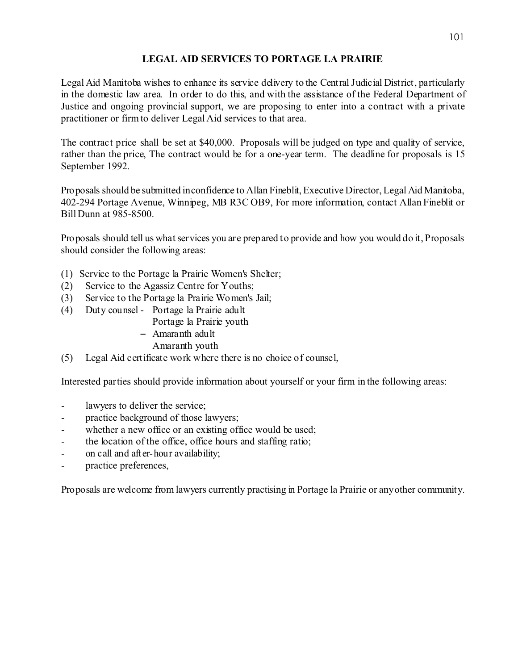## **LEGAL AID SERVICES TO PORTAGE LA PRAIRIE**

Legal Aid Manitoba wishes to enhance its service delivery to the Central Judicial District, particularly in the domestic law area. In order to do this, and with the assistance of the Federal Department of Justice and ongoing provincial support, we are proposing to enter into a contract with a private practitioner or firm to deliver Legal Aid services to that area.

The contract price shall be set at \$40,000. Proposals will be judged on type and quality of service, rather than the price, The contract would be for a one-year term. The deadline for proposals is 15 September 1992.

Proposals should be submitted in confidence to Allan Fineblit, Executive Director, Legal Aid Manitoba, 402-294 Portage Avenue, Winnipeg, MB R3C OB9, For more information, contact Allan Fineblit or Bill Dunn at 985-8500.

Proposals should tell us what services you are prepared to provide and how you would do it, Proposals should consider the following areas:

- (1) Service to the Portage la Prairie Women's Shelter;
- (2) Service to the Agassiz Centre for Youths;
- (3) Service to the Portage la Prairie Women's Jail;
- (4) Duty counsel Portage la Prairie adult
	- Portage la Prairie youth
	- $-$  Amaranth adult
		- Amaranth youth
- (5) Legal Aid certificate work where there is no choice of counsel,

Interested parties should provide information about yourself or your firm in the following areas:

- lawyers to deliver the service;
- practice background of those lawyers;
- whether a new office or an existing office would be used;
- the location of the office, office hours and staffing ratio;
- on call and after-hour availability;
- practice preferences,

Proposals are welcome from lawyers currently practising in Portage la Prairie or any other community.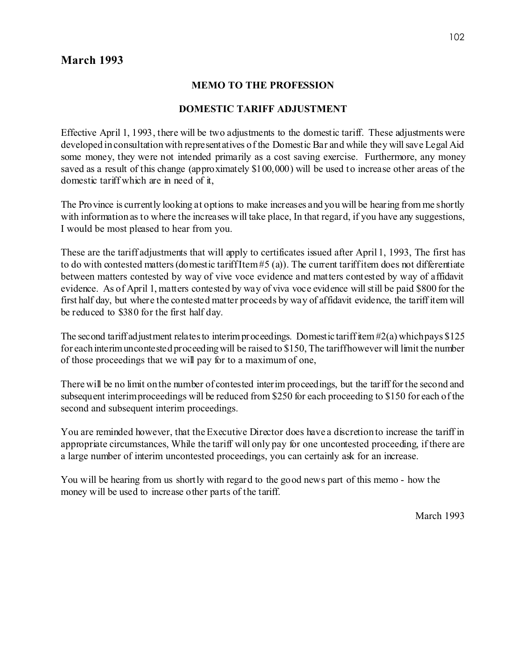# **March 1993**

## **MEMO TO THE PROFESSION**

## **DOMESTIC TARIFF ADJUSTMENT**

Effective April 1, 1993, there will be two adjustments to the domestic tariff. These adjustments were developed in consultation with representatives of the Domestic Bar and while they will save Legal Aid some money, they were not intended primarily as a cost saving exercise. Furthermore, any money saved as a result of this change (approximately \$100,000) will be used to increase other areas of the domestic tariff which are in need of it,

The Province is currently looking at options to make increases and you will be hearing from me shortly with information as to where the increases will take place, In that regard, if you have any suggestions, I would be most pleased to hear from you.

These are the tariff adjustments that will apply to certificates issued after April 1, 1993, The first has to do with contested matters (domestic tariff Item #5 (a)). The current tariff item does not differentiate between matters contested by way of vive voce evidence and matters contested by way of affidavit evidence. As of April 1, matters contested by way of viva voce evidence will still be paid \$800 for the first half day, but where the contested matter proceeds by way of affidavit evidence, the tariff item will be reduced to \$380 for the first half day.

The second tariff adjustment relates to interim proceedings. Domestic tariff item  $#2(a)$  which pays \$125 for each interim uncontested proceeding will be raised to \$150, The tariff however will limit the number of those proceedings that we will pay for to a maximum of one,

There will be no limit on the number of contested interim proceedings, but the tariff for the second and subsequent interim proceedings will be reduced from \$250 for each proceeding to \$150 for each of the second and subsequent interim proceedings.

You are reminded however, that the Executive Director does have a discretion to increase the tariff in appropriate circumstances, While the tariff will only pay for one uncontested proceeding, if there are a large number of interim uncontested proceedings, you can certainly ask for an increase.

You will be hearing from us shortly with regard to the good news part of this memo - how the money will be used to increase other parts of the tariff.

March 1993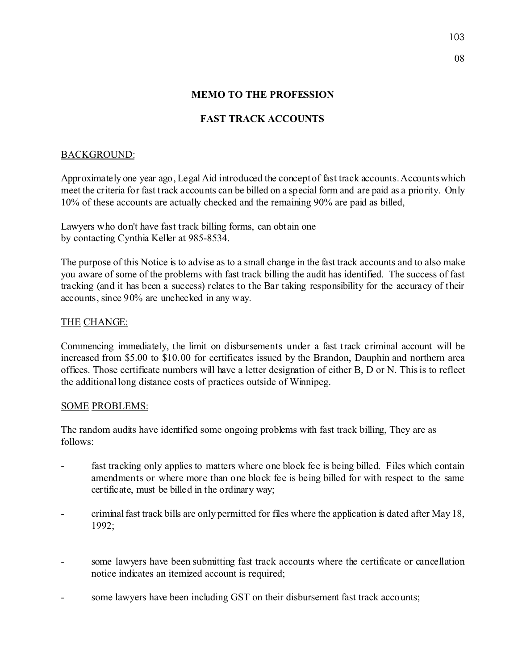## **MEMO TO THE PROFESSION**

## **FAST TRACK ACCOUNTS**

## BACKGROUND:

Approximately one year ago, Legal Aid introduced the concept of fast track accounts. Accounts which meet the criteria for fast track accounts can be billed on a special form and are paid as a priority. Only 10% of these accounts are actually checked and the remaining 90% are paid as billed,

Lawyers who don't have fast track billing forms, can obtain one by contacting Cynthia Keller at 985-8534.

The purpose of this Notice is to advise as to a small change in the fast track accounts and to also make you aware of some of the problems with fast track billing the audit has identified. The success of fast tracking (and it has been a success) relates to the Bar taking responsibility for the accuracy of their accounts, since 90% are unchecked in any way.

## THE CHANGE:

Commencing immediately, the limit on disbursements under a fast track criminal account will be increased from \$5.00 to \$10.00 for certificates issued by the Brandon, Dauphin and northern area offices. Those certificate numbers will have a letter designation of either B, D or N. This is to reflect the additional long distance costs of practices outside of Winnipeg.

## SOME PROBLEMS:

The random audits have identified some ongoing problems with fast track billing, They are as follows:

- fast tracking only applies to matters where one block fee is being billed. Files which contain amendments or where more than one block fee is being billed for with respect to the same certificate, must be billed in the ordinary way;
- criminal fast track bills are only permitted for files where the application is dated after May 18, 1992;
- some lawyers have been submitting fast track accounts where the certificate or cancellation notice indicates an itemized account is required;
- some lawyers have been including GST on their disbursement fast track accounts;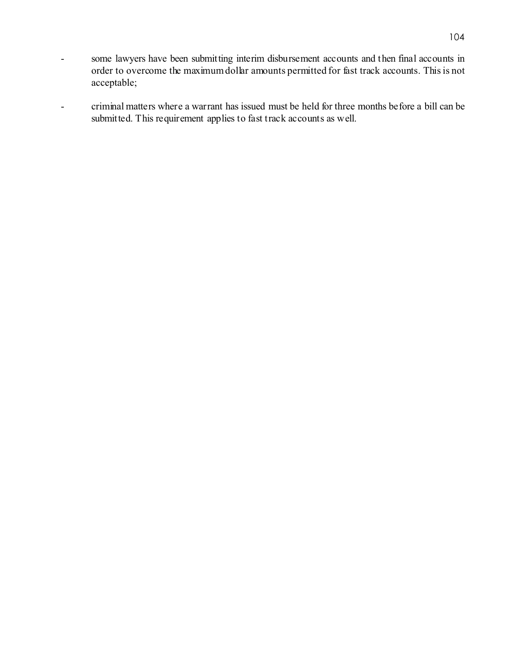- some lawyers have been submitting interim disbursement accounts and then final accounts in order to overcome the maximum dollar amounts permitted for fast track accounts. This is not acceptable;
- criminal matters where a warrant has issued must be held for three months before a bill can be submitted. This requirement applies to fast track accounts as well.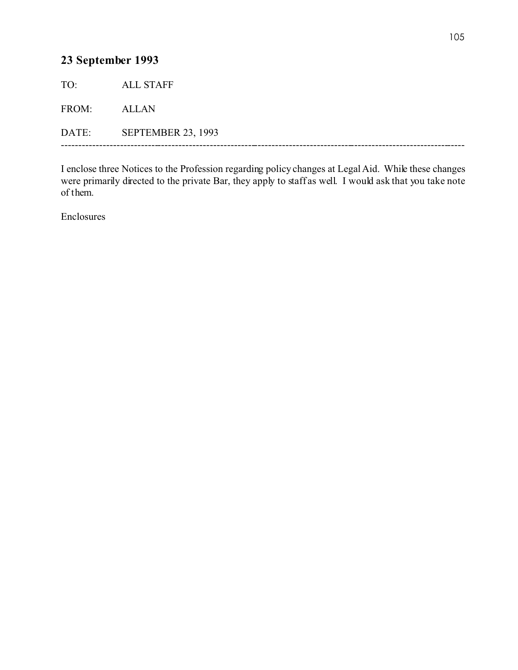# **23 September 1993**

TO: ALL STAFF FROM: ALLAN DATE: SEPTEMBER 23, 1993 ---------------------------------------------------------------------------------------------------------------------

I enclose three Notices to the Profession regarding policy changes at Legal Aid. While these changes were primarily directed to the private Bar, they apply to staff as well. I would ask that you take note of them.

Enclosures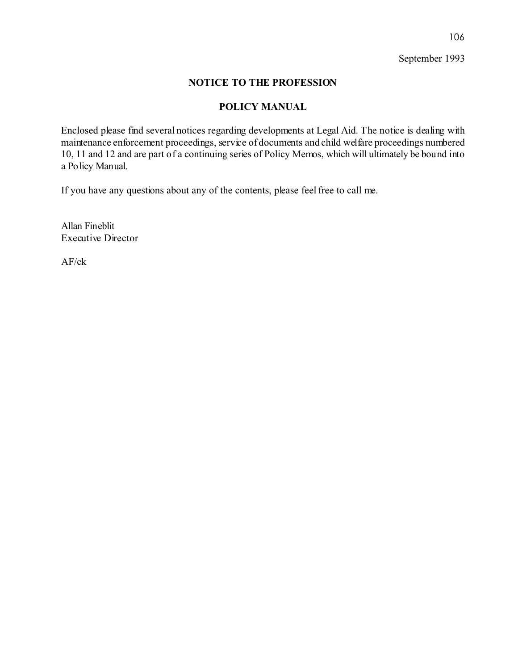September 1993

## **NOTICE TO THE PROFESSION**

## **POLICY MANUAL**

Enclosed please find several notices regarding developments at Legal Aid. The notice is dealing with maintenance enforcement proceedings, service of documents and child welfare proceedings numbered 10, 11 and 12 and are part of a continuing series of Policy Memos, which will ultimately be bound into a Policy Manual.

If you have any questions about any of the contents, please feel free to call me.

Allan Fineblit Executive Director

AF/ck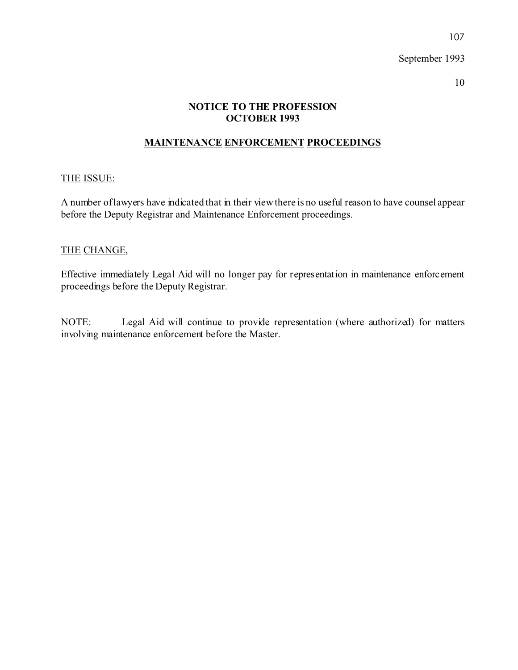107

## **NOTICE TO THE PROFESSION OCTOBER 1993**

## **MAINTENANCE ENFORCEMENT PROCEEDINGS**

## THE ISSUE:

A number of lawyers have indicated that in their view there is no useful reason to have counsel appear before the Deputy Registrar and Maintenance Enforcement proceedings.

## THE CHANGE,

Effective immediately Legal Aid will no longer pay for representation in maintenance enforcement proceedings before the Deputy Registrar.

NOTE: Legal Aid will continue to provide representation (where authorized) for matters involving maintenance enforcement before the Master.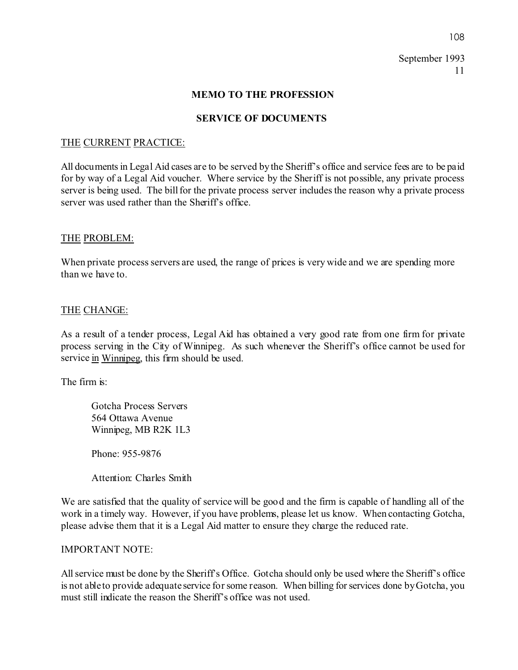#### **MEMO TO THE PROFESSION**

## **SERVICE OF DOCUMENTS**

#### THE CURRENT PRACTICE:

All documents in Legal Aid cases are to be served by the Sheriff's office and service fees are to be paid for by way of a Legal Aid voucher. Where service by the Sheriff is not possible, any private process server is being used. The bill for the private process server includes the reason why a private process server was used rather than the Sheriff's office.

#### THE PROBLEM:

When private process servers are used, the range of prices is very wide and we are spending more than we have to.

#### THE CHANGE:

As a result of a tender process, Legal Aid has obtained a very good rate from one firm for private process serving in the City of Winnipeg. As such whenever the Sheriff's office cannot be used for service in Winnipeg, this firm should be used.

The firm is:

Gotcha Process Servers 564 Ottawa Avenue Winnipeg, MB R2K 1L3

Phone: 955-9876

Attention: Charles Smith

We are satisfied that the quality of service will be good and the firm is capable of handling all of the work in a timely way. However, if you have problems, please let us know. When contacting Gotcha, please advise them that it is a Legal Aid matter to ensure they charge the reduced rate.

#### IMPORTANT NOTE:

All service must be done by the Sheriff's Office. Gotcha should only be used where the Sheriff's office is not able to provide adequate service for some reason. When billing for services done by Gotcha, you must still indicate the reason the Sheriff's office was not used.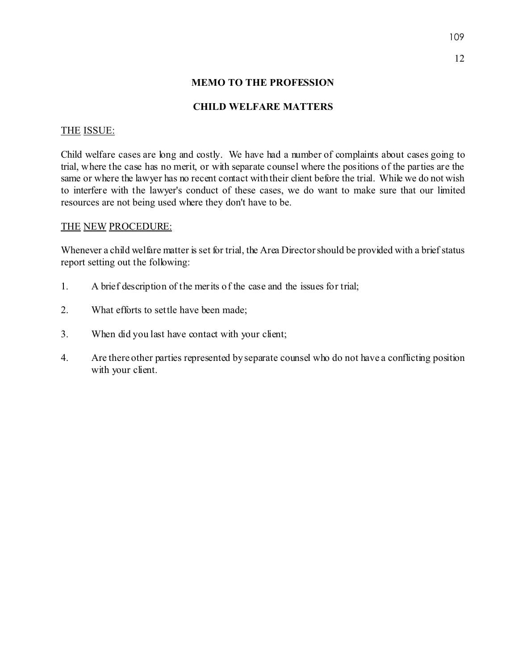# **MEMO TO THE PROFESSION**

## **CHILD WELFARE MATTERS**

## THE ISSUE:

Child welfare cases are long and costly. We have had a number of complaints about cases going to trial, where the case has no merit, or with separate counsel where the positions of the parties are the same or where the lawyer has no recent contact with their client before the trial. While we do not wish to interfere with the lawyer's conduct of these cases, we do want to make sure that our limited resources are not being used where they don't have to be.

## THE NEW PROCEDURE:

Whenever a child welfare matter is set for trial, the Area Director should be provided with a brief status report setting out the following:

- 1. A brief description of the merits of the case and the issues for trial;
- 2. What efforts to settle have been made;
- 3. When did you last have contact with your client;
- 4. Are there other parties represented by separate counsel who do not have a conflicting position with your client.

12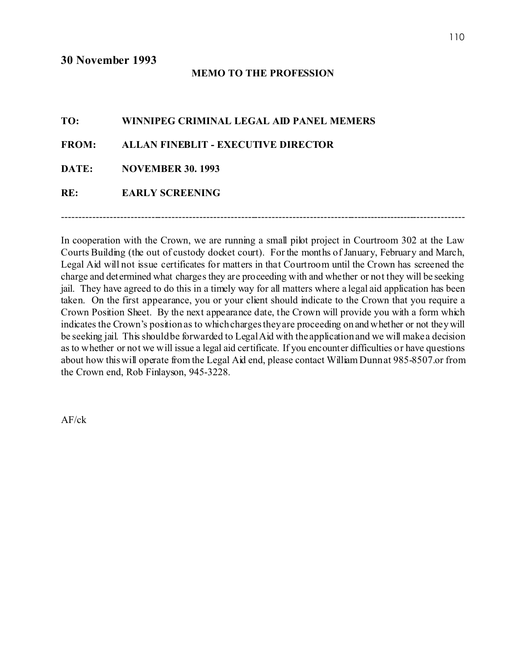## **MEMO TO THE PROFESSION**

| TO: | WINNIPEG CRIMINAL LEGAL AID PANEL MEMERS  |
|-----|-------------------------------------------|
|     | FROM: ALLAN FINEBLIT - EXECUTIVE DIRECTOR |
|     | DATE: NOVEMBER 30. 1993                   |
| RE: | <b>EARLY SCREENING</b>                    |
|     |                                           |

In cooperation with the Crown, we are running a small pilot project in Courtroom 302 at the Law Courts Building (the out of custody docket court). For the months of January, February and March, Legal Aid will not issue certificates for matters in that Courtroom until the Crown has screened the charge and determined what charges they are proceeding with and whether or not they will be seeking jail. They have agreed to do this in a timely way for all matters where a legal aid application has been taken. On the first appearance, you or your client should indicate to the Crown that you require a Crown Position Sheet. By the next appearance date, the Crown will provide you with a form which indicates the Crown's position as to which charges they are proceeding on and whether or not they will be seeking jail. This should be forwarded to Legal Aid with the application and we will make a decision as to whether or not we will issue a legal aid certificate. If you encounter difficulties or have questions about how this will operate from the Legal Aid end, please contact William Dunn at 985-8507.or from the Crown end, Rob Finlayson, 945-3228.

----------------------------------------------------------------------------------------------------------------------

AF/ck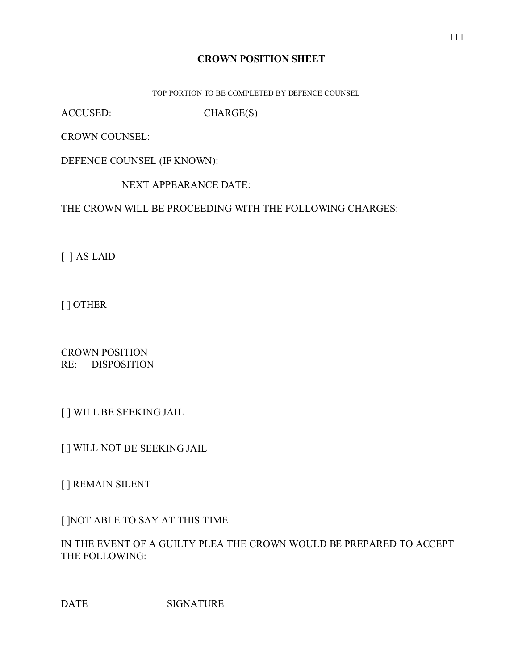# **CROWN POSITION SHEET**

TOP PORTION TO BE COMPLETED BY DEFENCE COUNSEL

ACCUSED: CHARGE(S)

CROWN COUNSEL:

DEFENCE COUNSEL (IF KNOWN):

NEXT APPEARANCE DATE:

THE CROWN WILL BE PROCEEDING WITH THE FOLLOWING CHARGES:

[ ] AS LAID

[ ] OTHER

CROWN POSITION RE: DISPOSITION

[ ] WILL BE SEEKING JAIL

[ ] WILL NOT BE SEEKING JAIL

[ ] REMAIN SILENT

[ ]NOT ABLE TO SAY AT THIS TIME

IN THE EVENT OF A GUILTY PLEA THE CROWN WOULD BE PREPARED TO ACCEPT THE FOLLOWING:

DATE SIGNATURE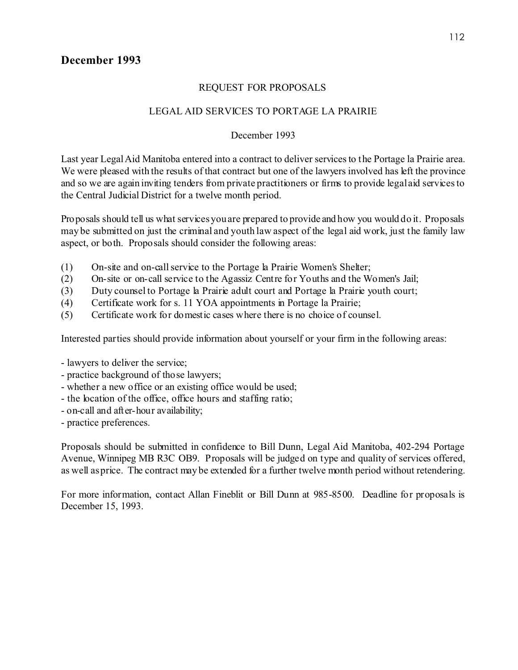# REQUEST FOR PROPOSALS

# LEGAL AID SERVICES TO PORTAGE LA PRAIRIE

# December 1993

Last year Legal Aid Manitoba entered into a contract to deliver services to the Portage la Prairie area. We were pleased with the results of that contract but one of the lawyers involved has left the province and so we are again inviting tenders from private practitioners or firms to provide legal aid services to the Central Judicial District for a twelve month period.

Proposals should tell us what services you are prepared to provide and how you would do it. Proposals may be submitted on just the criminal and youth law aspect of the legal aid work, just the family law aspect, or both. Proposals should consider the following areas:

- (1) On-site and on-call service to the Portage la Prairie Women's Shelter;
- (2) On-site or on-call service to the Agassiz Centre for Youths and the Women's Jail;
- (3) Duty counsel to Portage la Prairie adult court and Portage la Prairie youth court;
- (4) Certificate work for s. 11 YOA appointments in Portage la Prairie;
- (5) Certificate work for domestic cases where there is no choice of counsel.

Interested parties should provide information about yourself or your firm in the following areas:

- lawyers to deliver the service;
- practice background of those lawyers;
- whether a new office or an existing office would be used;
- the location of the office, office hours and staffing ratio;
- on-call and after-hour availability;
- practice preferences.

Proposals should be submitted in confidence to Bill Dunn, Legal Aid Manitoba, 402-294 Portage Avenue, Winnipeg MB R3C OB9. Proposals will be judged on type and quality of services offered, as well as price. The contract may be extended for a further twelve month period without retendering.

For more information, contact Allan Fineblit or Bill Dunn at 985-8500. Deadline for proposals is December 15, 1993.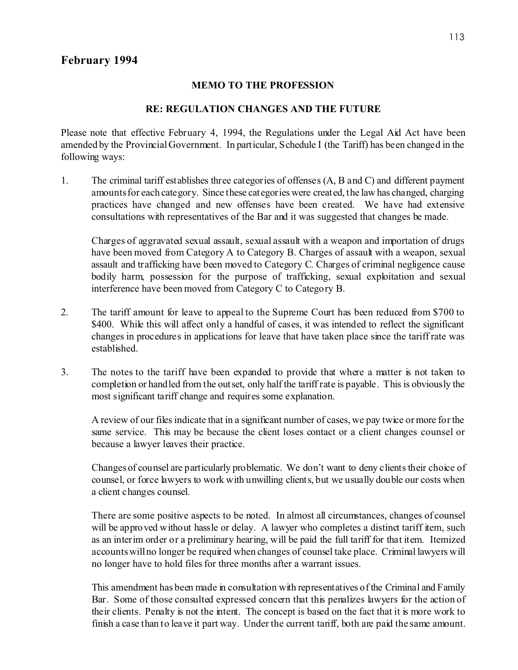## **MEMO TO THE PROFESSION**

# **RE: REGULATION CHANGES AND THE FUTURE**

Please note that effective February 4, 1994, the Regulations under the Legal Aid Act have been amended by the Provincial Government. In particular, Schedule I (the Tariff) has been changed in the following ways:

1. The criminal tariff establishes three categories of offenses (A, B and C) and different payment amounts for each category. Since these categories were created, the law has changed, charging practices have changed and new offenses have been created. We have had extensive consultations with representatives of the Bar and it was suggested that changes be made.

Charges of aggravated sexual assault, sexual assault with a weapon and importation of drugs have been moved from Category A to Category B. Charges of assault with a weapon, sexual assault and trafficking have been moved to Category C. Charges of criminal negligence cause bodily harm, possession for the purpose of trafficking, sexual exploitation and sexual interference have been moved from Category C to Category B.

- 2. The tariff amount for leave to appeal to the Supreme Court has been reduced from \$700 to \$400. While this will affect only a handful of cases, it was intended to reflect the significant changes in procedures in applications for leave that have taken place since the tariff rate was established.
- 3. The notes to the tariff have been expanded to provide that where a matter is not taken to completion or handled from the outset, only half the tariff rate is payable. This is obviously the most significant tariff change and requires some explanation.

A review of our files indicate that in a significant number of cases, we pay twice or more for the same service. This may be because the client loses contact or a client changes counsel or because a lawyer leaves their practice.

Changes of counsel are particularly problematic. We don't want to deny clients their choice of counsel, or force lawyers to work with unwilling clients, but we usually double our costs when a client changes counsel.

There are some positive aspects to be noted. In almost all circumstances, changes of counsel will be approved without hassle or delay. A lawyer who completes a distinct tariff item, such as an interim order or a preliminary hearing, will be paid the full tariff for that item. Itemized accounts will no longer be required when changes of counsel take place. Criminal lawyers will no longer have to hold files for three months after a warrant issues.

This amendment has been made in consultation with representatives of the Criminal and Family Bar. Some of those consulted expressed concern that this penalizes lawyers for the action of their clients. Penalty is not the intent. The concept is based on the fact that it is more work to finish a case than to leave it part way. Under the current tariff, both are paid the same amount.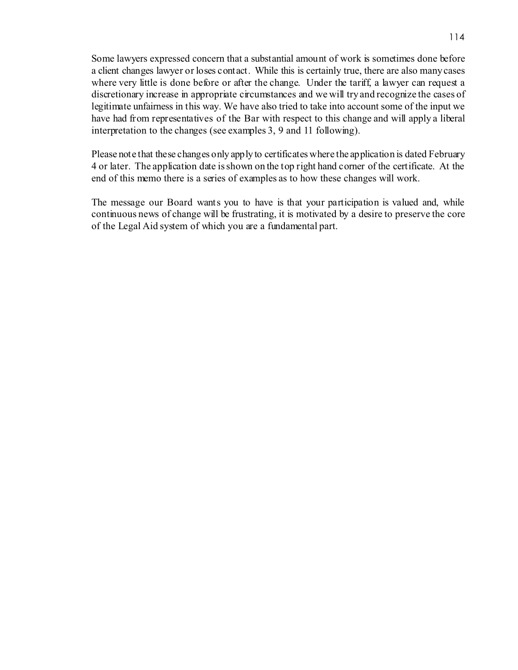Some lawyers expressed concern that a substantial amount of work is sometimes done before a client changes lawyer or loses contact. While this is certainly true, there are also many cases where very little is done before or after the change. Under the tariff, a lawyer can request a discretionary increase in appropriate circumstances and we will try and recognize the cases of legitimate unfairness in this way. We have also tried to take into account some of the input we have had from representatives of the Bar with respect to this change and will apply a liberal interpretation to the changes (see examples 3, 9 and 11 following).

Please note that these changes only apply to certificates where the application is dated February 4 or later. The application date is shown on the top right hand corner of the certificate. At the end of this memo there is a series of examples as to how these changes will work.

The message our Board wants you to have is that your participation is valued and, while continuous news of change will be frustrating, it is motivated by a desire to preserve the core of the Legal Aid system of which you are a fundamental part.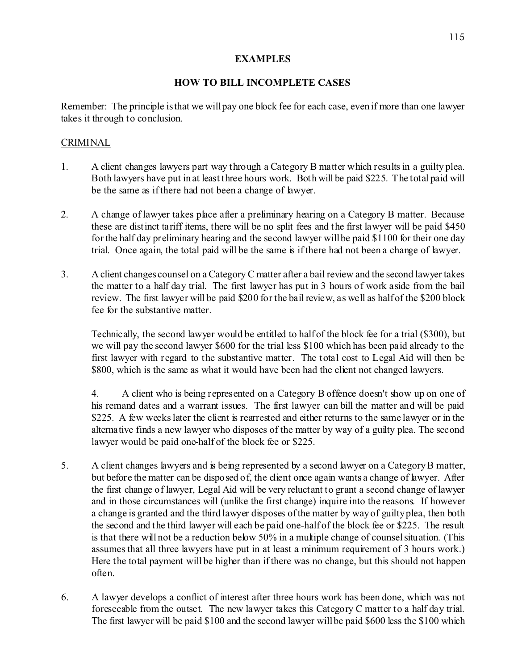# **EXAMPLES**

# **HOW TO BILL INCOMPLETE CASES**

Remember: The principle is that we will pay one block fee for each case, even if more than one lawyer takes it through to conclusion.

# CRIMINAL

- 1. A client changes lawyers part way through a Category B matter which results in a guilty plea. Both lawyers have put in at least three hours work. Both will be paid \$225. The total paid will be the same as if there had not been a change of lawyer.
- 2. A change of lawyer takes place after a preliminary hearing on a Category B matter. Because these are distinct tariff items, there will be no split fees and the first lawyer will be paid \$450 for the half day preliminary hearing and the second lawyer will be paid \$1100 for their one day trial. Once again, the total paid will be the same is if there had not been a change of lawyer.
- 3. A client changes counsel on a Category C matter after a bail review and the second lawyer takes the matter to a half day trial. The first lawyer has put in 3 hours of work aside from the bail review. The first lawyer will be paid \$200 for the bail review, as well as half of the \$200 block fee for the substantive matter.

Technically, the second lawyer would be entitled to half of the block fee for a trial (\$300), but we will pay the second lawyer \$600 for the trial less \$100 which has been paid already to the first lawyer with regard to the substantive matter. The total cost to Legal Aid will then be \$800, which is the same as what it would have been had the client not changed lawyers.

4. A client who is being represented on a Category B offence doesn't show up on one of his remand dates and a warrant issues. The first lawyer can bill the matter and will be paid \$225. A few weeks later the client is rearrested and either returns to the same lawyer or in the alternative finds a new lawyer who disposes of the matter by way of a guilty plea. The second lawyer would be paid one-half of the block fee or \$225.

- 5. A client changes lawyers and is being represented by a second lawyer on a Category B matter, but before the matter can be disposed of, the client once again wants a change of lawyer. After the first change of lawyer, Legal Aid will be very reluctant to grant a second change of lawyer and in those circumstances will (unlike the first change) inquire into the reasons. If however a change is granted and the third lawyer disposes of the matter by way of guilty plea, then both the second and the third lawyer will each be paid one-half of the block fee or \$225. The result is that there will not be a reduction below 50% in a multiple change of counsel situation. (This assumes that all three lawyers have put in at least a minimum requirement of 3 hours work.) Here the total payment will be higher than if there was no change, but this should not happen often.
- 6. A lawyer develops a conflict of interest after three hours work has been done, which was not foreseeable from the outset. The new lawyer takes this Category C matter to a half day trial. The first lawyer will be paid \$100 and the second lawyer will be paid \$600 less the \$100 which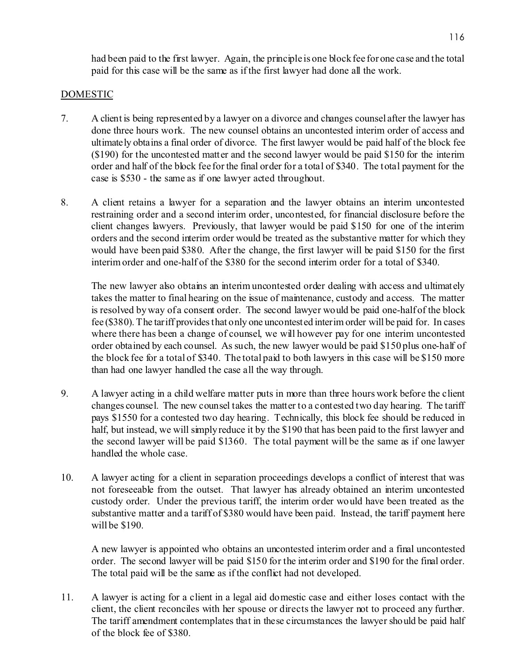had been paid to the first lawyer. Again, the principle is one block fee for one case and the total paid for this case will be the same as if the first lawyer had done all the work.

# DOMESTIC

- 7. A client is being represented by a lawyer on a divorce and changes counsel after the lawyer has done three hours work. The new counsel obtains an uncontested interim order of access and ultimately obtains a final order of divorce. The first lawyer would be paid half of the block fee (\$190) for the uncontested matter and the second lawyer would be paid \$150 for the interim order and half of the block fee for the final order for a total of \$340. The total payment for the case is \$530 - the same as if one lawyer acted throughout.
- 8. A client retains a lawyer for a separation and the lawyer obtains an interim uncontested restraining order and a second interim order, uncontested, for financial disclosure before the client changes lawyers. Previously, that lawyer would be paid \$150 for one of the interim orders and the second interim order would be treated as the substantive matter for which they would have been paid \$380. After the change, the first lawyer will be paid \$150 for the first interim order and one-half of the \$380 for the second interim order for a total of \$340.

The new lawyer also obtains an interim uncontested order dealing with access and ultimately takes the matter to final hearing on the issue of maintenance, custody and access. The matter is resolved by way of a consent order. The second lawyer would be paid one-half of the block fee (\$380). The tariff provides that only one uncontested interim order will be paid for. In cases where there has been a change of counsel, we will however pay for one interim uncontested order obtained by each counsel. As such, the new lawyer would be paid \$150 plus one-half of the block fee for a total of \$340. The total paid to both lawyers in this case will be \$150 more than had one lawyer handled the case all the way through.

- 9. A lawyer acting in a child welfare matter puts in more than three hours work before the client changes counsel. The new counsel takes the matter to a contested two day hearing. The tariff pays \$1550 for a contested two day hearing. Technically, this block fee should be reduced in half, but instead, we will simply reduce it by the \$190 that has been paid to the first lawyer and the second lawyer will be paid \$1360. The total payment will be the same as if one lawyer handled the whole case.
- 10. A lawyer acting for a client in separation proceedings develops a conflict of interest that was not foreseeable from the outset. That lawyer has already obtained an interim uncontested custody order. Under the previous tariff, the interim order would have been treated as the substantive matter and a tariff of \$380 would have been paid. Instead, the tariff payment here will be \$190.

A new lawyer is appointed who obtains an uncontested interim order and a final uncontested order. The second lawyer will be paid \$150 for the interim order and \$190 for the final order. The total paid will be the same as if the conflict had not developed.

11. A lawyer is acting for a client in a legal aid domestic case and either loses contact with the client, the client reconciles with her spouse or directs the lawyer not to proceed any further. The tariff amendment contemplates that in these circumstances the lawyer should be paid half of the block fee of \$380.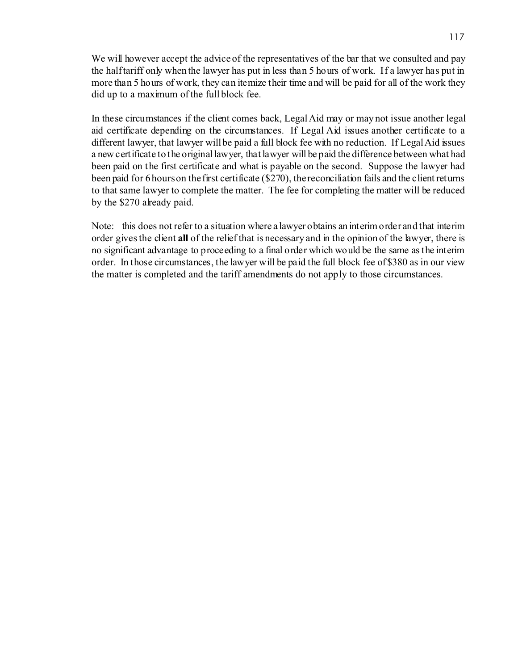We will however accept the advice of the representatives of the bar that we consulted and pay the half tariff only when the lawyer has put in less than 5 hours of work. If a lawyer has put in more than 5 hours of work, they can itemize their time and will be paid for all of the work they did up to a maximum of the full block fee.

In these circumstances if the client comes back, Legal Aid may or may not issue another legal aid certificate depending on the circumstances. If Legal Aid issues another certificate to a different lawyer, that lawyer will be paid a full block fee with no reduction. If Legal Aid issues a new certificate to the original lawyer, that lawyer will be paid the difference between what had been paid on the first certificate and what is payable on the second. Suppose the lawyer had been paid for 6 hours on the first certificate (\$270), the reconciliation fails and the client returns to that same lawyer to complete the matter. The fee for completing the matter will be reduced by the \$270 already paid.

Note: this does not refer to a situation where a lawyer obtains an interim order and that interim order gives the client **all** of the relief that is necessary and in the opinion of the lawyer, there is no significant advantage to proceeding to a final order which would be the same as the interim order. In those circumstances, the lawyer will be paid the full block fee of \$380 as in our view the matter is completed and the tariff amendments do not apply to those circumstances.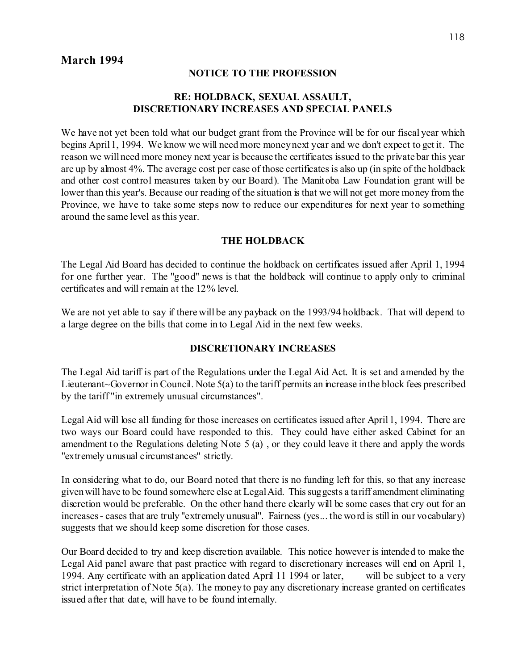# **March 1994**

#### **NOTICE TO THE PROFESSION**

# **RE: HOLDBACK, SEXUAL ASSAULT, DISCRETIONARY INCREASES AND SPECIAL PANELS**

We have not yet been told what our budget grant from the Province will be for our fiscal year which begins April 1, 1994. We know we will need more money next year and we don't expect to get it. The reason we will need more money next year is because the certificates issued to the private bar this year are up by almost 4%. The average cost per case of those certificates is also up (in spite of the holdback and other cost control measures taken by our Board). The Manitoba Law Foundation grant will be lower than this year's. Because our reading of the situation is that we will not get more money from the Province, we have to take some steps now to reduce our expenditures for next year to something around the same level as this year.

#### **THE HOLDBACK**

The Legal Aid Board has decided to continue the holdback on certificates issued after April 1, 1994 for one further year. The "good" news is that the holdback will continue to apply only to criminal certificates and will remain at the 12% level.

We are not yet able to say if there will be any payback on the 1993/94 holdback. That will depend to a large degree on the bills that come in to Legal Aid in the next few weeks.

#### **DISCRETIONARY INCREASES**

The Legal Aid tariff is part of the Regulations under the Legal Aid Act. It is set and amended by the Lieutenant~Governor in Council. Note 5(a) to the tariff permits an increase in the block fees prescribed by the tariff "in extremely unusual circumstances".

Legal Aid will lose all funding for those increases on certificates issued after April 1, 1994. There are two ways our Board could have responded to this. They could have either asked Cabinet for an amendment to the Regulations deleting Note 5 (a) , or they could leave it there and apply the words "extremely unusual circumstances" strictly.

In considering what to do, our Board noted that there is no funding left for this, so that any increase given will have to be found somewhere else at Legal Aid. This suggests a tariff amendment eliminating discretion would be preferable. On the other hand there clearly will be some cases that cry out for an increases - cases that are truly "extremely unusual". Fairness (yes... the word is still in our vocabulary) suggests that we should keep some discretion for those cases.

Our Board decided to try and keep discretion available. This notice however is intended to make the Legal Aid panel aware that past practice with regard to discretionary increases will end on April 1, 1994. Any certificate with an application dated April 11 1994 or later, will be subject to a very strict interpretation of Note 5(a). The money to pay any discretionary increase granted on certificates issued after that date, will have to be found internally.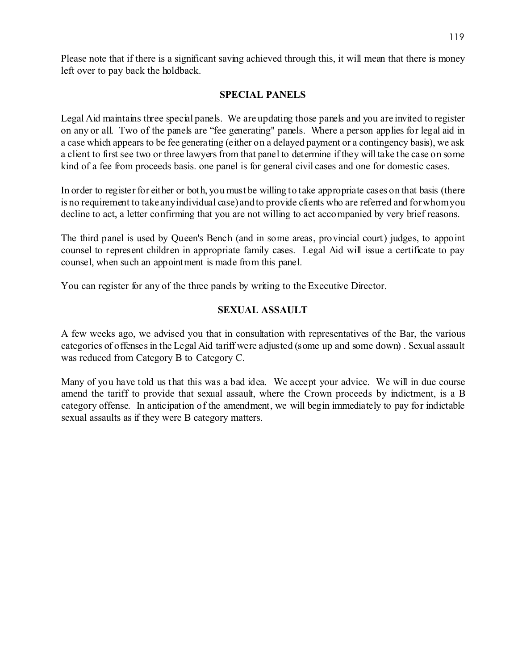Please note that if there is a significant saving achieved through this, it will mean that there is money left over to pay back the holdback.

# **SPECIAL PANELS**

Legal Aid maintains three special panels. We are updating those panels and you are invited to register on any or all. Two of the panels are "fee generating" panels. Where a person applies for legal aid in a case which appears to be fee generating (either on a delayed payment or a contingency basis), we ask a client to first see two or three lawyers from that panel to determine if they will take the case on some kind of a fee from proceeds basis. one panel is for general civil cases and one for domestic cases.

In order to register for either or both, you must be willing to take appropriate cases on that basis (there is no requirement to take any individual case) and to provide clients who are referred and for whom you decline to act, a letter confirming that you are not willing to act accompanied by very brief reasons.

The third panel is used by Queen's Bench (and in some areas, provincial court) judges, to appoint counsel to represent children in appropriate family cases. Legal Aid will issue a certificate to pay counsel, when such an appointment is made from this panel.

You can register for any of the three panels by writing to the Executive Director.

## **SEXUAL ASSAULT**

A few weeks ago, we advised you that in consultation with representatives of the Bar, the various categories of offenses in the Legal Aid tariff were adjusted (some up and some down) . Sexual assault was reduced from Category B to Category C.

Many of you have told us that this was a bad idea. We accept your advice. We will in due course amend the tariff to provide that sexual assault, where the Crown proceeds by indictment, is a B category offense. In anticipation of the amendment, we will begin immediately to pay for indictable sexual assaults as if they were B category matters.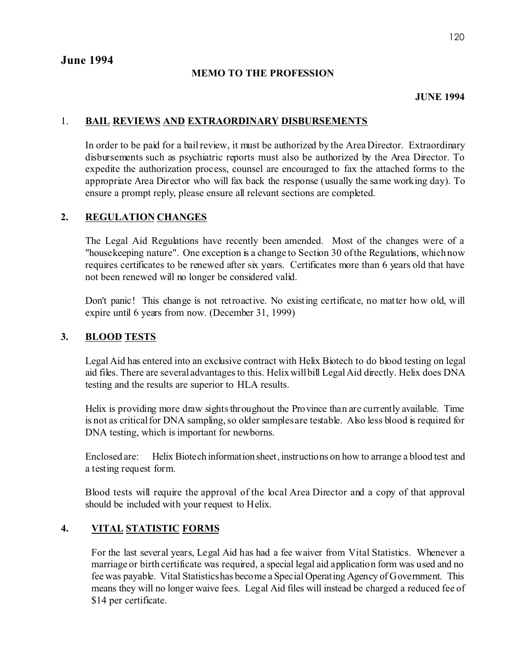# **MEMO TO THE PROFESSION**

## **JUNE 1994**

# 1. **BAIL REVIEWS AND EXTRAORDINARY DISBURSEMENTS**

In order to be paid for a bail review, it must be authorized by the Area Director. Extraordinary disbursements such as psychiatric reports must also be authorized by the Area Director. To expedite the authorization process, counsel are encouraged to fax the attached forms to the appropriate Area Director who will fax back the response (usually the same working day). To ensure a prompt reply, please ensure all relevant sections are completed.

# **2. REGULATION CHANGES**

The Legal Aid Regulations have recently been amended. Most of the changes were of a "housekeeping nature". One exception is a change to Section 30 of the Regulations, which now requires certificates to be renewed after six years. Certificates more than 6 years old that have not been renewed will no longer be considered valid.

Don't panic! This change is not retroactive. No existing certificate, no matter how old, will expire until 6 years from now. (December 31, 1999)

# **3. BLOOD TESTS**

Legal Aid has entered into an exclusive contract with Helix Biotech to do blood testing on legal aid files. There are several advantages to this. Helix will bill Legal Aid directly. Helix does DNA testing and the results are superior to HLA results.

Helix is providing more draw sights throughout the Province than are currently available. Time is not as critical for DNA sampling, so older samples are testable. Also less blood is required for DNA testing, which is important for newborns.

Enclosed are: Helix Biotech information sheet, instructions on how to arrange a blood test and a testing request form.

Blood tests will require the approval of the local Area Director and a copy of that approval should be included with your request to Helix.

# **4. VITAL STATISTIC FORMS**

For the last several years, Legal Aid has had a fee waiver from Vital Statistics. Whenever a marriage or birth certificate was required, a special legal aid application form was used and no fee was payable. Vital Statistics has become a Special Operating Agency of Government. This means they will no longer waive fees. Legal Aid files will instead be charged a reduced fee of \$14 per certificate.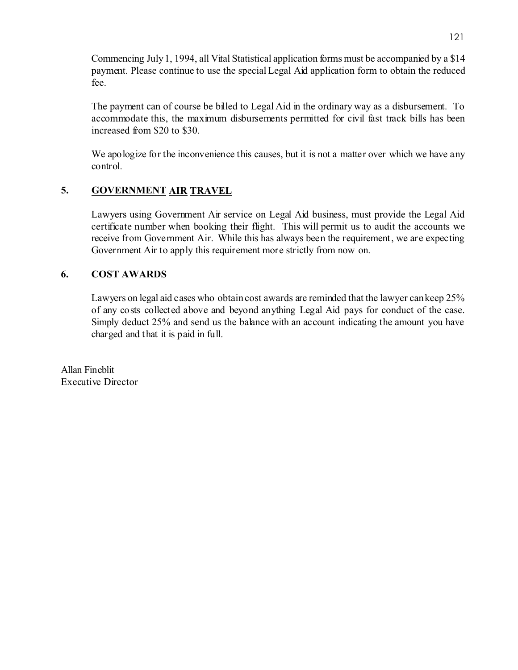Commencing July 1, 1994, all Vital Statistical application forms must be accompanied by a \$14 payment. Please continue to use the special Legal Aid application form to obtain the reduced fee.

The payment can of course be billed to Legal Aid in the ordinary way as a disbursement. To accommodate this, the maximum disbursements permitted for civil fast track bills has been increased from \$20 to \$30.

We apologize for the inconvenience this causes, but it is not a matter over which we have any control.

# **5. GOVERNMENT AIR TRAVEL**

Lawyers using Government Air service on Legal Aid business, must provide the Legal Aid certificate number when booking their flight. This will permit us to audit the accounts we receive from Government Air. While this has always been the requirement, we are expecting Government Air to apply this requirement more strictly from now on.

# **6. COST AWARDS**

Lawyers on legal aid cases who obtain cost awards are reminded that the lawyer can keep 25% of any costs collected above and beyond anything Legal Aid pays for conduct of the case. Simply deduct 25% and send us the balance with an account indicating the amount you have charged and that it is paid in full.

Allan Fineblit Executive Director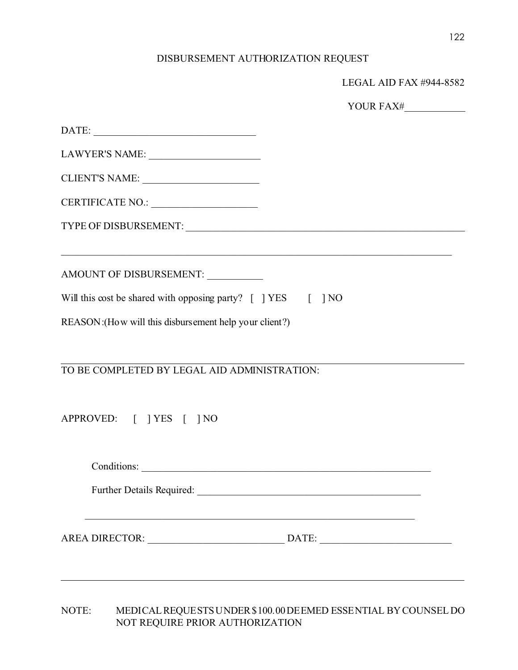# DISBURSEMENT AUTHORIZATION REQUEST

|                                                              | LEGAL AID FAX #944-8582 |
|--------------------------------------------------------------|-------------------------|
|                                                              | YOUR FAX#               |
|                                                              |                         |
|                                                              |                         |
| CLIENT'S NAME:                                               |                         |
|                                                              |                         |
|                                                              |                         |
| AMOUNT OF DISBURSEMENT: __________                           |                         |
| Will this cost be shared with opposing party? [ ] YES [ ] NO |                         |
| REASON: (How will this disbursement help your client?)       |                         |
|                                                              |                         |
| TO BE COMPLETED BY LEGAL AID ADMINISTRATION:                 |                         |
|                                                              |                         |
| APPROVED: [ ] YES [ ] NO                                     |                         |
|                                                              |                         |
|                                                              |                         |
|                                                              |                         |
|                                                              |                         |
|                                                              |                         |

NOTE: MEDICAL REQUESTS UNDER \$100.00 DEEMED ESSENTIAL BY COUNSEL DO NOT REQUIRE PRIOR AUTHORIZATION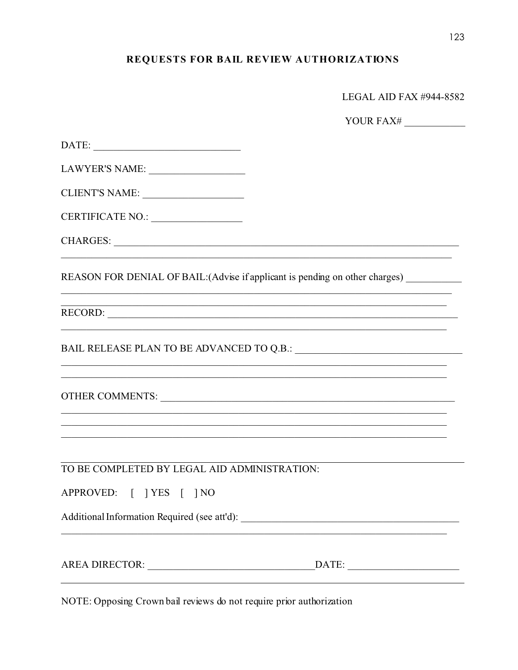# REQUESTS FOR BAIL REVIEW AUTHORIZATIONS

| LEGAL AID FAX #944-8582 |  |  |
|-------------------------|--|--|
|                         |  |  |

YOUR FAX#

| $\text{DATE:}\underbrace{\hspace{2.5cm}}$    |                                                                                   |
|----------------------------------------------|-----------------------------------------------------------------------------------|
| LAWYER'S NAME:                               |                                                                                   |
| CLIENT'S NAME:                               |                                                                                   |
| CERTIFICATE NO.:                             |                                                                                   |
|                                              |                                                                                   |
|                                              | REASON FOR DENIAL OF BAIL: (Advise if applicant is pending on other charges)      |
|                                              | RECORD:                                                                           |
|                                              |                                                                                   |
|                                              | ,我们也不能在这里的人,我们也不能在这里的人,我们也不能在这里的人,我们也不能在这里的人,我们也不能在这里的人,我们也不能在这里的人,我们也不能在这里的人,我们也 |
|                                              |                                                                                   |
| TO BE COMPLETED BY LEGAL AID ADMINISTRATION: |                                                                                   |
| APPROVED: [ ] YES [ ] NO                     |                                                                                   |
|                                              |                                                                                   |
|                                              |                                                                                   |

NOTE: Opposing Crown bail reviews do not require prior authorization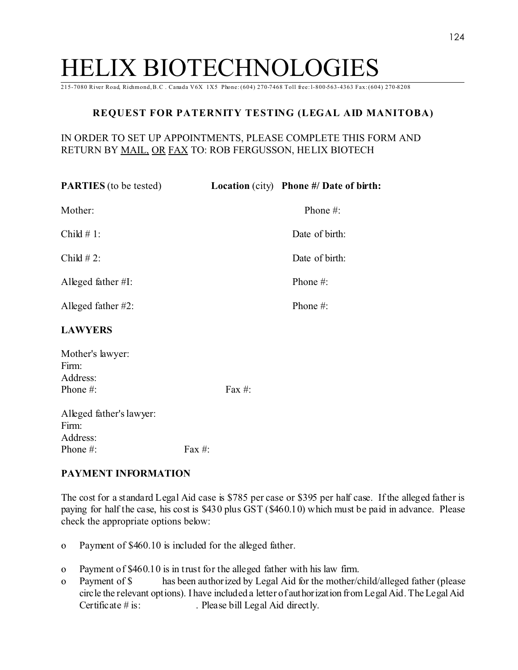# HELIX BIOTECHNOLOGIES

215-7080 River Road, Richmond, B.C . Canada V6X 1X5 Phone: (604) 270-7468 Toll free: l-800-563-4363 Fax: (604) 270-8208

# **REQUEST FOR PATERNITY TESTING (LEGAL AID MANITOBA)**

# IN ORDER TO SET UP APPOINTMENTS, PLEASE COMPLETE THIS FORM AND RETURN BY MAIL, OR FAX TO: ROB FERGUSSON, HELIX BIOTECH

| <b>PARTIES</b> (to be tested)                             |           | <b>Location</b> (city) Phone #/ Date of birth: |
|-----------------------------------------------------------|-----------|------------------------------------------------|
| Mother:                                                   |           | Phone #:                                       |
| Child $# 1$ :                                             |           | Date of birth:                                 |
| Child $# 2$ :                                             |           | Date of birth:                                 |
| Alleged father $#I$ :                                     |           | Phone #:                                       |
| Alleged father #2:                                        |           | Phone #:                                       |
| <b>LAWYERS</b>                                            |           |                                                |
| Mother's lawyer:<br>Firm:<br>Address:<br>Phone #:         | Fax $#$ : |                                                |
| Alleged father's lawyer:<br>Firm:<br>Address <sup>.</sup> |           |                                                |

Phone #: Fax #:

# **PAYMENT INFORMATION**

The cost for a standard Legal Aid case is \$785 per case or \$395 per half case. If the alleged father is paying for half the case, his cost is \$430 plus GST (\$460.10) which must be paid in advance. Please check the appropriate options below:

- o" Payment of \$460.10 is included for the alleged father.
- o" Payment of \$460.10 is in trust for the alleged father with his law firm.
- o" Payment of \$ has been authorized by Legal Aid for the mother/child/alleged father (please circle the relevant options). I have included a letter of authorization from Legal Aid. The Legal Aid Certificate  $\#$  is: . Please bill Legal Aid directly.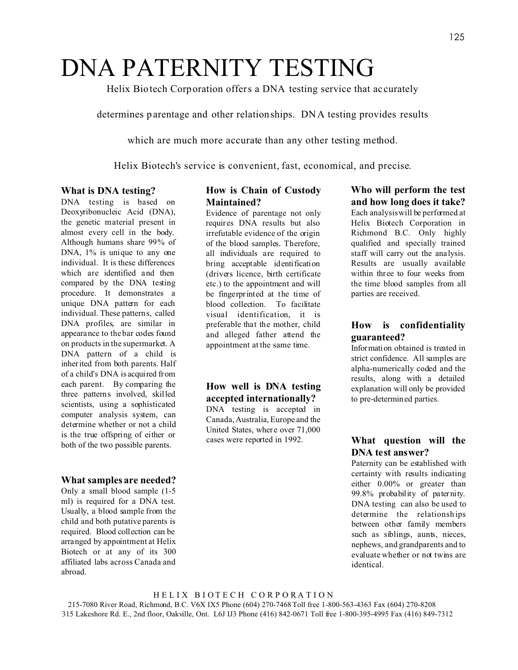# DNA PATERNITY TESTING

Helix Biotech Corporation offers a DNA testing service that ac curately

determines parentage and other relationships. DNA testing provides results

which are much more accurate than any other testing method.

Helix Biotech's service is convenient, fast, economical, and precise.

#### **What is DNA testing?**

DNA testing is based on Deoxyribonucleic Acid (DNA), the genetic material present in almost every cell in the body. Although humans share 99% of DNA,  $1\%$  is unique to any one individual. It is these differences which are identified and then compared by the DNA testing procedure. It demonstrates a unique DNA pattern for each individual. These patterns, called DNA profiles, are similar in appearance to the bar codes found on products in the supermarket. A DNA pattern of a child is inherited from both parents. Half of a child's DNA is acquired from each parent. By comparing the three patterns involved, skilled scientists, using a sophisticated computer analysis system, can determine whether or not a child is the true offspring of either or both of the two possible parents.

#### **What samples are needed?**

Only a small blood sample (1-5 ml) is required for a DNA test. Usually, a blood sample from the child and both putative parents is required. Blood collection can be arranged by appointment at Helix Biotech or at any of its 300 affiliated labs across Canada and abroad.

# **How is Chain of Custody Maintained?**

Evidence of parentage not only requires DNA results but also irrefutable evidence of the origin of the blood samples. Therefore, all individuals are required to bring acceptable identification (drivers licence, birth certificate etc.) to the appointment and will be fingerprinted at the time of blood collection. To facilitate visual identification, it is preferable that the mother, child and alleged father attend the appointment at the same time.

# **How well is DNA testing accepted internationally?**

DNA testing is accepted in Canada, Australia, Europe and the United States, where over 71,000 cases were reported in 1992.

#### **Who will perform the test and how long does it take?**

Each analysis will be performed at Helix Biotech Corporation in Richmond B.C. Only highly qualified and specially trained staff will carry out the analysis. Results are usually available within three to four weeks from the time blood samples from all parties are received.

# **How is confidentiality guaranteed?**

Information obtained is treated in strict confidence. All samples are alpha-numerically coded and the results, along with a detailed explanation will only be provided to pre-determined parties.

## **What question will the DNA test answer?**

Paternity can be established with certainty with results indicating either 0.00% or greater than 99.8% probability of paternity. DNA testing can also be used to determine the relationships between other family members such as siblings, aunts, nieces, nephews, and grandparents and to evaluate whether or not twins are identical.

215-7080 River Road, Richmond, B.C. V6X IX5 Phone (604) 270-7468 Toll free 1-800-563-4363 Fax (604) 270-8208 315 Lakeshore Rd. E., 2nd floor, Oakville, Ont. L6J IJ3 Phone (416) 842-0671 Toll free 1-800-395-4995 Fax (416) 849-7312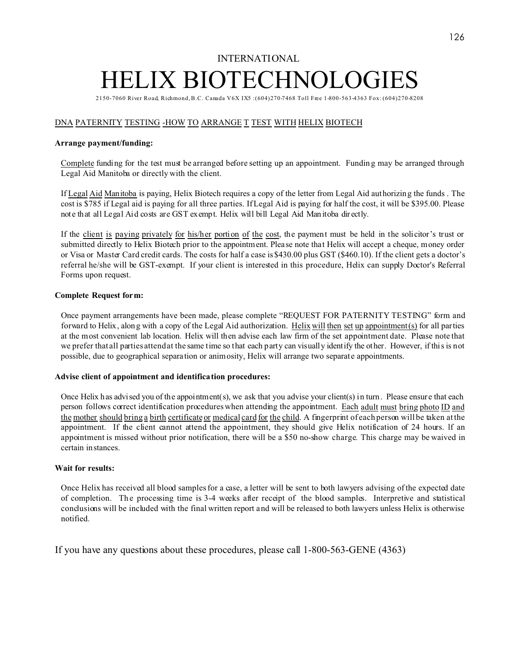# INTERNATIONAL ELIX BIOTECHNOLOG

2150-7060 River Road, Richmond, B.C. Canada V6X IX5 :(604)270-7468 Toll Free 1-800-563-4363 Fox: (604)270-8208

#### DNA PATERNITY TESTING -HOW TO ARRANGE T TEST WITH HELIX BIOTECH

#### **Arrange payment/funding:**

Complete funding for the test must be arranged before setting up an appointment. Fundin g may be arranged through Legal Aid Manitoba or directly with the client.

If Legal Aid Manitoba is paying, Helix Biotech requires a copy of the letter from Legal Aid authorizing the funds . The cost is \$785 if Legal aid is paying for all three parties. If Legal Aid is paying for half the cost, it will be \$395.00. Please note that all Legal Aid costs are GST exempt. Helix will bill Legal Aid Man itoba dir ectly.

If the client is paying privately for his/her portion of the cost, the payment must be held in the solicitor's trust or submitted directly to Helix Biotech prior to the appointment. Please note that Helix will accept a cheque, money order or Visa or Master Card credit cards. The costs for half a case is \$430.00 plus GST (\$460.10). If the client gets a doctor's referral he/she will be GST-exempt. If your client is interested in this procedure, Helix can supply Doctor's Referral Forms upon request.

#### **Complete Request form:**

Once payment arrangements have been made, please complete "REQUEST FOR PATERNITY TESTING" form and forward to Helix, along with a copy of the Legal Aid authorization. Helix will then set up appointment(s) for all parties at the most convenient lab location. Helix will then advise each law firm of the set appointment date. Please note that we prefer that all parties attend at the same time so that each party can visually identify the other. However, if this is not possible, due to geographical separation or animosity, Helix will arrange two separate appointments.

#### **Advise client of appointment and identification procedures:**

Once Helix has advised you of the appointment(s), we ask that you advise your client(s) in turn . Please ensur e that each person follows correct identification procedures when attending the appointment. Each adult must bring photo ID and the mother should bring a birth certificateor medical card for the child. A fingerprint of each person will be taken at the appointment. If the client cannot attend the appointment, they should give Helix notification of 24 hours. lf an appointment is missed without prior notification, there will be a \$50 no-show charge. This charge may be waived in certain instances.

#### **Wait for results:**

Once Helix has received all blood samples for a case, a letter will be sent to both lawyers advising of the expected date of completion. The processing time is 3-4 weeks after receipt of the blood samples. Interpretive and statistical conclusions will be included with the final written report and will be released to both lawyers unless Helix is otherwise notified.

If you have any questions about these procedures, please call 1-800-563-GENE (4363)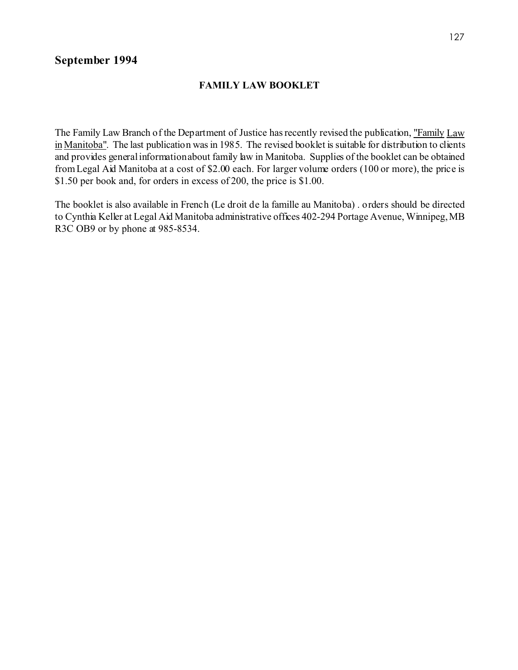# **September 1994**

# **FAMILY LAW BOOKLET**

The Family Law Branch of the Department of Justice has recently revised the publication, "Family Law in Manitoba". The last publication was in 1985. The revised booklet is suitable for distribution to clients and provides general information about family law in Manitoba. Supplies of the booklet can be obtained from Legal Aid Manitoba at a cost of \$2.00 each. For larger volume orders (100 or more), the price is \$1.50 per book and, for orders in excess of 200, the price is \$1.00.

The booklet is also available in French (Le droit de la famille au Manitoba) . orders should be directed to Cynthia Keller at Legal Aid Manitoba administrative offices 402-294 Portage Avenue, Winnipeg, MB R3C OB9 or by phone at 985-8534.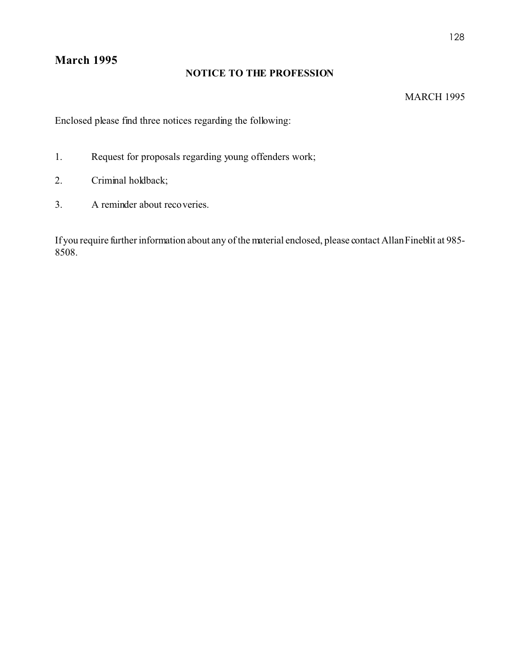# **March 1995**

# **NOTICE TO THE PROFESSION**

# MARCH 1995

Enclosed please find three notices regarding the following:

- 1. Request for proposals regarding young offenders work;
- 2. Criminal holdback;
- 3. A reminder about recoveries.

If you require further information about any of the material enclosed, please contact Allan Fineblit at 985- 8508.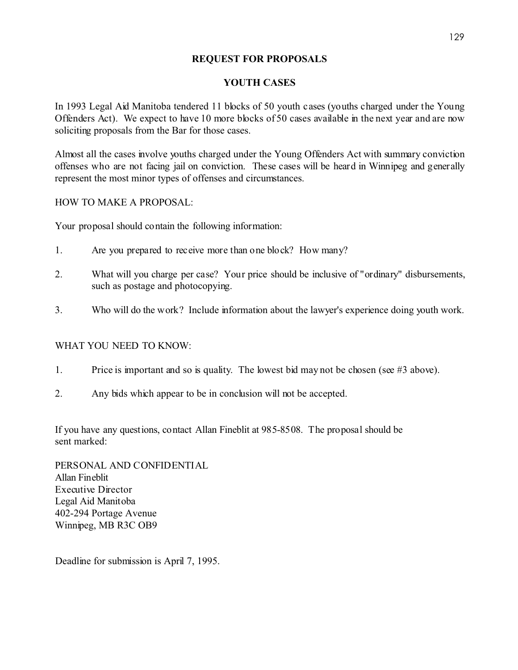# **REQUEST FOR PROPOSALS**

# **YOUTH CASES**

In 1993 Legal Aid Manitoba tendered 11 blocks of 50 youth cases (youths charged under the Young Offenders Act). We expect to have 10 more blocks of 50 cases available in the next year and are now soliciting proposals from the Bar for those cases.

Almost all the cases involve youths charged under the Young Offenders Act with summary conviction offenses who are not facing jail on conviction. These cases will be heard in Winnipeg and generally represent the most minor types of offenses and circumstances.

HOW TO MAKE A PROPOSAL:

Your proposal should contain the following information:

- 1. Are you prepared to receive more than one block? How many?
- 2. What will you charge per case? Your price should be inclusive of "ordinary" disbursements, such as postage and photocopying.
- 3. Who will do the work? Include information about the lawyer's experience doing youth work.

# WHAT YOU NEED TO KNOW:

- 1. Price is important and so is quality. The lowest bid may not be chosen (see #3 above).
- 2. Any bids which appear to be in conclusion will not be accepted.

If you have any questions, contact Allan Fineblit at 985-8508. The proposal should be sent marked:

PERSONAL AND CONFIDENTIAL Allan Fineblit Executive Director Legal Aid Manitoba 402-294 Portage Avenue Winnipeg, MB R3C OB9

Deadline for submission is April 7, 1995.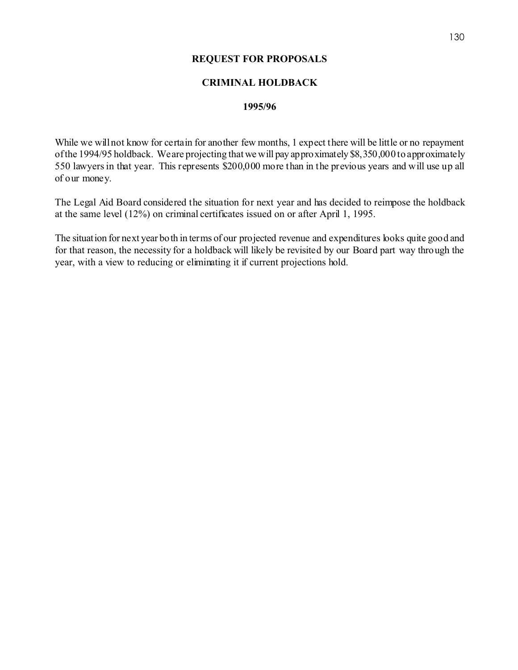# **REQUEST FOR PROPOSALS**

# **CRIMINAL HOLDBACK**

## **1995/96**

While we will not know for certain for another few months, 1 expect there will be little or no repayment of the 1994/95 holdback. We are projecting that we will pay approximately \$8,350,000 to approximately 550 lawyers in that year. This represents \$200,000 more than in the previous years and will use up all of our money.

The Legal Aid Board considered the situation for next year and has decided to reimpose the holdback at the same level (12%) on criminal certificates issued on or after April 1, 1995.

The situation for next year both in terms of our projected revenue and expenditures looks quite good and for that reason, the necessity for a holdback will likely be revisited by our Board part way through the year, with a view to reducing or eliminating it if current projections hold.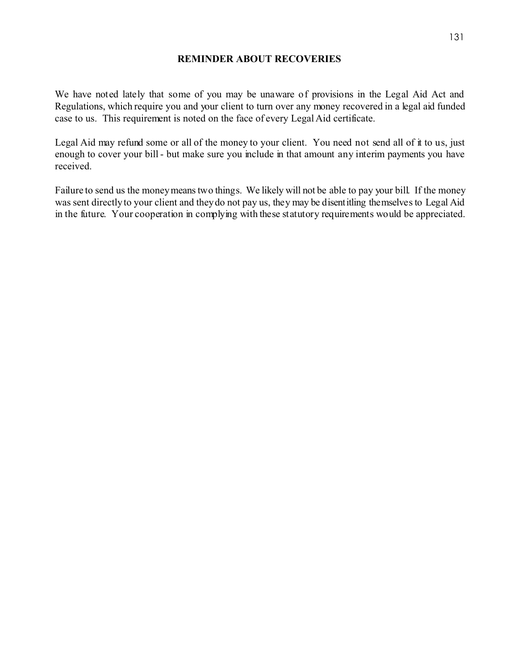## **REMINDER ABOUT RECOVERIES**

We have noted lately that some of you may be unaware of provisions in the Legal Aid Act and Regulations, which require you and your client to turn over any money recovered in a legal aid funded case to us. This requirement is noted on the face of every Legal Aid certificate.

Legal Aid may refund some or all of the money to your client. You need not send all of it to us, just enough to cover your bill - but make sure you include in that amount any interim payments you have received.

Failure to send us the money means two things. We likely will not be able to pay your bill. If the money was sent directly to your client and they do not pay us, they may be disentitling themselves to Legal Aid in the future. Your cooperation in complying with these statutory requirements would be appreciated.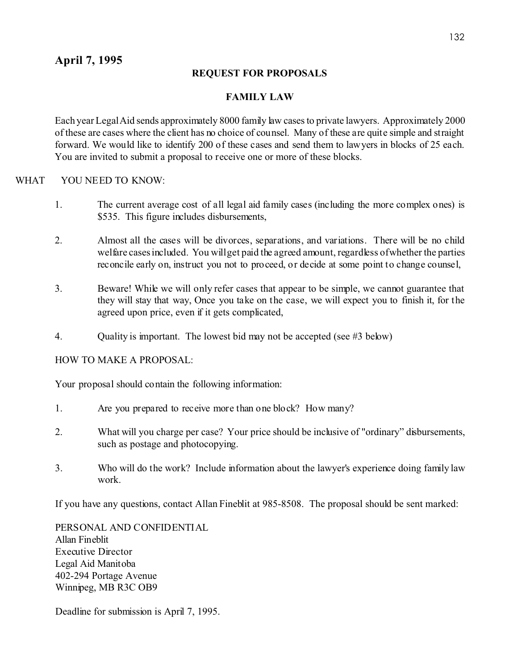# **REQUEST FOR PROPOSALS**

# **FAMILY LAW**

Each year Legal Aid sends approximately 8000 family law cases to private lawyers. Approximately 2000 of these are cases where the client has no choice of counsel. Many of these are quite simple and straight forward. We would like to identify 200 of these cases and send them to lawyers in blocks of 25 each. You are invited to submit a proposal to receive one or more of these blocks.

# WHAT YOU NEED TO KNOW:

- 1. The current average cost of all legal aid family cases (including the more complex ones) is \$535. This figure includes disbursements,
- 2. Almost all the cases will be divorces, separations, and variations. There will be no child welfare cases included. You will get paid the agreed amount, regardless of whether the parties reconcile early on, instruct you not to proceed, or decide at some point to change counsel,
- 3. Beware! While we will only refer cases that appear to be simple, we cannot guarantee that they will stay that way, Once you take on the case, we will expect you to finish it, for the agreed upon price, even if it gets complicated,
- 4. Quality is important. The lowest bid may not be accepted (see #3 below)

HOW TO MAKE A PROPOSAL:

Your proposal should contain the following information:

- 1. Are you prepared to receive more than one block? How many?
- 2. What will you charge per case? Your price should be inclusive of "ordinary" disbursements, such as postage and photocopying.
- 3. Who will do the work? Include information about the lawyer's experience doing family law work.

If you have any questions, contact Allan Fineblit at 985-8508. The proposal should be sent marked:

PERSONAL AND CONFIDENTIAL Allan Fineblit Executive Director Legal Aid Manitoba 402-294 Portage Avenue Winnipeg, MB R3C OB9

Deadline for submission is April 7, 1995.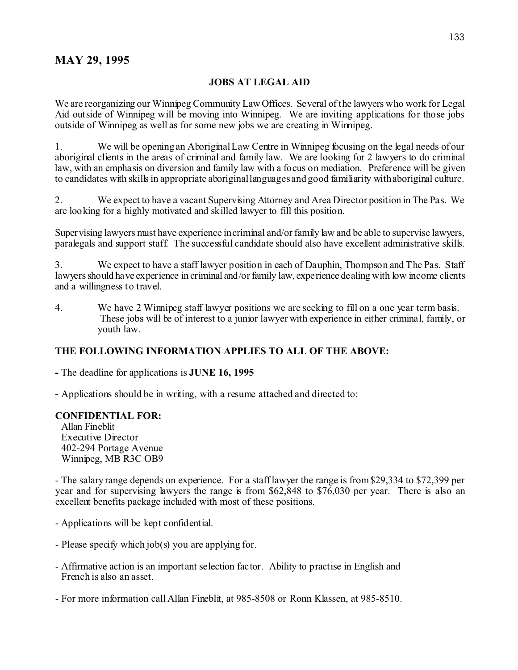# **MAY 29, 1995**

# **JOBS AT LEGAL AID**

We are reorganizing our Winnipeg Community Law Offices. Several of the lawyers who work for Legal Aid outside of Winnipeg will be moving into Winnipeg. We are inviting applications for those jobs outside of Winnipeg as well as for some new jobs we are creating in Winnipeg.

1. We will be opening an Aboriginal Law Centre in Winnipeg focusing on the legal needs of our aboriginal clients in the areas of criminal and family law. We are looking for 2 lawyers to do criminal law, with an emphasis on diversion and family law with a focus on mediation. Preference will be given to candidates with skills in appropriate aboriginal languages and good familiarity with aboriginal culture.

2. We expect to have a vacant Supervising Attorney and Area Director position in The Pas. We are looking for a highly motivated and skilled lawyer to fill this position.

Supervising lawyers must have experience in criminal and/or family law and be able to supervise lawyers, paralegals and support staff. The successful candidate should also have excellent administrative skills.

3. We expect to have a staff lawyer position in each of Dauphin, Thompson and The Pas. Staff lawyers should have experience in criminal and/or family law, experience dealing with low income clients and a willingness to travel.

4. We have 2 Winnipeg staff lawyer positions we are seeking to fill on a one year term basis. These jobs will be of interest to a junior lawyer with experience in either criminal, family, or youth law.

# **THE FOLLOWING INFORMATION APPLIES TO ALL OF THE ABOVE:**

**-** The deadline for applications is **JUNE 16, 1995**

**-** Applications should be in writing, with a resume attached and directed to:

#### **CONFIDENTIAL FOR:**

Allan Fineblit Executive Director 402-294 Portage Avenue Winnipeg, MB R3C OB9

- The salary range depends on experience. For a staff lawyer the range is from \$29,334 to \$72,399 per year and for supervising lawyers the range is from \$62,848 to \$76,030 per year. There is also an excellent benefits package included with most of these positions.

- Applications will be kept confidential.
- Please specify which job(s) you are applying for.
- Affirmative action is an important selection factor. Ability to practise in English and French is also an asset.

- For more information call Allan Fineblit, at 985-8508 or Ronn Klassen, at 985-8510.